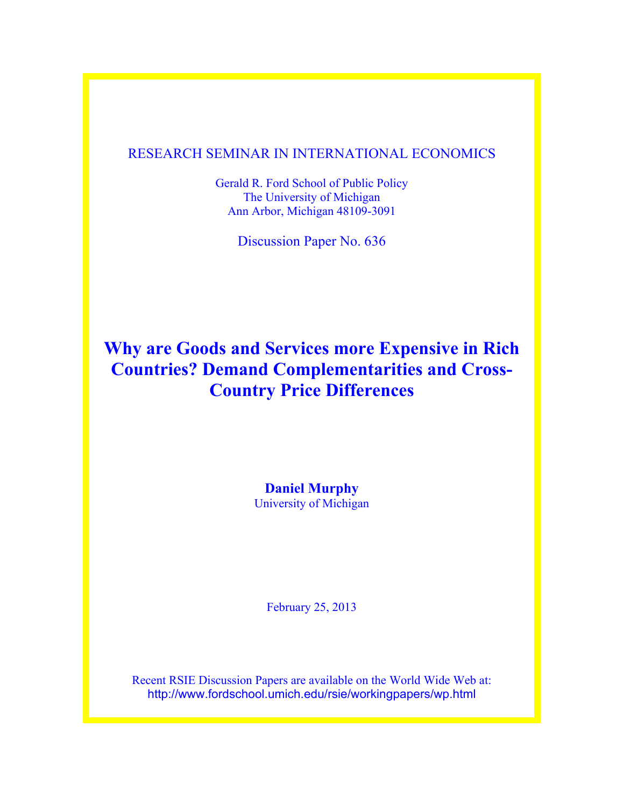### RESEARCH SEMINAR IN INTERNATIONAL ECONOMICS

Gerald R. Ford School of Public Policy The University of Michigan Ann Arbor, Michigan 48109-3091

Discussion Paper No. 636

## **Why are Goods and Services more Expensive in Rich Countries? Demand Complementarities and Cross-Country Price Differences**

**Daniel Murphy** University of Michigan

February 25, 2013

Recent RSIE Discussion Papers are available on the World Wide Web at: http://www.fordschool.umich.edu/rsie/workingpapers/wp.html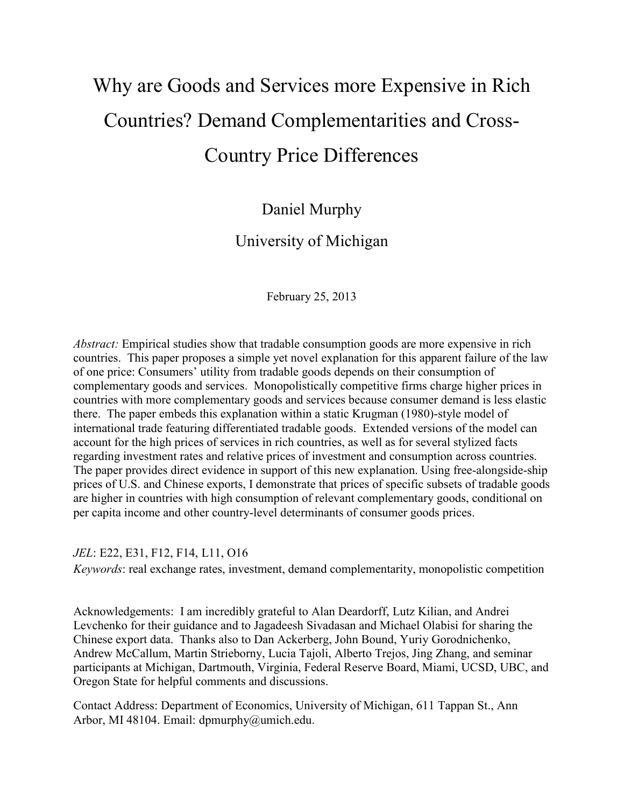# Why are Goods and Services more Expensive in Rich Countries? Demand Complementarities and Cross-Country Price Differences

## Daniel Murphy

## University of Michigan

February 25, 2013

*Abstract:* Empirical studies show that tradable consumption goods are more expensive in rich countries. This paper proposes a simple yet novel explanation for this apparent failure of the law of one price: Consumers' utility from tradable goods depends on their consumption of complementary goods and services. Monopolistically competitive firms charge higher prices in countries with more complementary goods and services because consumer demand is less elastic there. The paper embeds this explanation within a static Krugman (1980)-style model of international trade featuring differentiated tradable goods. Extended versions of the model can account for the high prices of services in rich countries, as well as for several stylized facts regarding investment rates and relative prices of investment and consumption across countries. The paper provides direct evidence in support of this new explanation. Using free-alongside-ship prices of U.S. and Chinese exports, I demonstrate that prices of specific subsets of tradable goods are higher in countries with high consumption of relevant complementary goods, conditional on per capita income and other country-level determinants of consumer goods prices.

#### *JEL*: E22, E31, F12, F14, L11, O16

*Keywords*: real exchange rates, investment, demand complementarity, monopolistic competition

Acknowledgements: I am incredibly grateful to Alan Deardorff, Lutz Kilian, and Andrei Levchenko for their guidance and to Jagadeesh Sivadasan and Michael Olabisi for sharing the Chinese export data. Thanks also to Dan Ackerberg, John Bound, Yuriy Gorodnichenko, Andrew McCallum, Martin Strieborny, Lucia Tajoli, Alberto Trejos, Jing Zhang, and seminar participants at Michigan, Dartmouth, Virginia, Federal Reserve Board, Miami, UCSD, UBC, and Oregon State for helpful comments and discussions.

Contact Address: Department of Economics, University of Michigan, 611 Tappan St., Ann Arbor, MI 48104. Email: dpmurphy@umich.edu.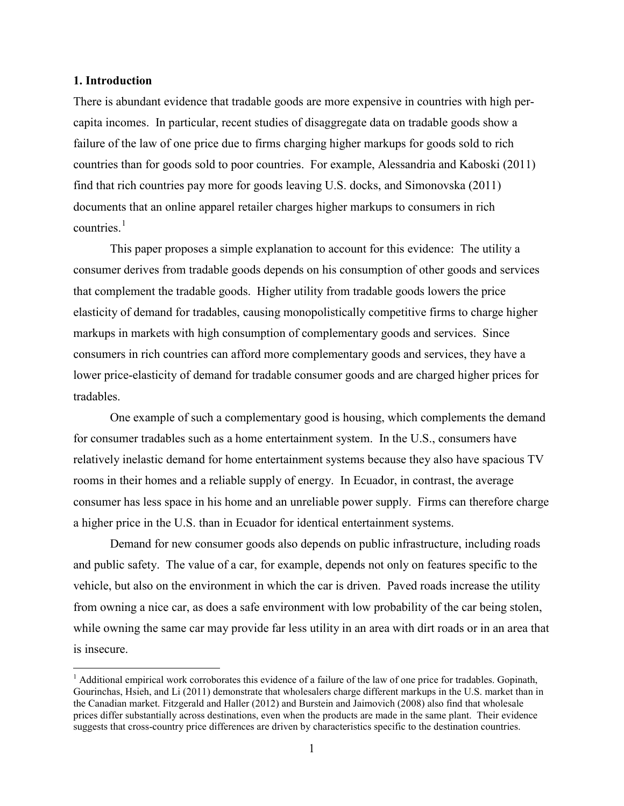#### **1. Introduction**

There is abundant evidence that tradable goods are more expensive in countries with high percapita incomes. In particular, recent studies of disaggregate data on tradable goods show a failure of the law of one price due to firms charging higher markups for goods sold to rich countries than for goods sold to poor countries. For example, Alessandria and Kaboski (2011) find that rich countries pay more for goods leaving U.S. docks, and Simonovska (2011) documents that an online apparel retailer charges higher markups to consumers in rich countries. [1](#page-2-0)

This paper proposes a simple explanation to account for this evidence: The utility a consumer derives from tradable goods depends on his consumption of other goods and services that complement the tradable goods. Higher utility from tradable goods lowers the price elasticity of demand for tradables, causing monopolistically competitive firms to charge higher markups in markets with high consumption of complementary goods and services. Since consumers in rich countries can afford more complementary goods and services, they have a lower price-elasticity of demand for tradable consumer goods and are charged higher prices for tradables.

One example of such a complementary good is housing, which complements the demand for consumer tradables such as a home entertainment system. In the U.S., consumers have relatively inelastic demand for home entertainment systems because they also have spacious TV rooms in their homes and a reliable supply of energy. In Ecuador, in contrast, the average consumer has less space in his home and an unreliable power supply. Firms can therefore charge a higher price in the U.S. than in Ecuador for identical entertainment systems.

Demand for new consumer goods also depends on public infrastructure, including roads and public safety. The value of a car, for example, depends not only on features specific to the vehicle, but also on the environment in which the car is driven. Paved roads increase the utility from owning a nice car, as does a safe environment with low probability of the car being stolen, while owning the same car may provide far less utility in an area with dirt roads or in an area that is insecure.

<span id="page-2-0"></span> $<sup>1</sup>$  Additional empirical work corroborates this evidence of a failure of the law of one price for tradables. Gopinath,</sup> Gourinchas, Hsieh, and Li (2011) demonstrate that wholesalers charge different markups in the U.S. market than in the Canadian market. Fitzgerald and Haller (2012) and Burstein and Jaimovich (2008) also find that wholesale prices differ substantially across destinations, even when the products are made in the same plant. Their evidence suggests that cross-country price differences are driven by characteristics specific to the destination countries.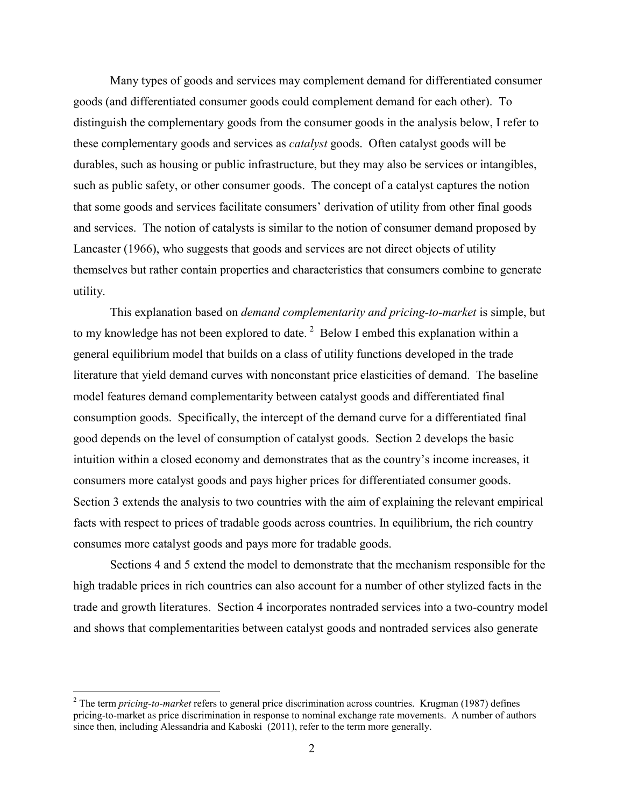Many types of goods and services may complement demand for differentiated consumer goods (and differentiated consumer goods could complement demand for each other). To distinguish the complementary goods from the consumer goods in the analysis below, I refer to these complementary goods and services as *catalyst* goods. Often catalyst goods will be durables, such as housing or public infrastructure, but they may also be services or intangibles, such as public safety, or other consumer goods. The concept of a catalyst captures the notion that some goods and services facilitate consumers' derivation of utility from other final goods and services. The notion of catalysts is similar to the notion of consumer demand proposed by Lancaster (1966), who suggests that goods and services are not direct objects of utility themselves but rather contain properties and characteristics that consumers combine to generate utility.

This explanation based on *demand complementarity and pricing-to-market* is simple, but to my knowledge has not been explored to date.<sup>[2](#page-3-0)</sup> Below I embed this explanation within a general equilibrium model that builds on a class of utility functions developed in the trade literature that yield demand curves with nonconstant price elasticities of demand. The baseline model features demand complementarity between catalyst goods and differentiated final consumption goods. Specifically, the intercept of the demand curve for a differentiated final good depends on the level of consumption of catalyst goods. Section 2 develops the basic intuition within a closed economy and demonstrates that as the country's income increases, it consumers more catalyst goods and pays higher prices for differentiated consumer goods. Section 3 extends the analysis to two countries with the aim of explaining the relevant empirical facts with respect to prices of tradable goods across countries. In equilibrium, the rich country consumes more catalyst goods and pays more for tradable goods.

Sections 4 and 5 extend the model to demonstrate that the mechanism responsible for the high tradable prices in rich countries can also account for a number of other stylized facts in the trade and growth literatures. Section 4 incorporates nontraded services into a two-country model and shows that complementarities between catalyst goods and nontraded services also generate

<span id="page-3-0"></span> <sup>2</sup> The term *pricing-to-market* refers to general price discrimination across countries. Krugman (1987) defines pricing-to-market as price discrimination in response to nominal exchange rate movements. A number of authors since then, including Alessandria and Kaboski (2011), refer to the term more generally.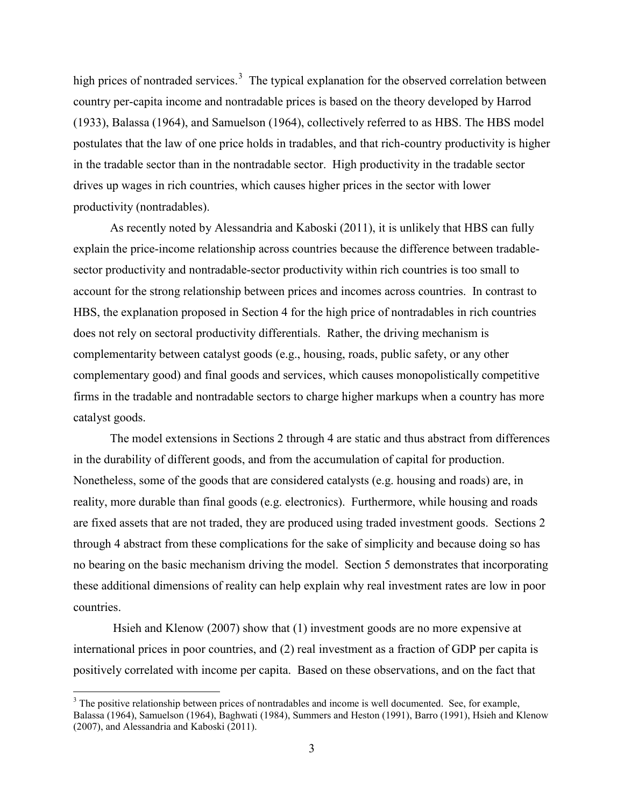high prices of nontraded services.<sup>[3](#page-4-0)</sup> The typical explanation for the observed correlation between country per-capita income and nontradable prices is based on the theory developed by Harrod (1933), Balassa (1964), and Samuelson (1964), collectively referred to as HBS. The HBS model postulates that the law of one price holds in tradables, and that rich-country productivity is higher in the tradable sector than in the nontradable sector. High productivity in the tradable sector drives up wages in rich countries, which causes higher prices in the sector with lower productivity (nontradables).

As recently noted by Alessandria and Kaboski (2011), it is unlikely that HBS can fully explain the price-income relationship across countries because the difference between tradablesector productivity and nontradable-sector productivity within rich countries is too small to account for the strong relationship between prices and incomes across countries. In contrast to HBS, the explanation proposed in Section 4 for the high price of nontradables in rich countries does not rely on sectoral productivity differentials. Rather, the driving mechanism is complementarity between catalyst goods (e.g., housing, roads, public safety, or any other complementary good) and final goods and services, which causes monopolistically competitive firms in the tradable and nontradable sectors to charge higher markups when a country has more catalyst goods.

The model extensions in Sections 2 through 4 are static and thus abstract from differences in the durability of different goods, and from the accumulation of capital for production. Nonetheless, some of the goods that are considered catalysts (e.g. housing and roads) are, in reality, more durable than final goods (e.g. electronics). Furthermore, while housing and roads are fixed assets that are not traded, they are produced using traded investment goods. Sections 2 through 4 abstract from these complications for the sake of simplicity and because doing so has no bearing on the basic mechanism driving the model. Section 5 demonstrates that incorporating these additional dimensions of reality can help explain why real investment rates are low in poor countries.

Hsieh and Klenow (2007) show that (1) investment goods are no more expensive at international prices in poor countries, and (2) real investment as a fraction of GDP per capita is positively correlated with income per capita. Based on these observations, and on the fact that

<span id="page-4-0"></span><sup>&</sup>lt;sup>3</sup> The positive relationship between prices of nontradables and income is well documented. See, for example, Balassa (1964), Samuelson (1964), Baghwati (1984), Summers and Heston (1991), Barro (1991), Hsieh and Klenow (2007), and Alessandria and Kaboski (2011).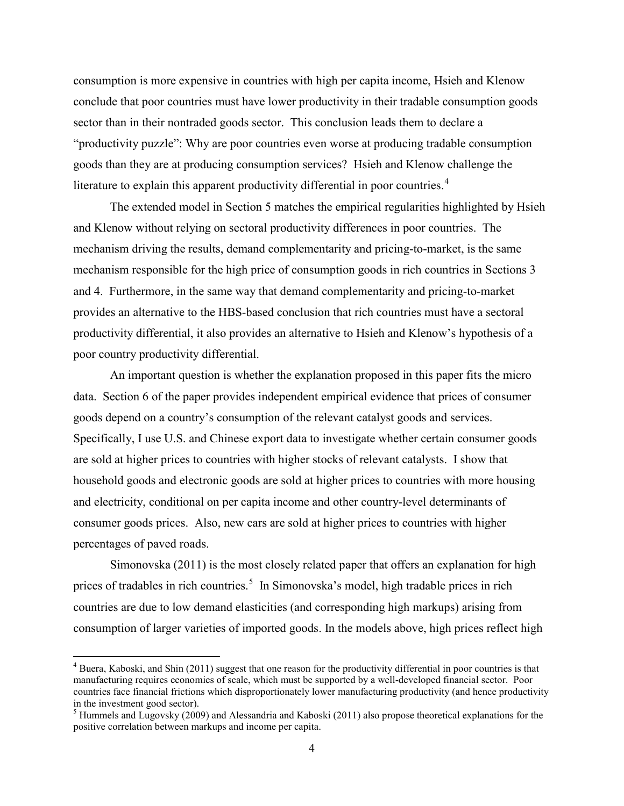consumption is more expensive in countries with high per capita income, Hsieh and Klenow conclude that poor countries must have lower productivity in their tradable consumption goods sector than in their nontraded goods sector. This conclusion leads them to declare a "productivity puzzle": Why are poor countries even worse at producing tradable consumption goods than they are at producing consumption services? Hsieh and Klenow challenge the literature to explain this apparent productivity differential in poor countries.<sup>[4](#page-5-0)</sup>

The extended model in Section 5 matches the empirical regularities highlighted by Hsieh and Klenow without relying on sectoral productivity differences in poor countries. The mechanism driving the results, demand complementarity and pricing-to-market, is the same mechanism responsible for the high price of consumption goods in rich countries in Sections 3 and 4. Furthermore, in the same way that demand complementarity and pricing-to-market provides an alternative to the HBS-based conclusion that rich countries must have a sectoral productivity differential, it also provides an alternative to Hsieh and Klenow's hypothesis of a poor country productivity differential.

An important question is whether the explanation proposed in this paper fits the micro data. Section 6 of the paper provides independent empirical evidence that prices of consumer goods depend on a country's consumption of the relevant catalyst goods and services. Specifically, I use U.S. and Chinese export data to investigate whether certain consumer goods are sold at higher prices to countries with higher stocks of relevant catalysts. I show that household goods and electronic goods are sold at higher prices to countries with more housing and electricity, conditional on per capita income and other country-level determinants of consumer goods prices. Also, new cars are sold at higher prices to countries with higher percentages of paved roads.

Simonovska (2011) is the most closely related paper that offers an explanation for high prices of tradables in rich countries.<sup>[5](#page-5-1)</sup> In Simonovska's model, high tradable prices in rich countries are due to low demand elasticities (and corresponding high markups) arising from consumption of larger varieties of imported goods. In the models above, high prices reflect high

<span id="page-5-0"></span> <sup>4</sup> Buera, Kaboski, and Shin (2011) suggest that one reason for the productivity differential in poor countries is that manufacturing requires economies of scale, which must be supported by a well-developed financial sector. Poor countries face financial frictions which disproportionately lower manufacturing productivity (and hence productivity in the investment good sector).

<span id="page-5-1"></span><sup>&</sup>lt;sup>5</sup> Hummels and Lugovsky (2009) and Alessandria and Kaboski (2011) also propose theoretical explanations for the positive correlation between markups and income per capita.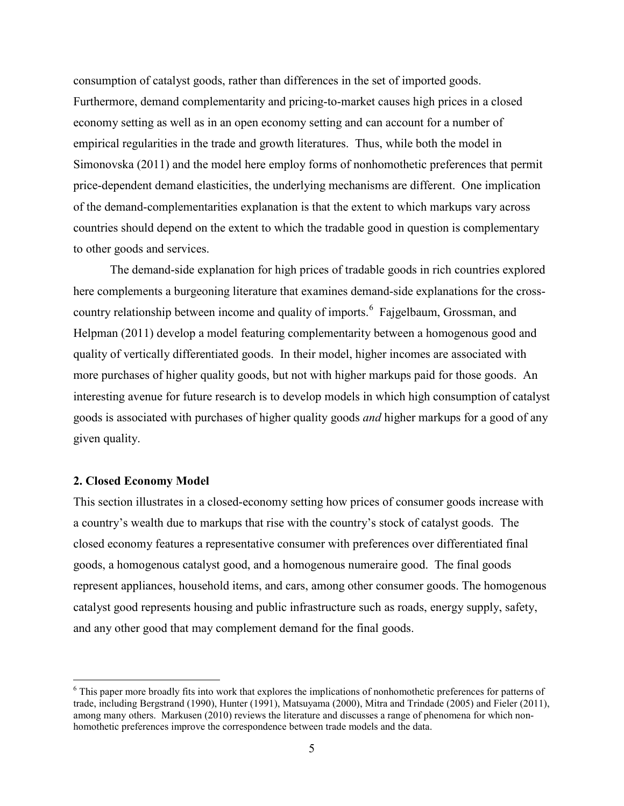consumption of catalyst goods, rather than differences in the set of imported goods. Furthermore, demand complementarity and pricing-to-market causes high prices in a closed economy setting as well as in an open economy setting and can account for a number of empirical regularities in the trade and growth literatures. Thus, while both the model in Simonovska (2011) and the model here employ forms of nonhomothetic preferences that permit price-dependent demand elasticities, the underlying mechanisms are different. One implication of the demand-complementarities explanation is that the extent to which markups vary across countries should depend on the extent to which the tradable good in question is complementary to other goods and services.

The demand-side explanation for high prices of tradable goods in rich countries explored here complements a burgeoning literature that examines demand-side explanations for the cross-country relationship between income and quality of imports.<sup>[6](#page-6-0)</sup> Fajgelbaum, Grossman, and Helpman (2011) develop a model featuring complementarity between a homogenous good and quality of vertically differentiated goods. In their model, higher incomes are associated with more purchases of higher quality goods, but not with higher markups paid for those goods. An interesting avenue for future research is to develop models in which high consumption of catalyst goods is associated with purchases of higher quality goods *and* higher markups for a good of any given quality.

#### **2. Closed Economy Model**

This section illustrates in a closed-economy setting how prices of consumer goods increase with a country's wealth due to markups that rise with the country's stock of catalyst goods. The closed economy features a representative consumer with preferences over differentiated final goods, a homogenous catalyst good, and a homogenous numeraire good. The final goods represent appliances, household items, and cars, among other consumer goods. The homogenous catalyst good represents housing and public infrastructure such as roads, energy supply, safety, and any other good that may complement demand for the final goods.

<span id="page-6-0"></span> <sup>6</sup> This paper more broadly fits into work that explores the implications of nonhomothetic preferences for patterns of trade, including Bergstrand (1990), Hunter (1991), Matsuyama (2000), Mitra and Trindade (2005) and Fieler (2011), among many others. Markusen (2010) reviews the literature and discusses a range of phenomena for which nonhomothetic preferences improve the correspondence between trade models and the data.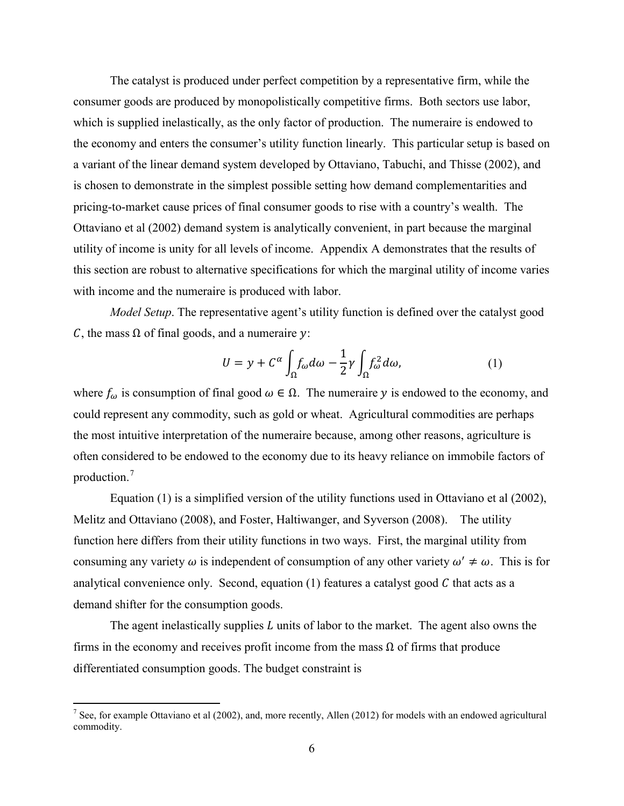The catalyst is produced under perfect competition by a representative firm, while the consumer goods are produced by monopolistically competitive firms. Both sectors use labor, which is supplied inelastically, as the only factor of production. The numeraire is endowed to the economy and enters the consumer's utility function linearly. This particular setup is based on a variant of the linear demand system developed by Ottaviano, Tabuchi, and Thisse (2002), and is chosen to demonstrate in the simplest possible setting how demand complementarities and pricing-to-market cause prices of final consumer goods to rise with a country's wealth. The Ottaviano et al (2002) demand system is analytically convenient, in part because the marginal utility of income is unity for all levels of income. Appendix A demonstrates that the results of this section are robust to alternative specifications for which the marginal utility of income varies with income and the numeraire is produced with labor.

*Model Setup*. The representative agent's utility function is defined over the catalyst good  $\mathcal{C}$ , the mass  $\Omega$  of final goods, and a numeraire y:

<span id="page-7-0"></span>
$$
U = y + C^{\alpha} \int_{\Omega} f_{\omega} d\omega - \frac{1}{2} \gamma \int_{\Omega} f_{\omega}^{2} d\omega, \qquad (1)
$$

where  $f_{\omega}$  is consumption of final good  $\omega \in \Omega$ . The numeraire y is endowed to the economy, and could represent any commodity, such as gold or wheat. Agricultural commodities are perhaps the most intuitive interpretation of the numeraire because, among other reasons, agriculture is often considered to be endowed to the economy due to its heavy reliance on immobile factors of production.<sup>[7](#page-7-1)</sup>

Equation [\(1\)](#page-7-0) is a simplified version of the utility functions used in Ottaviano et al (2002), Melitz and Ottaviano (2008), and Foster, Haltiwanger, and Syverson (2008). The utility function here differs from their utility functions in two ways. First, the marginal utility from consuming any variety  $\omega$  is independent of consumption of any other variety  $\omega' \neq \omega$ . This is for analytical convenience only. Second, equation  $(1)$  features a catalyst good C that acts as a demand shifter for the consumption goods.

The agent inelastically supplies  $L$  units of labor to the market. The agent also owns the firms in the economy and receives profit income from the mass  $\Omega$  of firms that produce differentiated consumption goods. The budget constraint is

<span id="page-7-1"></span><sup>&</sup>lt;sup>7</sup> See, for example Ottaviano et al (2002), and, more recently, Allen (2012) for models with an endowed agricultural commodity.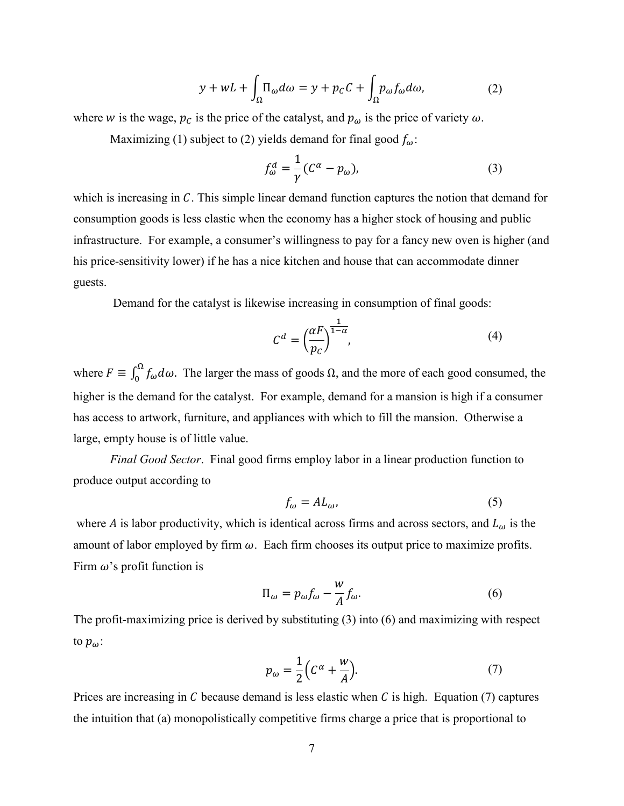$$
y + wL + \int_{\Omega} \Pi_{\omega} d\omega = y + p_{C}C + \int_{\Omega} p_{\omega} f_{\omega} d\omega, \qquad (2)
$$

where *w* is the wage,  $p_c$  is the price of the catalyst, and  $p_\omega$  is the price of variety  $\omega$ .

Maximizing (1) subject to [\(2\)](#page-8-0) yields demand for final good  $f_{\omega}$ :

<span id="page-8-1"></span><span id="page-8-0"></span>
$$
f_{\omega}^d = \frac{1}{\gamma} (C^{\alpha} - p_{\omega}), \tag{3}
$$

which is increasing in  $C$ . This simple linear demand function captures the notion that demand for consumption goods is less elastic when the economy has a higher stock of housing and public infrastructure. For example, a consumer's willingness to pay for a fancy new oven is higher (and his price-sensitivity lower) if he has a nice kitchen and house that can accommodate dinner guests.

Demand for the catalyst is likewise increasing in consumption of final goods:

<span id="page-8-4"></span>
$$
C^d = \left(\frac{\alpha F}{p_C}\right)^{\frac{1}{1-\alpha}},\tag{4}
$$

where  $F \equiv \int_0^{\Omega} f_{\omega} d\omega$ . The larger the mass of goods  $\Omega$ , and the more of each good consumed, the higher is the demand for the catalyst. For example, demand for a mansion is high if a consumer has access to artwork, furniture, and appliances with which to fill the mansion. Otherwise a large, empty house is of little value.

*Final Good Sector*. Final good firms employ labor in a linear production function to produce output according to

<span id="page-8-2"></span>
$$
f_{\omega} = A L_{\omega},\tag{5}
$$

where A is labor productivity, which is identical across firms and across sectors, and  $L_{\omega}$  is the amount of labor employed by firm  $\omega$ . Each firm chooses its output price to maximize profits. Firm  $\omega$ 's profit function is

$$
\Pi_{\omega} = p_{\omega} f_{\omega} - \frac{w}{A} f_{\omega}.
$$
\n(6)

The profit-maximizing price is derived by substituting [\(3\)](#page-8-1) into [\(6\)](#page-8-2) and maximizing with respect to  $p_{\omega}$ :

<span id="page-8-3"></span>
$$
p_{\omega} = \frac{1}{2} \left( C^{\alpha} + \frac{w}{A} \right). \tag{7}
$$

Prices are increasing in  $C$  because demand is less elastic when  $C$  is high. Equation [\(7\)](#page-8-3) captures the intuition that (a) monopolistically competitive firms charge a price that is proportional to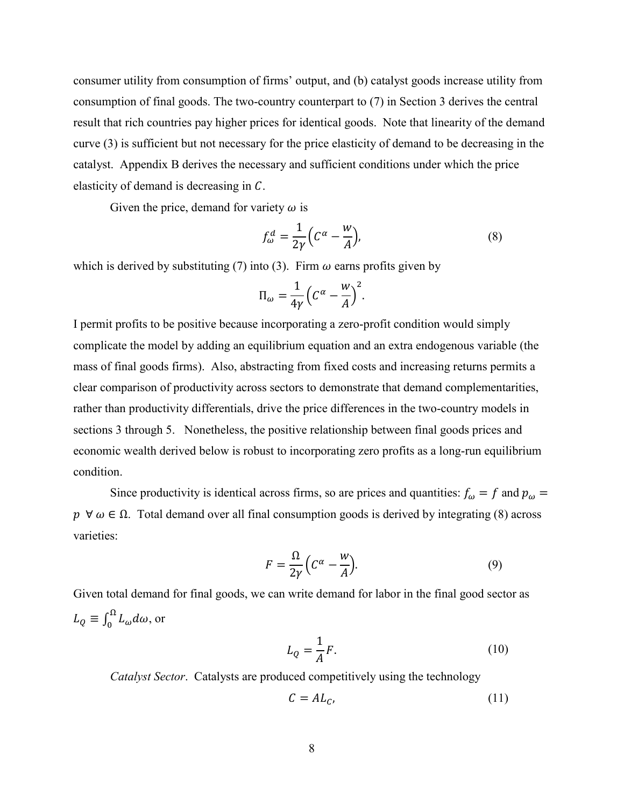consumer utility from consumption of firms' output, and (b) catalyst goods increase utility from consumption of final goods. The two-country counterpart to [\(7\)](#page-8-3) in Section 3 derives the central result that rich countries pay higher prices for identical goods. Note that linearity of the demand curve [\(3\)](#page-8-1) is sufficient but not necessary for the price elasticity of demand to be decreasing in the catalyst. Appendix B derives the necessary and sufficient conditions under which the price elasticity of demand is decreasing in  $C$ .

Given the price, demand for variety  $\omega$  is

<span id="page-9-0"></span>
$$
f_{\omega}^d = \frac{1}{2\gamma} \left( C^{\alpha} - \frac{w}{A} \right),\tag{8}
$$

which is derived by substituting [\(7\)](#page-8-3) into [\(3\).](#page-8-1) Firm  $\omega$  earns profits given by

$$
\Pi_{\omega} = \frac{1}{4\gamma} \left( C^{\alpha} - \frac{w}{A} \right)^2.
$$

I permit profits to be positive because incorporating a zero-profit condition would simply complicate the model by adding an equilibrium equation and an extra endogenous variable (the mass of final goods firms). Also, abstracting from fixed costs and increasing returns permits a clear comparison of productivity across sectors to demonstrate that demand complementarities, rather than productivity differentials, drive the price differences in the two-country models in sections 3 through 5. Nonetheless, the positive relationship between final goods prices and economic wealth derived below is robust to incorporating zero profits as a long-run equilibrium condition.

Since productivity is identical across firms, so are prices and quantities:  $f_{\omega} = f$  and  $p_{\omega} =$  $p \lor \omega \in \Omega$ . Total demand over all final consumption goods is derived by integrating [\(8\)](#page-9-0) across varieties:

$$
F = \frac{\Omega}{2\gamma} \Big( C^{\alpha} - \frac{w}{A} \Big). \tag{9}
$$

Given total demand for final goods, we can write demand for labor in the final good sector as  $L_Q \equiv \int_0^{\Omega} L_{\omega} d\omega$ , or

<span id="page-9-1"></span>
$$
L_Q = \frac{1}{A}F.\t(10)
$$

*Catalyst Sector*. Catalysts are produced competitively using the technology

$$
C = AL_C,\tag{11}
$$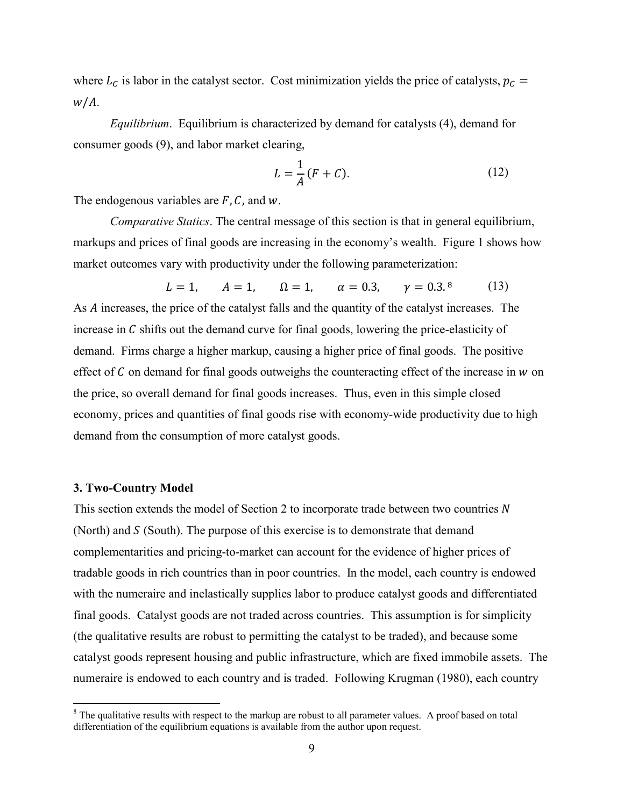where  $L_c$  is labor in the catalyst sector. Cost minimization yields the price of catalysts,  $p_c =$  $W/A$ .

*Equilibrium*. Equilibrium is characterized by demand for catalysts [\(4\),](#page-8-4) demand for consumer goods [\(9\),](#page-9-1) and labor market clearing,

$$
L = \frac{1}{A}(F + C). \tag{12}
$$

The endogenous variables are  $F$ ,  $C$ , and  $W$ .

*Comparative Statics*. The central message of this section is that in general equilibrium, markups and prices of final goods are increasing in the economy's wealth. Figure 1 shows how market outcomes vary with productivity under the following parameterization:

$$
L = 1,
$$
  $A = 1,$   $\Omega = 1,$   $\alpha = 0.3,$   $\gamma = 0.3$ .<sup>8</sup> (13)

As A increases, the price of the catalyst falls and the quantity of the catalyst increases. The increase in  $C$  shifts out the demand curve for final goods, lowering the price-elasticity of demand. Firms charge a higher markup, causing a higher price of final goods. The positive effect of  $C$  on demand for final goods outweighs the counteracting effect of the increase in  $w$  on the price, so overall demand for final goods increases. Thus, even in this simple closed economy, prices and quantities of final goods rise with economy-wide productivity due to high demand from the consumption of more catalyst goods.

#### **3. Two-Country Model**

This section extends the model of Section 2 to incorporate trade between two countries  $N$ (North) and  $S$  (South). The purpose of this exercise is to demonstrate that demand complementarities and pricing-to-market can account for the evidence of higher prices of tradable goods in rich countries than in poor countries. In the model, each country is endowed with the numeraire and inelastically supplies labor to produce catalyst goods and differentiated final goods. Catalyst goods are not traded across countries. This assumption is for simplicity (the qualitative results are robust to permitting the catalyst to be traded), and because some catalyst goods represent housing and public infrastructure, which are fixed immobile assets. The numeraire is endowed to each country and is traded. Following Krugman (1980), each country

<sup>&</sup>lt;sup>8</sup> The qualitative results with respect to the markup are robust to all parameter values. A proof based on total differentiation of the equilibrium equations is available from the author upon request.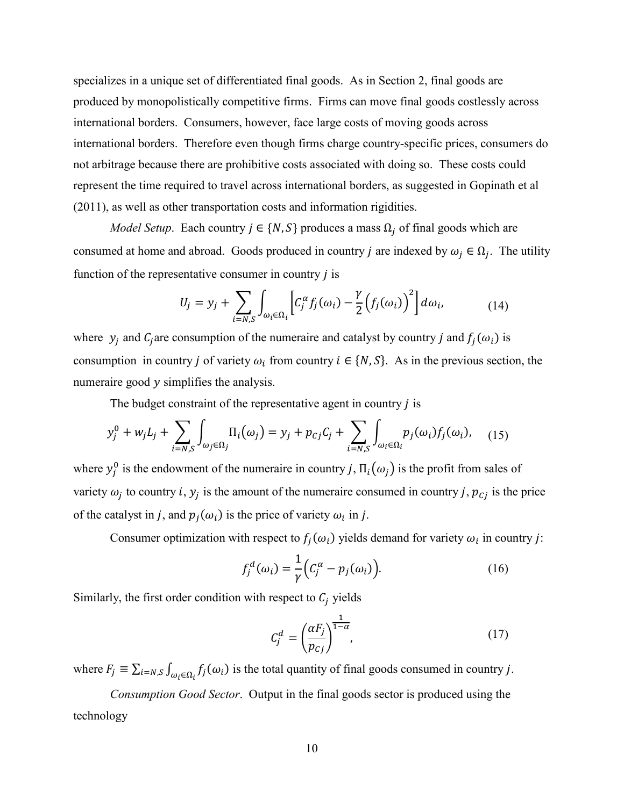specializes in a unique set of differentiated final goods. As in Section 2, final goods are produced by monopolistically competitive firms. Firms can move final goods costlessly across international borders. Consumers, however, face large costs of moving goods across international borders. Therefore even though firms charge country-specific prices, consumers do not arbitrage because there are prohibitive costs associated with doing so. These costs could represent the time required to travel across international borders, as suggested in Gopinath et al (2011), as well as other transportation costs and information rigidities.

*Model Setup*. Each country  $j \in \{N, S\}$  produces a mass  $\Omega_j$  of final goods which are consumed at home and abroad. Goods produced in country *j* are indexed by  $\omega_i \in \Omega_i$ . The utility function of the representative consumer in country  *is* 

<span id="page-11-2"></span>
$$
U_j = y_j + \sum_{i=N,S} \int_{\omega_i \in \Omega_i} \left[ C_j^{\alpha} f_j(\omega_i) - \frac{\gamma}{2} \left( f_j(\omega_i) \right)^2 \right] d\omega_i, \tag{14}
$$

where  $y_i$  and  $C_i$  are consumption of the numeraire and catalyst by country j and  $f_i(\omega_i)$  is consumption in country *j* of variety  $\omega_i$  from country  $i \in \{N, S\}$ . As in the previous section, the numeraire good  $y$  simplifies the analysis.

The budget constraint of the representative agent in country  $\dot{\jmath}$  is

$$
y_j^0 + w_j L_j + \sum_{i=N,S} \int_{\omega_j \in \Omega_j} \Pi_i(\omega_j) = y_j + p_{Cj} C_j + \sum_{i=N,S} \int_{\omega_i \in \Omega_i} p_j(\omega_i) f_j(\omega_i), \quad (15)
$$

where  $y_j^0$  is the endowment of the numeraire in country j,  $\Pi_i(\omega_j)$  is the profit from sales of variety  $\omega_j$  to country *i*,  $y_j$  is the amount of the numeraire consumed in country *j*,  $p_{cj}$  is the price of the catalyst in j, and  $p_i(\omega_i)$  is the price of variety  $\omega_i$  in j.

Consumer optimization with respect to  $f_i(\omega_i)$  yields demand for variety  $\omega_i$  in country j:

$$
f_j^d(\omega_i) = \frac{1}{\gamma} \Big( C_j^\alpha - p_j(\omega_i) \Big). \tag{16}
$$

Similarly, the first order condition with respect to  $C_j$  yields

<span id="page-11-1"></span><span id="page-11-0"></span>
$$
C_j^d = \left(\frac{\alpha F_j}{p_{Cj}}\right)^{\frac{1}{1-\alpha}},\tag{17}
$$

where  $F_j \equiv \sum_{i=N,S} \int_{\omega_i \in \Omega_i} f_j(\omega_i)$  is the total quantity of final goods consumed in country j.

*Consumption Good Sector*. Output in the final goods sector is produced using the technology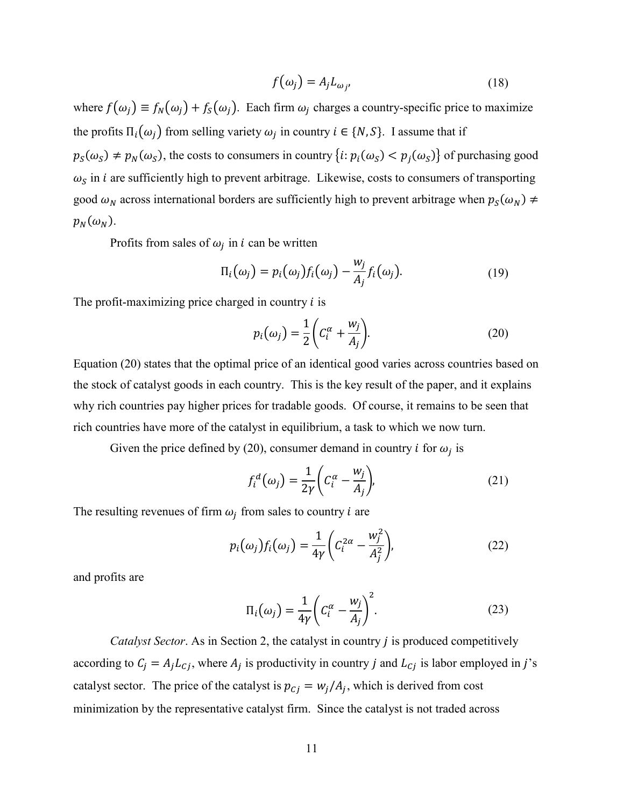$$
f(\omega_j) = A_j L_{\omega_{j'}} \tag{18}
$$

where  $f(\omega_i) \equiv f_N(\omega_i) + f_S(\omega_i)$ . Each firm  $\omega_i$  charges a country-specific price to maximize the profits  $\Pi_i(\omega_i)$  from selling variety  $\omega_i$  in country  $i \in \{N, S\}$ . I assume that if  $p_S(\omega_S) \neq p_N(\omega_S)$ , the costs to consumers in country  $\{i: p_i(\omega_S) < p_j(\omega_S)\}$  of purchasing good  $\omega_s$  in *i* are sufficiently high to prevent arbitrage. Likewise, costs to consumers of transporting good  $\omega_N$  across international borders are sufficiently high to prevent arbitrage when  $p_S(\omega_N) \neq$  $p_N(\omega_N)$ .

Profits from sales of  $\omega_i$  in *i* can be written

$$
\Pi_i(\omega_j) = p_i(\omega_j) f_i(\omega_j) - \frac{w_j}{A_j} f_i(\omega_j). \tag{19}
$$

The profit-maximizing price charged in country  $i$  is

<span id="page-12-0"></span>
$$
p_i(\omega_j) = \frac{1}{2} \left( C_i^{\alpha} + \frac{w_j}{A_j} \right).
$$
 (20)

Equation [\(20\)](#page-12-0) states that the optimal price of an identical good varies across countries based on the stock of catalyst goods in each country. This is the key result of the paper, and it explains why rich countries pay higher prices for tradable goods. Of course, it remains to be seen that rich countries have more of the catalyst in equilibrium, a task to which we now turn.

Given the price defined by [\(20\),](#page-12-0) consumer demand in country *i* for  $\omega_i$  is

<span id="page-12-1"></span>
$$
f_i^d(\omega_j) = \frac{1}{2\gamma} \left( C_i^{\alpha} - \frac{w_j}{A_j} \right),\tag{21}
$$

The resulting revenues of firm  $\omega_j$  from sales to country *i* are

$$
p_i(\omega_j) f_i(\omega_j) = \frac{1}{4\gamma} \left( C_i^{2\alpha} - \frac{w_j^2}{A_j^2} \right),\tag{22}
$$

and profits are

$$
\Pi_i(\omega_j) = \frac{1}{4\gamma} \left( C_i^{\alpha} - \frac{w_j}{A_j} \right)^2.
$$
 (23)

*Catalyst Sector.* As in Section 2, the catalyst in country *j* is produced competitively according to  $C_j = A_j L_{C_j}$ , where  $A_j$  is productivity in country j and  $L_{C_j}$  is labor employed in j's catalyst sector. The price of the catalyst is  $p_{Cj} = w_j / A_j$ , which is derived from cost minimization by the representative catalyst firm. Since the catalyst is not traded across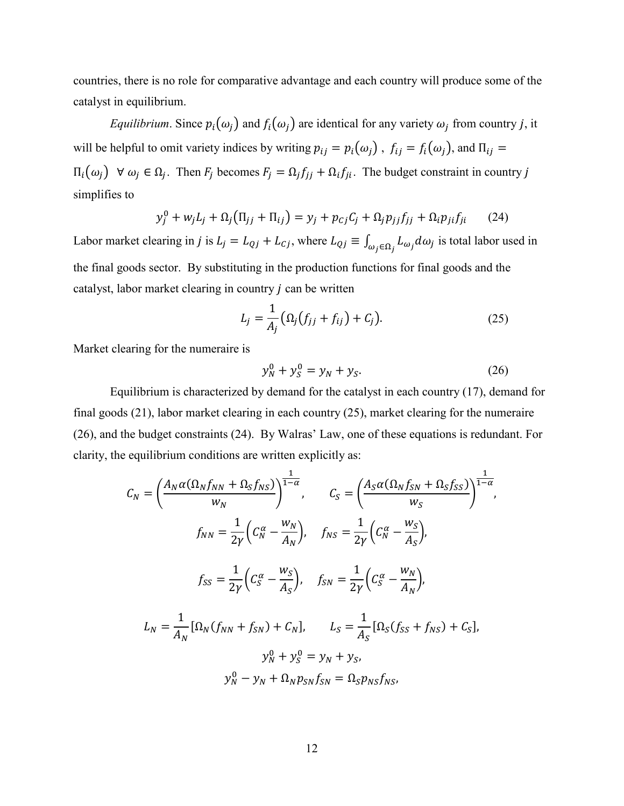countries, there is no role for comparative advantage and each country will produce some of the catalyst in equilibrium.

*Equilibrium*. Since  $p_i(\omega_i)$  and  $f_i(\omega_i)$  are identical for any variety  $\omega_i$  from country j, it will be helpful to omit variety indices by writing  $p_{ij} = p_i(\omega_j)$ ,  $f_{ij} = f_i(\omega_j)$ , and  $\Pi_{ij} =$  $\Pi_i(\omega_j) \quad \forall \omega_j \in \Omega_j$ . Then  $F_j$  becomes  $F_j = \Omega_j f_{jj} + \Omega_i f_{ji}$ . The budget constraint in country j simplifies to

$$
y_j^0 + w_j L_j + \Omega_j (\Pi_{jj} + \Pi_{ij}) = y_j + p_{cj} C_j + \Omega_j p_{jj} f_{jj} + \Omega_i p_{ji} f_{ji}
$$
 (24)

Labor market clearing in *j* is  $L_j = L_{Qj} + L_{Cj}$ , where  $L_{Qj} \equiv \int_{\omega_j \in \Omega_j} L_{\omega_j} d\omega_j$  is total labor used in the final goods sector. By substituting in the production functions for final goods and the catalyst, labor market clearing in country  *can be written* 

<span id="page-13-2"></span>
$$
L_j = \frac{1}{A_j} \big( \Omega_j \big( f_{jj} + f_{ij} \big) + C_j \big).
$$
 (25)

Market clearing for the numeraire is

$$
y_N^0 + y_S^0 = y_N + y_S. \tag{26}
$$

<span id="page-13-1"></span><span id="page-13-0"></span>,

Equilibrium is characterized by demand for the catalyst in each country [\(17\),](#page-11-0) demand for final goods [\(21\),](#page-12-1) labor market clearing in each country [\(25\),](#page-13-0) market clearing for the numeraire [\(26\),](#page-13-1) and the budget constraints [\(24\).](#page-13-2) By Walras' Law, one of these equations is redundant. For clarity, the equilibrium conditions are written explicitly as:

$$
C_N = \left(\frac{A_N \alpha (\Omega_N f_{NN} + \Omega_S f_{NS})}{w_N}\right)^{\frac{1}{1-\alpha}}, \qquad C_S = \left(\frac{A_S \alpha (\Omega_N f_{SN} + \Omega_S f_{SS})}{w_S}\right)^{\frac{1}{1-\alpha}},
$$
  

$$
f_{NN} = \frac{1}{2\gamma} \left(C_N^{\alpha} - \frac{w_N}{A_N}\right), \quad f_{NS} = \frac{1}{2\gamma} \left(C_N^{\alpha} - \frac{w_S}{A_S}\right),
$$
  

$$
f_{SS} = \frac{1}{2\gamma} \left(C_S^{\alpha} - \frac{w_S}{A_S}\right), \quad f_{SN} = \frac{1}{2\gamma} \left(C_S^{\alpha} - \frac{w_N}{A_N}\right),
$$
  

$$
L_N = \frac{1}{A_N} \left[\Omega_N (f_{NN} + f_{SN}) + C_N\right], \qquad L_S = \frac{1}{A_S} \left[\Omega_S (f_{SS} + f_{NS}) + C_S\right],
$$
  

$$
y_N^0 + y_S^0 = y_N + y_S,
$$
  

$$
y_N^0 - y_N + \Omega_N p_{SN} f_{SN} = \Omega_S p_{NS} f_{NS},
$$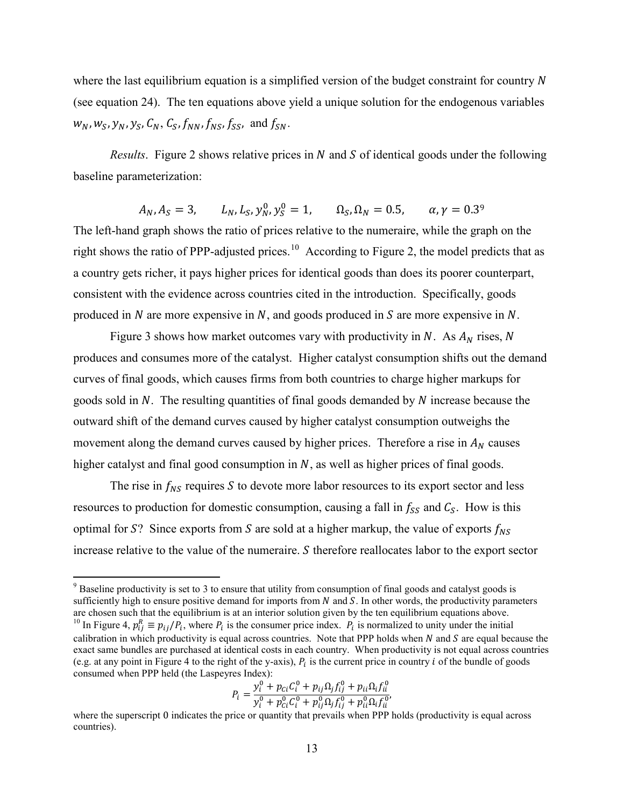where the last equilibrium equation is a simplified version of the budget constraint for country  $N$ (see equation 24). The ten equations above yield a unique solution for the endogenous variables  $w_N, w_S, y_N, y_S, C_N, C_S, f_{NN}, f_{NS}, f_{SS},$  and  $f_{SN}$ .

*Results.* Figure 2 shows relative prices in N and S of identical goods under the following baseline parameterization:

$$
A_N, A_S = 3,
$$
  $L_N, L_S, y_N^0, y_S^0 = 1,$   $\Omega_S, \Omega_N = 0.5,$   $\alpha, \gamma = 0.3^9$ 

The left-hand graph shows the ratio of prices relative to the numeraire, while the graph on the right shows the ratio of PPP-adjusted prices.<sup>[10](#page-14-0)</sup> According to Figure 2, the model predicts that as a country gets richer, it pays higher prices for identical goods than does its poorer counterpart, consistent with the evidence across countries cited in the introduction. Specifically, goods produced in  $N$  are more expensive in  $N$ , and goods produced in  $S$  are more expensive in  $N$ .

Figure 3 shows how market outcomes vary with productivity in N. As  $A_N$  rises, N produces and consumes more of the catalyst. Higher catalyst consumption shifts out the demand curves of final goods, which causes firms from both countries to charge higher markups for goods sold in  $N$ . The resulting quantities of final goods demanded by  $N$  increase because the outward shift of the demand curves caused by higher catalyst consumption outweighs the movement along the demand curves caused by higher prices. Therefore a rise in  $A<sub>N</sub>$  causes higher catalyst and final good consumption in  $N$ , as well as higher prices of final goods.

The rise in  $f_{NS}$  requires S to devote more labor resources to its export sector and less resources to production for domestic consumption, causing a fall in  $f_{SS}$  and  $C_S$ . How is this optimal for S? Since exports from S are sold at a higher markup, the value of exports  $f_{NS}$ increase relative to the value of the numeraire.  $S$  therefore reallocates labor to the export sector

$$
P_i = \frac{y_i^0 + p_{ci}C_i^0 + p_{ij}\Omega_j f_{ij}^0 + p_{ii}\Omega_i f_{ii}^0}{y_i^0 + p_{ci}^0C_i^0 + p_{ij}^0\Omega_j f_{ij}^0 + p_{ii}^0\Omega_i f_{ii}^0},
$$

<span id="page-14-0"></span><sup>&</sup>lt;sup>9</sup> Baseline productivity is set to 3 to ensure that utility from consumption of final goods and catalyst goods is sufficiently high to ensure positive demand for imports from  $N$  and  $S$ . In other words, the productivity parameters are chosen such that the equilibrium is at an interior solution given by the ten equilibrium equations are chosen such that the equilibrium is at an interior solution given by the ten equilibrium equations above.<br><sup>10</sup> In Figure 4,  $p_{ij}^R \equiv p_{ij}/P_i$ , where  $P_i$  is the consumer price index.  $P_i$  is normalized to unity under t calibration in which productivity is equal across countries. Note that PPP holds when  $N$  and  $S$  are equal because the exact same bundles are purchased at identical costs in each country. When productivity is not equal across countries (e.g. at any point in Figure 4 to the right of the y-axis),  $P_i$  is the current price in country i of the bundle of goods consumed when PPP held (the Laspeyres Index):

where the superscript 0 indicates the price or quantity that prevails when PPP holds (productivity is equal across countries).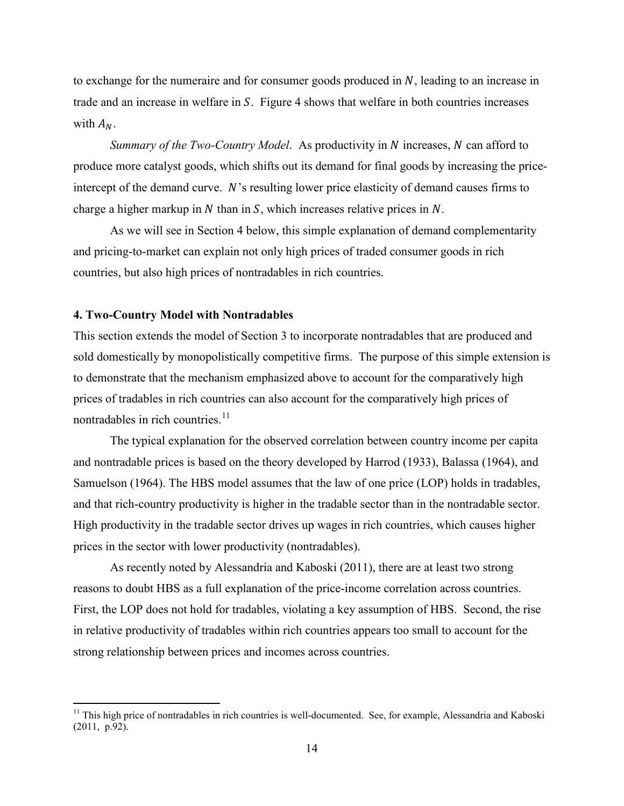to exchange for the numeraire and for consumer goods produced in  $N$ , leading to an increase in trade and an increase in welfare in  $S$ . Figure 4 shows that welfare in both countries increases with  $A_N$ .

*Summary of the Two-Country Model.* As productivity in N increases, N can afford to produce more catalyst goods, which shifts out its demand for final goods by increasing the priceintercept of the demand curve.  $N$ 's resulting lower price elasticity of demand causes firms to charge a higher markup in  $N$  than in  $S$ , which increases relative prices in  $N$ .

As we will see in Section 4 below, this simple explanation of demand complementarity and pricing-to-market can explain not only high prices of traded consumer goods in rich countries, but also high prices of nontradables in rich countries.

#### **4. Two-Country Model with Nontradables**

This section extends the model of Section 3 to incorporate nontradables that are produced and sold domestically by monopolistically competitive firms. The purpose of this simple extension is to demonstrate that the mechanism emphasized above to account for the comparatively high prices of tradables in rich countries can also account for the comparatively high prices of nontradables in rich countries.<sup>[11](#page-15-0)</sup>

The typical explanation for the observed correlation between country income per capita and nontradable prices is based on the theory developed by Harrod (1933), Balassa (1964), and Samuelson (1964). The HBS model assumes that the law of one price (LOP) holds in tradables, and that rich-country productivity is higher in the tradable sector than in the nontradable sector. High productivity in the tradable sector drives up wages in rich countries, which causes higher prices in the sector with lower productivity (nontradables).

As recently noted by Alessandria and Kaboski (2011), there are at least two strong reasons to doubt HBS as a full explanation of the price-income correlation across countries. First, the LOP does not hold for tradables, violating a key assumption of HBS. Second, the rise in relative productivity of tradables within rich countries appears too small to account for the strong relationship between prices and incomes across countries.

<span id="page-15-0"></span> $11$  This high price of nontradables in rich countries is well-documented. See, for example, Alessandria and Kaboski (2011, p.92).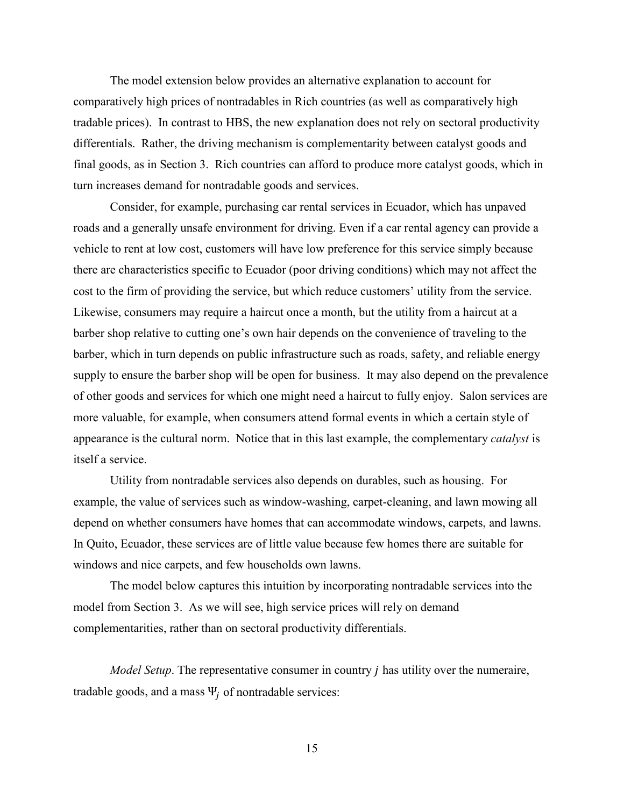The model extension below provides an alternative explanation to account for comparatively high prices of nontradables in Rich countries (as well as comparatively high tradable prices). In contrast to HBS, the new explanation does not rely on sectoral productivity differentials. Rather, the driving mechanism is complementarity between catalyst goods and final goods, as in Section 3. Rich countries can afford to produce more catalyst goods, which in turn increases demand for nontradable goods and services.

Consider, for example, purchasing car rental services in Ecuador, which has unpaved roads and a generally unsafe environment for driving. Even if a car rental agency can provide a vehicle to rent at low cost, customers will have low preference for this service simply because there are characteristics specific to Ecuador (poor driving conditions) which may not affect the cost to the firm of providing the service, but which reduce customers' utility from the service. Likewise, consumers may require a haircut once a month, but the utility from a haircut at a barber shop relative to cutting one's own hair depends on the convenience of traveling to the barber, which in turn depends on public infrastructure such as roads, safety, and reliable energy supply to ensure the barber shop will be open for business. It may also depend on the prevalence of other goods and services for which one might need a haircut to fully enjoy. Salon services are more valuable, for example, when consumers attend formal events in which a certain style of appearance is the cultural norm. Notice that in this last example, the complementary *catalyst* is itself a service.

Utility from nontradable services also depends on durables, such as housing. For example, the value of services such as window-washing, carpet-cleaning, and lawn mowing all depend on whether consumers have homes that can accommodate windows, carpets, and lawns. In Quito, Ecuador, these services are of little value because few homes there are suitable for windows and nice carpets, and few households own lawns.

The model below captures this intuition by incorporating nontradable services into the model from Section 3. As we will see, high service prices will rely on demand complementarities, rather than on sectoral productivity differentials.

*Model Setup*. The representative consumer in country *j* has utility over the numeraire, tradable goods, and a mass  $\Psi_i$  of nontradable services:

15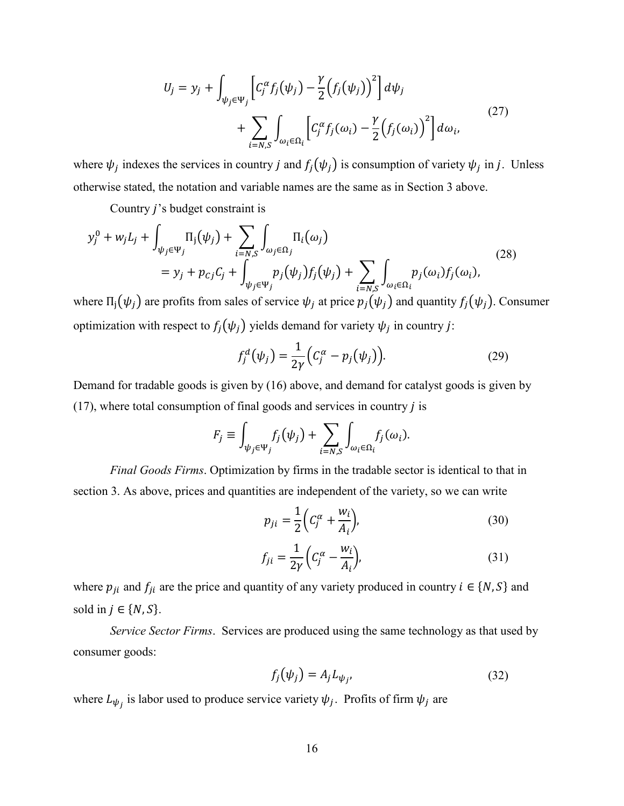$$
U_j = y_j + \int_{\psi_j \in \Psi_j} \left[ C_j^{\alpha} f_j(\psi_j) - \frac{\gamma}{2} \left( f_j(\psi_j) \right)^2 \right] d\psi_j
$$
  
+ 
$$
\sum_{i=N,S} \int_{\omega_i \in \Omega_i} \left[ C_j^{\alpha} f_j(\omega_i) - \frac{\gamma}{2} \left( f_j(\omega_i) \right)^2 \right] d\omega_i,
$$
 (27)

where  $\psi_j$  indexes the services in country j and  $f_j(\psi_j)$  is consumption of variety  $\psi_j$  in j. Unless otherwise stated, the notation and variable names are the same as in Section 3 above.

Country  $j$ 's budget constraint is

$$
y_j^0 + w_j L_j + \int_{\psi_j \in \Psi_j} \Pi_j(\psi_j) + \sum_{i=N,S} \int_{\omega_j \in \Omega_j} \Pi_i(\omega_j)
$$
  
=  $y_j + p_{Cj}C_j + \int_{\psi_j \in \Psi_j} p_j(\psi_j) f_j(\psi_j) + \sum_{i=N,S} \int_{\omega_i \in \Omega_i} p_j(\omega_i) f_j(\omega_i),$  (28)

where  $\Pi_j(\psi_j)$  are profits from sales of service  $\psi_j$  at price  $p_j(\psi_j)$  and quantity  $f_j(\psi_j)$ . Consumer optimization with respect to  $f_i(\psi_i)$  yields demand for variety  $\psi_i$  in country j:

<span id="page-17-1"></span>
$$
f_j^d(\psi_j) = \frac{1}{2\gamma} \Big( C_j^{\alpha} - p_j(\psi_j) \Big). \tag{29}
$$

Demand for tradable goods is given by (16) above, and demand for catalyst goods is given by  $(17)$ , where total consumption of final goods and services in country *j* is

$$
F_j \equiv \int_{\psi_j \in \Psi_j} f_j(\psi_j) + \sum_{i=N,S} \int_{\omega_i \in \Omega_i} f_j(\omega_i).
$$

Final Goods Firms. Optimization by firms in the tradable sector is identical to that in section 3. As above, prices and quantities are independent of the variety, so we can write

$$
p_{ji} = \frac{1}{2} \left( C_j^{\alpha} + \frac{w_i}{A_i} \right),\tag{30}
$$

<span id="page-17-0"></span>
$$
f_{ji} = \frac{1}{2\gamma} \left( C_j^{\alpha} - \frac{w_i}{A_i} \right),\tag{31}
$$

where  $p_{ji}$  and  $f_{ji}$  are the price and quantity of any variety produced in country  $i \in \{N, S\}$  and sold in  $j \in \{N, S\}$ .

Service Sector Firms. Services are produced using the same technology as that used by consumer goods:

$$
f_j(\psi_j) = A_j L_{\psi_j},\tag{32}
$$

where  $L_{\psi_j}$  is labor used to produce service variety  $\psi_j$ . Profits of firm  $\psi_j$  are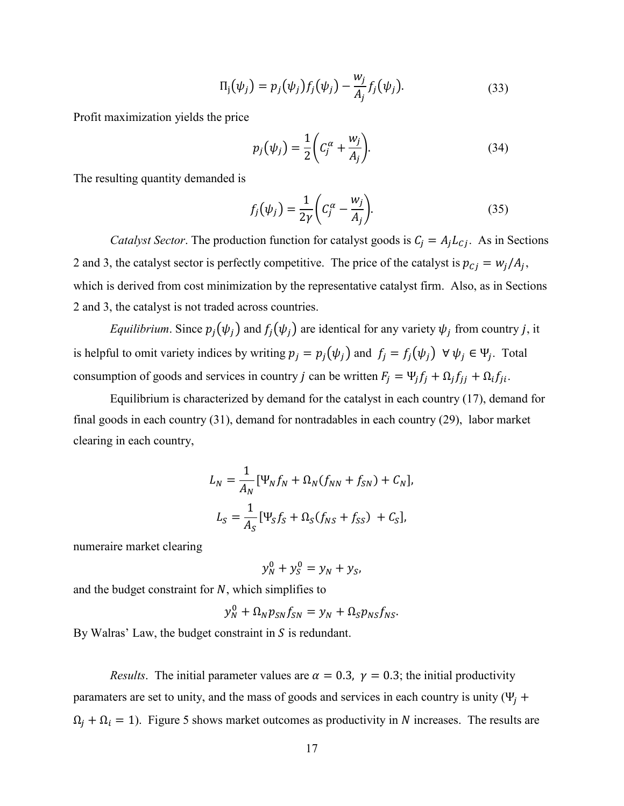$$
\Pi_j(\psi_j) = p_j(\psi_j) f_j(\psi_j) - \frac{w_j}{A_j} f_j(\psi_j).
$$
 (33)

Profit maximization yields the price

$$
p_j(\psi_j) = \frac{1}{2} \left( C_j^{\alpha} + \frac{w_j}{A_j} \right).
$$
 (34)

The resulting quantity demanded is

$$
f_j(\psi_j) = \frac{1}{2\gamma} \bigg( C_j^{\alpha} - \frac{w_j}{A_j} \bigg). \tag{35}
$$

*Catalyst Sector.* The production function for catalyst goods is  $C_j = A_j L_{C_j}$ . As in Sections 2 and 3, the catalyst sector is perfectly competitive. The price of the catalyst is  $p_{Cj} = w_j/A_j$ , which is derived from cost minimization by the representative catalyst firm. Also, as in Sections 2 and 3, the catalyst is not traded across countries.

*Equilibrium*. Since  $p_i(\psi_i)$  and  $f_i(\psi_i)$  are identical for any variety  $\psi_i$  from country j, it is helpful to omit variety indices by writing  $p_j = p_j(\psi_j)$  and  $f_j = f_j(\psi_j) \forall \psi_j \in \Psi_j$ . Total consumption of goods and services in country *j* can be written  $F_j = \Psi_j f_j + \Omega_j f_{jj} + \Omega_i f_{ji}$ .

Equilibrium is characterized by demand for the catalyst in each country [\(17\),](#page-11-0) demand for final goods in each country [\(31\),](#page-17-0) demand for nontradables in each country [\(29\),](#page-17-1) labor market clearing in each country,

$$
L_N = \frac{1}{A_N} [\Psi_N f_N + \Omega_N (f_{NN} + f_{SN}) + C_N],
$$
  

$$
L_S = \frac{1}{A_S} [\Psi_S f_S + \Omega_S (f_{NS} + f_{SS}) + C_S],
$$

numeraire market clearing

$$
y_N^0 + y_S^0 = y_N + y_S,
$$

and the budget constraint for  $N$ , which simplifies to

$$
y_N^0 + \Omega_N p_{SN} f_{SN} = y_N + \Omega_S p_{NS} f_{NS}.
$$

By Walras' Law, the budget constraint in  $S$  is redundant.

*Results*. The initial parameter values are  $\alpha = 0.3$ ,  $\gamma = 0.3$ ; the initial productivity paramaters are set to unity, and the mass of goods and services in each country is unity ( $\Psi$ <sub>i</sub> +  $\Omega_j + \Omega_i = 1$ ). Figure 5 shows market outcomes as productivity in N increases. The results are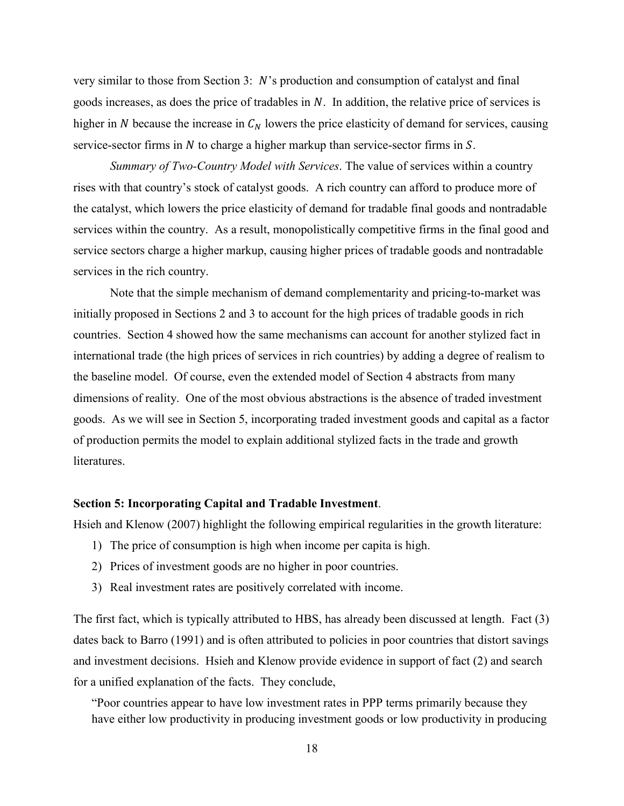very similar to those from Section 3:  $N$ 's production and consumption of catalyst and final goods increases, as does the price of tradables in  $N$ . In addition, the relative price of services is higher in N because the increase in  $C_N$  lowers the price elasticity of demand for services, causing service-sector firms in  $N$  to charge a higher markup than service-sector firms in  $S$ .

*Summary of Two-Country Model with Services*. The value of services within a country rises with that country's stock of catalyst goods. A rich country can afford to produce more of the catalyst, which lowers the price elasticity of demand for tradable final goods and nontradable services within the country. As a result, monopolistically competitive firms in the final good and service sectors charge a higher markup, causing higher prices of tradable goods and nontradable services in the rich country.

Note that the simple mechanism of demand complementarity and pricing-to-market was initially proposed in Sections 2 and 3 to account for the high prices of tradable goods in rich countries. Section 4 showed how the same mechanisms can account for another stylized fact in international trade (the high prices of services in rich countries) by adding a degree of realism to the baseline model. Of course, even the extended model of Section 4 abstracts from many dimensions of reality. One of the most obvious abstractions is the absence of traded investment goods. As we will see in Section 5, incorporating traded investment goods and capital as a factor of production permits the model to explain additional stylized facts in the trade and growth literatures.

#### **Section 5: Incorporating Capital and Tradable Investment**.

Hsieh and Klenow (2007) highlight the following empirical regularities in the growth literature:

- 1) The price of consumption is high when income per capita is high.
- 2) Prices of investment goods are no higher in poor countries.
- 3) Real investment rates are positively correlated with income.

The first fact, which is typically attributed to HBS, has already been discussed at length. Fact (3) dates back to Barro (1991) and is often attributed to policies in poor countries that distort savings and investment decisions. Hsieh and Klenow provide evidence in support of fact (2) and search for a unified explanation of the facts. They conclude,

"Poor countries appear to have low investment rates in PPP terms primarily because they have either low productivity in producing investment goods or low productivity in producing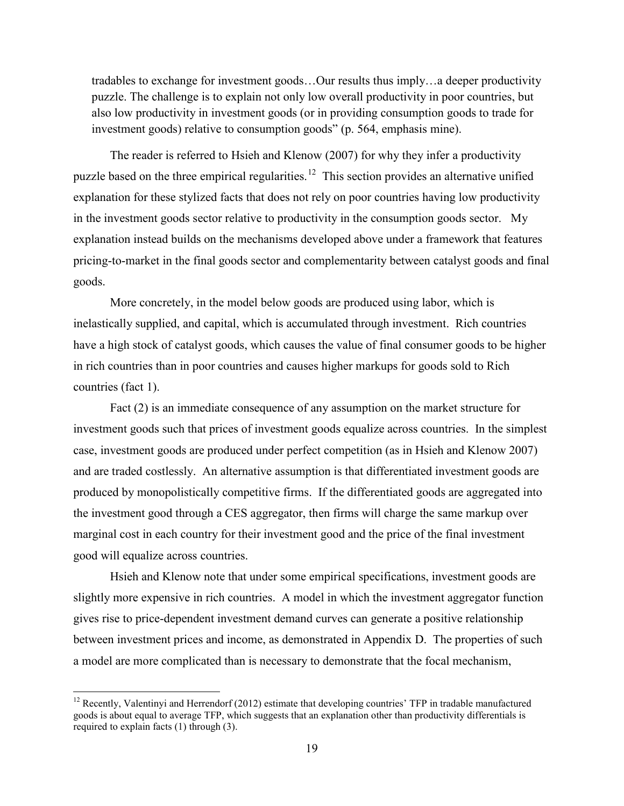tradables to exchange for investment goods…Our results thus imply…a deeper productivity puzzle. The challenge is to explain not only low overall productivity in poor countries, but also low productivity in investment goods (or in providing consumption goods to trade for investment goods) relative to consumption goods" (p. 564, emphasis mine).

The reader is referred to Hsieh and Klenow (2007) for why they infer a productivity puzzle based on the three empirical regularities.<sup>[12](#page-20-0)</sup> This section provides an alternative unified explanation for these stylized facts that does not rely on poor countries having low productivity in the investment goods sector relative to productivity in the consumption goods sector. My explanation instead builds on the mechanisms developed above under a framework that features pricing-to-market in the final goods sector and complementarity between catalyst goods and final goods.

More concretely, in the model below goods are produced using labor, which is inelastically supplied, and capital, which is accumulated through investment. Rich countries have a high stock of catalyst goods, which causes the value of final consumer goods to be higher in rich countries than in poor countries and causes higher markups for goods sold to Rich countries (fact 1).

Fact (2) is an immediate consequence of any assumption on the market structure for investment goods such that prices of investment goods equalize across countries. In the simplest case, investment goods are produced under perfect competition (as in Hsieh and Klenow 2007) and are traded costlessly. An alternative assumption is that differentiated investment goods are produced by monopolistically competitive firms. If the differentiated goods are aggregated into the investment good through a CES aggregator, then firms will charge the same markup over marginal cost in each country for their investment good and the price of the final investment good will equalize across countries.

Hsieh and Klenow note that under some empirical specifications, investment goods are slightly more expensive in rich countries. A model in which the investment aggregator function gives rise to price-dependent investment demand curves can generate a positive relationship between investment prices and income, as demonstrated in Appendix D. The properties of such a model are more complicated than is necessary to demonstrate that the focal mechanism,

<span id="page-20-0"></span><sup>&</sup>lt;sup>12</sup> Recently, Valentinyi and Herrendorf (2012) estimate that developing countries' TFP in tradable manufactured goods is about equal to average TFP, which suggests that an explanation other than productivity differentials is required to explain facts (1) through (3).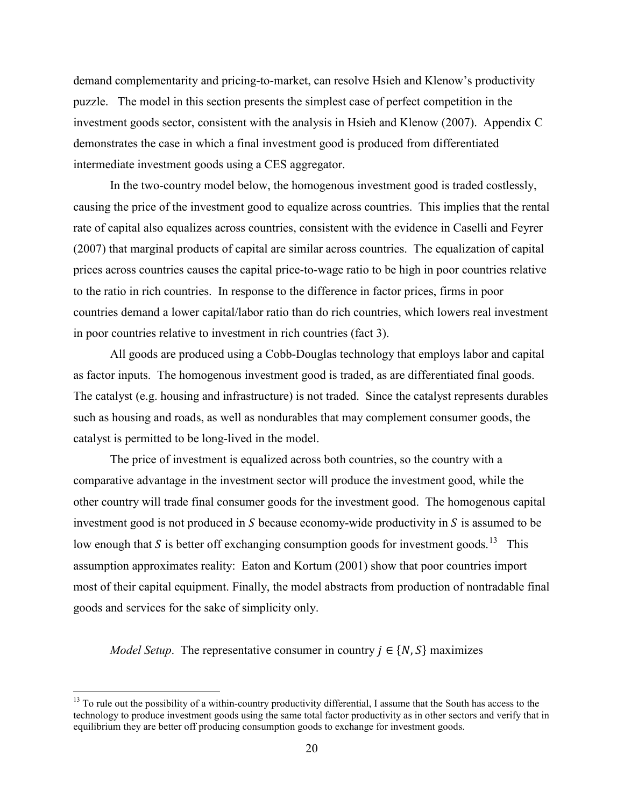demand complementarity and pricing-to-market, can resolve Hsieh and Klenow's productivity puzzle. The model in this section presents the simplest case of perfect competition in the investment goods sector, consistent with the analysis in Hsieh and Klenow (2007). Appendix C demonstrates the case in which a final investment good is produced from differentiated intermediate investment goods using a CES aggregator.

In the two-country model below, the homogenous investment good is traded costlessly, causing the price of the investment good to equalize across countries. This implies that the rental rate of capital also equalizes across countries, consistent with the evidence in Caselli and Feyrer (2007) that marginal products of capital are similar across countries. The equalization of capital prices across countries causes the capital price-to-wage ratio to be high in poor countries relative to the ratio in rich countries. In response to the difference in factor prices, firms in poor countries demand a lower capital/labor ratio than do rich countries, which lowers real investment in poor countries relative to investment in rich countries (fact 3).

All goods are produced using a Cobb-Douglas technology that employs labor and capital as factor inputs. The homogenous investment good is traded, as are differentiated final goods. The catalyst (e.g. housing and infrastructure) is not traded. Since the catalyst represents durables such as housing and roads, as well as nondurables that may complement consumer goods, the catalyst is permitted to be long-lived in the model.

The price of investment is equalized across both countries, so the country with a comparative advantage in the investment sector will produce the investment good, while the other country will trade final consumer goods for the investment good. The homogenous capital investment good is not produced in  $S$  because economy-wide productivity in  $S$  is assumed to be low enough that S is better off exchanging consumption goods for investment goods.<sup>[13](#page-21-0)</sup> This assumption approximates reality: Eaton and Kortum (2001) show that poor countries import most of their capital equipment. Finally, the model abstracts from production of nontradable final goods and services for the sake of simplicity only.

*Model Setup*. The representative consumer in country  $j \in \{N, S\}$  maximizes

<span id="page-21-0"></span> $<sup>13</sup>$  To rule out the possibility of a within-country productivity differential, I assume that the South has access to the</sup> technology to produce investment goods using the same total factor productivity as in other sectors and verify that in equilibrium they are better off producing consumption goods to exchange for investment goods.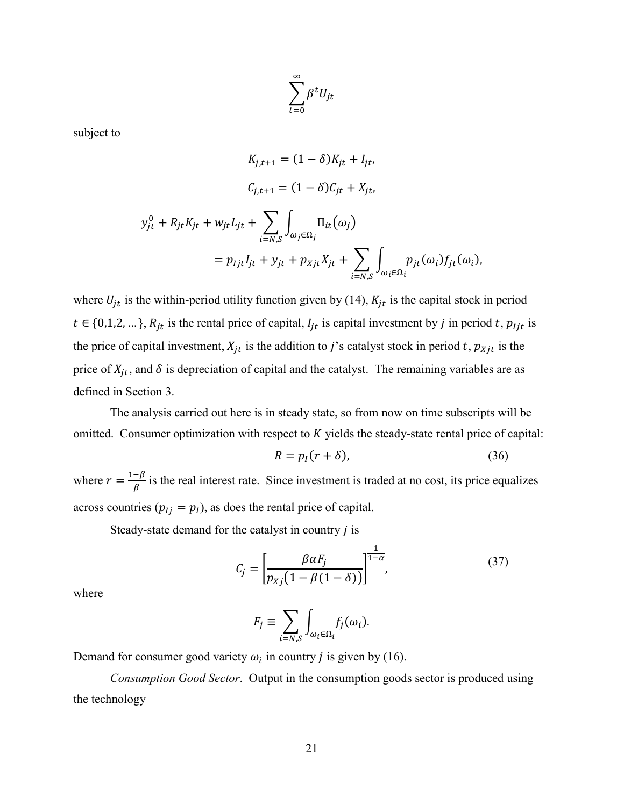$$
\sum_{t=0}^{\infty} \beta^t U_{jt}
$$

subject to

$$
K_{j,t+1} = (1 - \delta)K_{jt} + I_{jt},
$$
  
\n
$$
C_{j,t+1} = (1 - \delta)C_{jt} + X_{jt},
$$
  
\n
$$
y_{jt}^0 + R_{jt}K_{jt} + w_{jt}L_{jt} + \sum_{i=N,S} \int_{\omega_j \in \Omega_j} \Pi_{it}(\omega_j)
$$
  
\n
$$
= p_{ljt}I_{jt} + y_{jt} + p_{Xjt}X_{jt} + \sum_{i=N,S} \int_{\omega_i \in \Omega_i} p_{jt}(\omega_i) f_{jt}(\omega_i),
$$

where  $U_{jt}$  is the within-period utility function given by [\(14\),](#page-11-2)  $K_{jt}$  is the capital stock in period  $t \in \{0,1,2,...\}$ ,  $R_{jt}$  is the rental price of capital,  $I_{jt}$  is capital investment by *j* in period *t*,  $p_{ijt}$  is the price of capital investment,  $X_{jt}$  is the addition to j's catalyst stock in period t,  $p_{Xjt}$  is the price of  $X_{jt}$ , and  $\delta$  is depreciation of capital and the catalyst. The remaining variables are as defined in Section 3.

The analysis carried out here is in steady state, so from now on time subscripts will be omitted. Consumer optimization with respect to  $K$  yields the steady-state rental price of capital:

$$
R = p_I(r + \delta),\tag{36}
$$

where  $r = \frac{1-\beta}{\beta}$  is the real interest rate. Since investment is traded at no cost, its price equalizes across countries  $(p_{1j} = p_l)$ , as does the rental price of capital.

Steady-state demand for the catalyst in country  $j$  is

$$
C_j = \left[\frac{\beta \alpha F_j}{p_{Xj}(1 - \beta(1 - \delta))}\right]^{\frac{1}{1 - \alpha}},\tag{37}
$$

where

$$
F_j \equiv \sum_{i=N,S} \int_{\omega_i \in \Omega_i} f_j(\omega_i).
$$

Demand for consumer good variety  $\omega_i$  in country *j* is given by [\(16\).](#page-11-1)

*Consumption Good Sector*. Output in the consumption goods sector is produced using the technology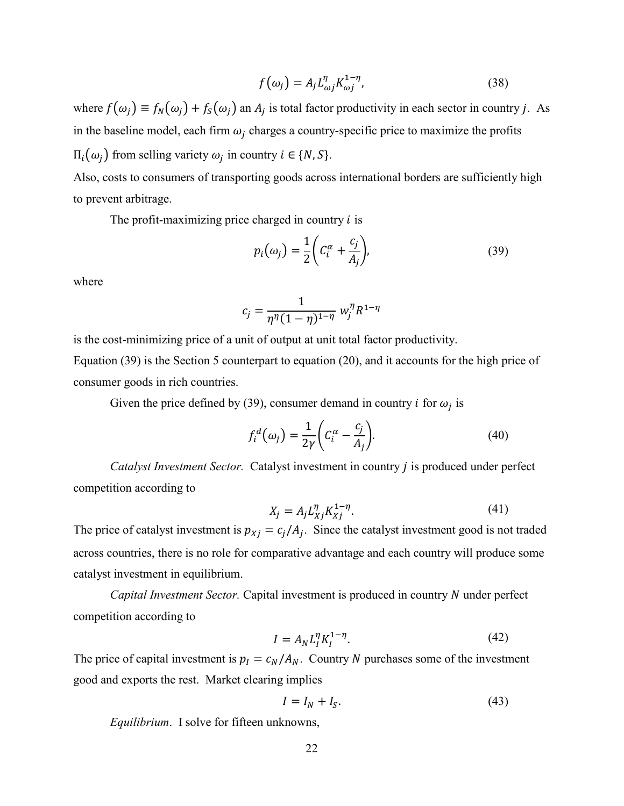$$
f(\omega_j) = A_j L_{\omega j}^{\eta} K_{\omega j}^{1-\eta},\tag{38}
$$

where  $f(\omega_i) \equiv f_N(\omega_i) + f_S(\omega_i)$  an  $A_i$  is total factor productivity in each sector in country j. As in the baseline model, each firm  $\omega_i$  charges a country-specific price to maximize the profits  $\Pi_i(\omega_i)$  from selling variety  $\omega_i$  in country  $i \in \{N, S\}$ .

Also, costs to consumers of transporting goods across international borders are sufficiently high to prevent arbitrage.

The profit-maximizing price charged in country  $i$  is

<span id="page-23-0"></span>
$$
p_i(\omega_j) = \frac{1}{2} \left( C_i^{\alpha} + \frac{c_j}{A_j} \right),\tag{39}
$$

where

$$
c_j = \frac{1}{\eta^{\eta} (1 - \eta)^{1 - \eta}} w_j^{\eta} R^{1 - \eta}
$$

is the cost-minimizing price of a unit of output at unit total factor productivity.

Equation [\(39\)](#page-23-0) is the Section 5 counterpart to equation [\(20\),](#page-12-0) and it accounts for the high price of consumer goods in rich countries.

Given the price defined by [\(39\),](#page-23-0) consumer demand in country *i* for  $\omega_i$  is

$$
f_i^d(\omega_j) = \frac{1}{2\gamma} \left( C_i^{\alpha} - \frac{c_j}{A_j} \right).
$$
 (40)

*Catalyst Investment Sector.* Catalyst investment in country *j* is produced under perfect competition according to

$$
X_j = A_j L_{Xj}^{\eta} K_{Xj}^{1-\eta}.
$$
\n<sup>(41)</sup>

The price of catalyst investment is  $p_{Xj} = c_j/A_j$ . Since the catalyst investment good is not traded across countries, there is no role for comparative advantage and each country will produce some catalyst investment in equilibrium.

*Capital Investment Sector.* Capital investment is produced in country N under perfect competition according to

<span id="page-23-1"></span>
$$
I = A_N L_I^{\eta} K_I^{1-\eta}.
$$
 (42)

The price of capital investment is  $p_l = c_N/A_N$ . Country N purchases some of the investment good and exports the rest. Market clearing implies

$$
I = I_N + I_S. \tag{43}
$$

*Equilibrium*. I solve for fifteen unknowns,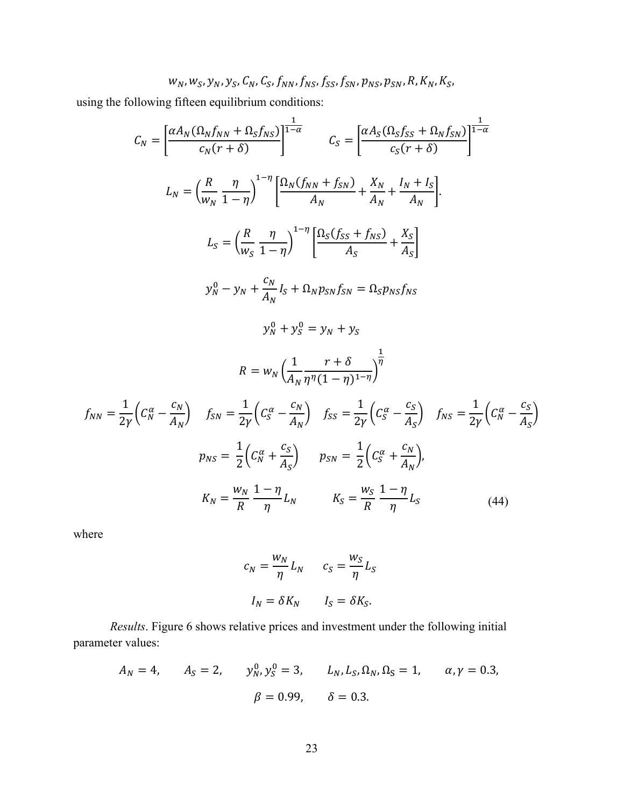$$
w_N, w_S, y_N, y_S, C_N, C_S, f_{NN}, f_{NS}, f_{SS}, f_{SN}, p_{NS}, p_{SN}, R, K_N, K_S,
$$

using the following fifteen equilibrium conditions:

$$
C_{N} = \left[\frac{\alpha A_{N}(\Omega_{N}f_{NN} + \Omega_{S}f_{NS})}{c_{N}(r+\delta)}\right]^{1-\alpha} \qquad C_{S} = \left[\frac{\alpha A_{S}(\Omega_{S}f_{SS} + \Omega_{N}f_{SN})}{c_{S}(r+\delta)}\right]^{1-\alpha}
$$

$$
L_{N} = \left(\frac{R}{w_{N}} \frac{\eta}{1-\eta}\right)^{1-\eta} \left[\frac{\Omega_{N}(f_{NN} + f_{SN})}{A_{N}} + \frac{X_{N}}{A_{N}} + \frac{I_{N} + I_{S}}{A_{N}}\right].
$$

$$
L_{S} = \left(\frac{R}{w_{S}} \frac{\eta}{1-\eta}\right)^{1-\eta} \left[\frac{\Omega_{S}(f_{SS} + f_{NS})}{A_{S}} + \frac{X_{S}}{A_{S}}\right]
$$

$$
y_{N}^{0} - y_{N} + \frac{c_{N}}{A_{N}} I_{S} + \Omega_{N} p_{SN} f_{SN} = \Omega_{S} p_{NS} f_{NS}
$$

$$
y_{N}^{0} + y_{S}^{0} = y_{N} + y_{S}
$$

$$
R = w_{N} \left(\frac{1}{A_{N}} \frac{r+\delta}{\eta^{\eta}(1-\eta)^{1-\eta}}\right)^{\frac{1}{\eta}}
$$

$$
f_{NN} = \frac{1}{2\gamma} \left(C_{N}^{\alpha} - \frac{c_{N}}{A_{N}}\right) \qquad f_{SS} = \frac{1}{2\gamma} \left(C_{S}^{\alpha} - \frac{c_{S}}{A_{S}}\right) \qquad f_{NS} = \frac{1}{2\gamma} \left(C_{N}^{\alpha} - \frac{c_{S}}{A_{S}}\right)
$$

$$
p_{NS} = \frac{1}{2} \left(C_{N}^{\alpha} + \frac{c_{S}}{A_{S}}\right) \qquad p_{SN} = \frac{1}{2} \left(C_{S}^{\alpha} + \frac{c_{N}}{A_{N}}\right),
$$

$$
K_{N} = \frac{w_{N}}{R} \frac{1-\eta}{\eta} L_{N} \qquad K_{S} = \frac{w_{S}}{R} \frac{1-\eta}{\eta} L_{S} \qquad (44)
$$

where

<span id="page-24-0"></span>
$$
c_N = \frac{w_N}{\eta} L_N \qquad c_S = \frac{w_S}{\eta} L_S
$$

$$
I_N = \delta K_N \qquad I_S = \delta K_S.
$$

*Results*. Figure 6 shows relative prices and investment under the following initial parameter values:

$$
A_N = 4
$$
,  $A_S = 2$ ,  $y_N^0, y_S^0 = 3$ ,  $L_N, L_S, \Omega_N, \Omega_S = 1$ ,  $\alpha, \gamma = 0.3$ ,  
 $\beta = 0.99$ ,  $\delta = 0.3$ .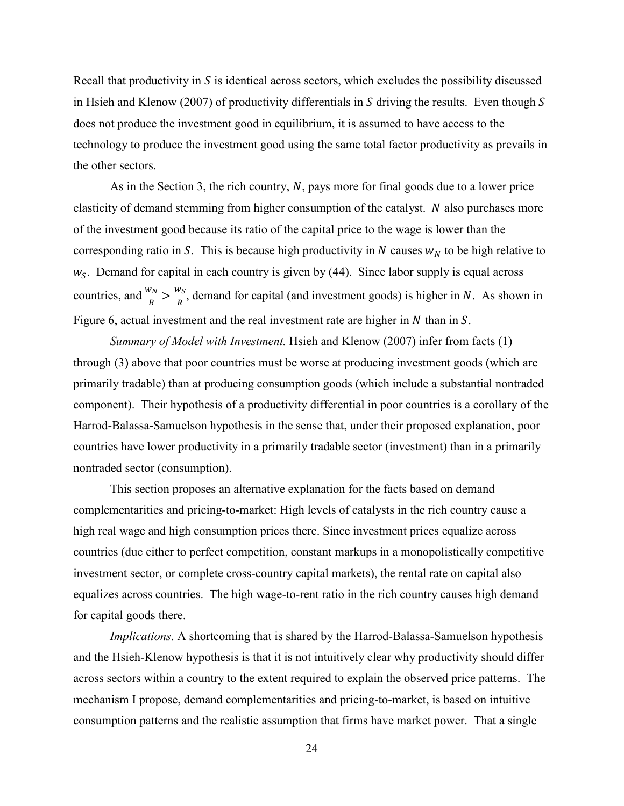Recall that productivity in  $S$  is identical across sectors, which excludes the possibility discussed in Hsieh and Klenow (2007) of productivity differentials in  $S$  driving the results. Even though  $S$ does not produce the investment good in equilibrium, it is assumed to have access to the technology to produce the investment good using the same total factor productivity as prevails in the other sectors.

As in the Section 3, the rich country,  $N$ , pays more for final goods due to a lower price elasticity of demand stemming from higher consumption of the catalyst.  $N$  also purchases more of the investment good because its ratio of the capital price to the wage is lower than the corresponding ratio in S. This is because high productivity in N causes  $w<sub>N</sub>$  to be high relative to  $w<sub>S</sub>$ . Demand for capital in each country is given by [\(44\).](#page-24-0) Since labor supply is equal across countries, and  $\frac{w_N}{R} > \frac{w_S}{R}$ , demand for capital (and investment goods) is higher in N. As shown in Figure 6, actual investment and the real investment rate are higher in  $N$  than in  $S$ .

*Summary of Model with Investment.* Hsieh and Klenow (2007) infer from facts (1) through (3) above that poor countries must be worse at producing investment goods (which are primarily tradable) than at producing consumption goods (which include a substantial nontraded component). Their hypothesis of a productivity differential in poor countries is a corollary of the Harrod-Balassa-Samuelson hypothesis in the sense that, under their proposed explanation, poor countries have lower productivity in a primarily tradable sector (investment) than in a primarily nontraded sector (consumption).

This section proposes an alternative explanation for the facts based on demand complementarities and pricing-to-market: High levels of catalysts in the rich country cause a high real wage and high consumption prices there. Since investment prices equalize across countries (due either to perfect competition, constant markups in a monopolistically competitive investment sector, or complete cross-country capital markets), the rental rate on capital also equalizes across countries. The high wage-to-rent ratio in the rich country causes high demand for capital goods there.

*Implications*. A shortcoming that is shared by the Harrod-Balassa-Samuelson hypothesis and the Hsieh-Klenow hypothesis is that it is not intuitively clear why productivity should differ across sectors within a country to the extent required to explain the observed price patterns. The mechanism I propose, demand complementarities and pricing-to-market, is based on intuitive consumption patterns and the realistic assumption that firms have market power. That a single

24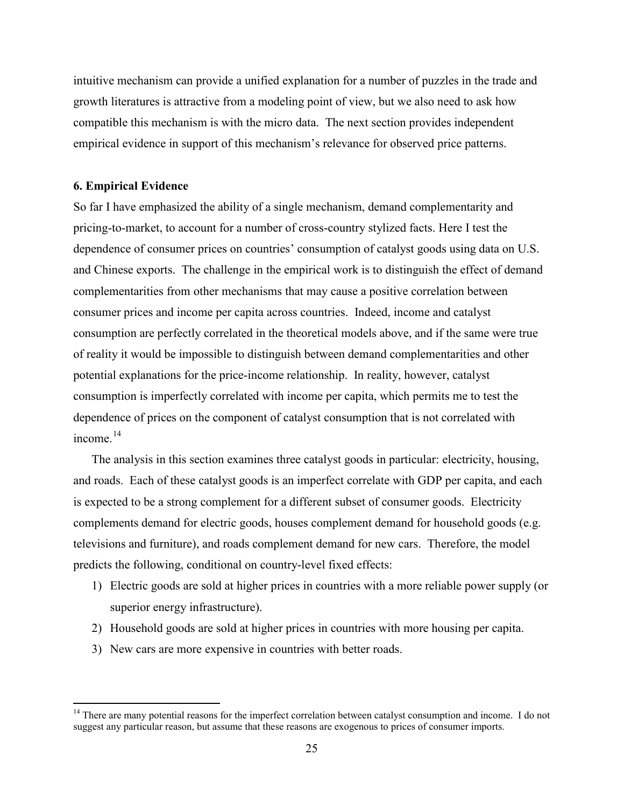intuitive mechanism can provide a unified explanation for a number of puzzles in the trade and growth literatures is attractive from a modeling point of view, but we also need to ask how compatible this mechanism is with the micro data. The next section provides independent empirical evidence in support of this mechanism's relevance for observed price patterns.

#### **6. Empirical Evidence**

So far I have emphasized the ability of a single mechanism, demand complementarity and pricing-to-market, to account for a number of cross-country stylized facts. Here I test the dependence of consumer prices on countries' consumption of catalyst goods using data on U.S. and Chinese exports. The challenge in the empirical work is to distinguish the effect of demand complementarities from other mechanisms that may cause a positive correlation between consumer prices and income per capita across countries. Indeed, income and catalyst consumption are perfectly correlated in the theoretical models above, and if the same were true of reality it would be impossible to distinguish between demand complementarities and other potential explanations for the price-income relationship. In reality, however, catalyst consumption is imperfectly correlated with income per capita, which permits me to test the dependence of prices on the component of catalyst consumption that is not correlated with income. $^{14}$  $^{14}$  $^{14}$ 

The analysis in this section examines three catalyst goods in particular: electricity, housing, and roads. Each of these catalyst goods is an imperfect correlate with GDP per capita, and each is expected to be a strong complement for a different subset of consumer goods. Electricity complements demand for electric goods, houses complement demand for household goods (e.g. televisions and furniture), and roads complement demand for new cars. Therefore, the model predicts the following, conditional on country-level fixed effects:

- 1) Electric goods are sold at higher prices in countries with a more reliable power supply (or superior energy infrastructure).
- 2) Household goods are sold at higher prices in countries with more housing per capita.
- 3) New cars are more expensive in countries with better roads.

<span id="page-26-0"></span> $14$  There are many potential reasons for the imperfect correlation between catalyst consumption and income. I do not suggest any particular reason, but assume that these reasons are exogenous to prices of consumer imports.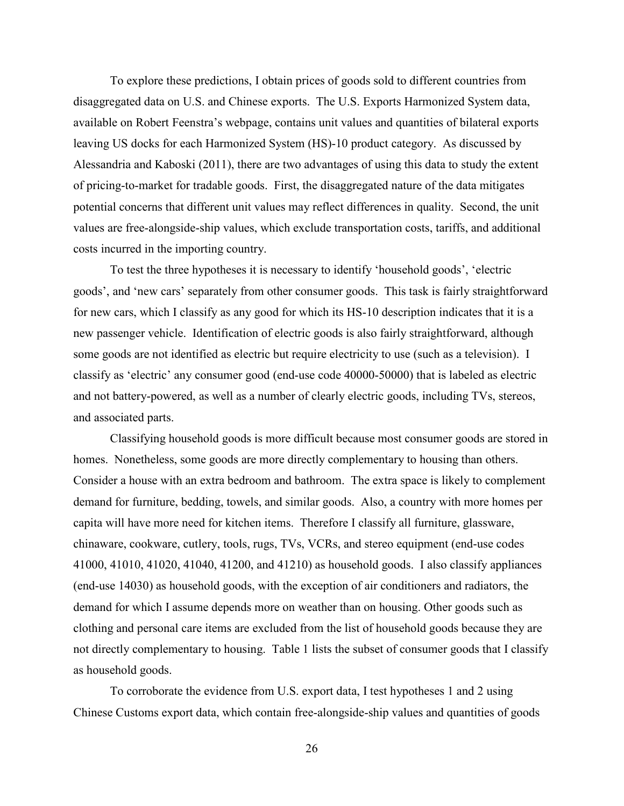To explore these predictions, I obtain prices of goods sold to different countries from disaggregated data on U.S. and Chinese exports. The U.S. Exports Harmonized System data, available on Robert Feenstra's webpage, contains unit values and quantities of bilateral exports leaving US docks for each Harmonized System (HS)-10 product category. As discussed by Alessandria and Kaboski (2011), there are two advantages of using this data to study the extent of pricing-to-market for tradable goods. First, the disaggregated nature of the data mitigates potential concerns that different unit values may reflect differences in quality. Second, the unit values are free-alongside-ship values, which exclude transportation costs, tariffs, and additional costs incurred in the importing country.

To test the three hypotheses it is necessary to identify 'household goods', 'electric goods', and 'new cars' separately from other consumer goods. This task is fairly straightforward for new cars, which I classify as any good for which its HS-10 description indicates that it is a new passenger vehicle. Identification of electric goods is also fairly straightforward, although some goods are not identified as electric but require electricity to use (such as a television). I classify as 'electric' any consumer good (end-use code 40000-50000) that is labeled as electric and not battery-powered, as well as a number of clearly electric goods, including TVs, stereos, and associated parts.

Classifying household goods is more difficult because most consumer goods are stored in homes. Nonetheless, some goods are more directly complementary to housing than others. Consider a house with an extra bedroom and bathroom. The extra space is likely to complement demand for furniture, bedding, towels, and similar goods. Also, a country with more homes per capita will have more need for kitchen items. Therefore I classify all furniture, glassware, chinaware, cookware, cutlery, tools, rugs, TVs, VCRs, and stereo equipment (end-use codes 41000, 41010, 41020, 41040, 41200, and 41210) as household goods. I also classify appliances (end-use 14030) as household goods, with the exception of air conditioners and radiators, the demand for which I assume depends more on weather than on housing. Other goods such as clothing and personal care items are excluded from the list of household goods because they are not directly complementary to housing. Table 1 lists the subset of consumer goods that I classify as household goods.

To corroborate the evidence from U.S. export data, I test hypotheses 1 and 2 using Chinese Customs export data, which contain free-alongside-ship values and quantities of goods

26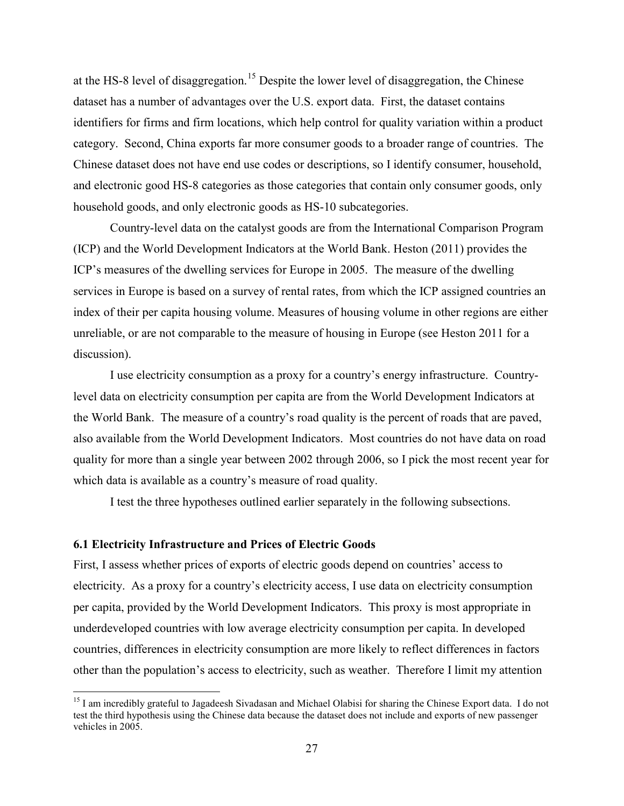at the HS-8 level of disaggregation.<sup>[15](#page-28-0)</sup> Despite the lower level of disaggregation, the Chinese dataset has a number of advantages over the U.S. export data. First, the dataset contains identifiers for firms and firm locations, which help control for quality variation within a product category. Second, China exports far more consumer goods to a broader range of countries. The Chinese dataset does not have end use codes or descriptions, so I identify consumer, household, and electronic good HS-8 categories as those categories that contain only consumer goods, only household goods, and only electronic goods as HS-10 subcategories.

Country-level data on the catalyst goods are from the International Comparison Program (ICP) and the World Development Indicators at the World Bank. Heston (2011) provides the ICP's measures of the dwelling services for Europe in 2005. The measure of the dwelling services in Europe is based on a survey of rental rates, from which the ICP assigned countries an index of their per capita housing volume. Measures of housing volume in other regions are either unreliable, or are not comparable to the measure of housing in Europe (see Heston 2011 for a discussion).

I use electricity consumption as a proxy for a country's energy infrastructure. Countrylevel data on electricity consumption per capita are from the World Development Indicators at the World Bank. The measure of a country's road quality is the percent of roads that are paved, also available from the World Development Indicators. Most countries do not have data on road quality for more than a single year between 2002 through 2006, so I pick the most recent year for which data is available as a country's measure of road quality.

I test the three hypotheses outlined earlier separately in the following subsections.

#### **6.1 Electricity Infrastructure and Prices of Electric Goods**

First, I assess whether prices of exports of electric goods depend on countries' access to electricity. As a proxy for a country's electricity access, I use data on electricity consumption per capita, provided by the World Development Indicators. This proxy is most appropriate in underdeveloped countries with low average electricity consumption per capita. In developed countries, differences in electricity consumption are more likely to reflect differences in factors other than the population's access to electricity, such as weather. Therefore I limit my attention

<span id="page-28-0"></span><sup>&</sup>lt;sup>15</sup> I am incredibly grateful to Jagadeesh Sivadasan and Michael Olabisi for sharing the Chinese Export data. I do not test the third hypothesis using the Chinese data because the dataset does not include and exports of new passenger vehicles in 2005.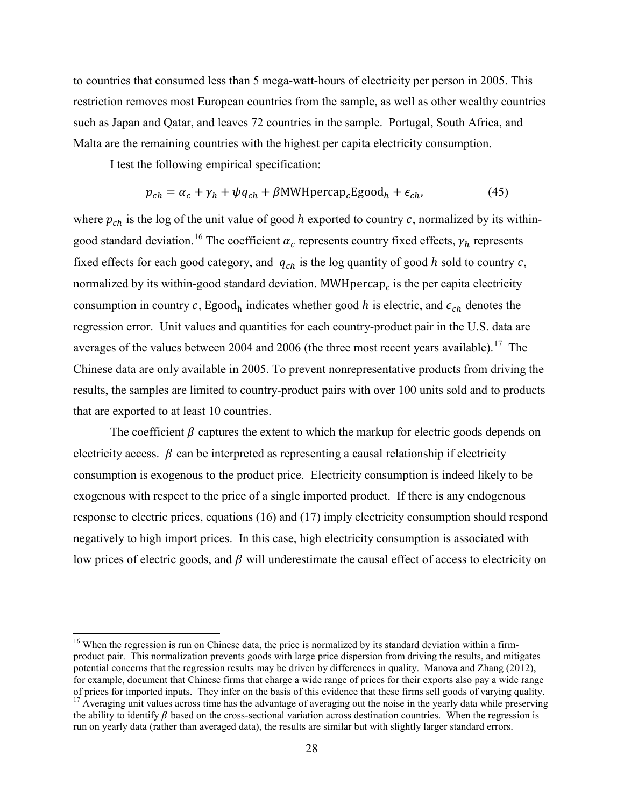to countries that consumed less than 5 mega-watt-hours of electricity per person in 2005. This restriction removes most European countries from the sample, as well as other wealthy countries such as Japan and Qatar, and leaves 72 countries in the sample. Portugal, South Africa, and Malta are the remaining countries with the highest per capita electricity consumption.

I test the following empirical specification:

<span id="page-29-2"></span>
$$
p_{ch} = \alpha_c + \gamma_h + \psi q_{ch} + \beta \text{MWHpercap}_c \text{Egood}_h + \epsilon_{ch}, \tag{45}
$$

where  $p_{ch}$  is the log of the unit value of good h exported to country c, normalized by its within-good standard deviation.<sup>[16](#page-29-0)</sup> The coefficient  $\alpha_c$  represents country fixed effects,  $\gamma_h$  represents fixed effects for each good category, and  $q_{ch}$  is the log quantity of good h sold to country c, normalized by its within-good standard deviation. MWHpercap<sub>c</sub> is the per capita electricity consumption in country c, Egood<sub>h</sub> indicates whether good h is electric, and  $\epsilon_{ch}$  denotes the regression error. Unit values and quantities for each country-product pair in the U.S. data are averages of the values between 2004 and 2006 (the three most recent years available).<sup>[17](#page-29-1)</sup> The Chinese data are only available in 2005. To prevent nonrepresentative products from driving the results, the samples are limited to country-product pairs with over 100 units sold and to products that are exported to at least 10 countries.

The coefficient  $\beta$  captures the extent to which the markup for electric goods depends on electricity access.  $\beta$  can be interpreted as representing a causal relationship if electricity consumption is exogenous to the product price. Electricity consumption is indeed likely to be exogenous with respect to the price of a single imported product. If there is any endogenous response to electric prices, equations [\(16\)](#page-11-1) and [\(17\)](#page-11-0) imply electricity consumption should respond negatively to high import prices. In this case, high electricity consumption is associated with low prices of electric goods, and  $\beta$  will underestimate the causal effect of access to electricity on

<span id="page-29-0"></span> $16$  When the regression is run on Chinese data, the price is normalized by its standard deviation within a firmproduct pair. This normalization prevents goods with large price dispersion from driving the results, and mitigates potential concerns that the regression results may be driven by differences in quality. Manova and Zhang (2012), for example, document that Chinese firms that charge a wide range of prices for their exports also pay a wide range of prices for imported inputs. They infer on the basis of this evidence that these firms sell goods of var <sup>17</sup> Averaging unit values across time has the advantage of averaging out the noise in the yearly data while preserving

<span id="page-29-1"></span>the ability to identify  $\beta$  based on the cross-sectional variation across destination countries. When the regression is run on yearly data (rather than averaged data), the results are similar but with slightly larger standard errors.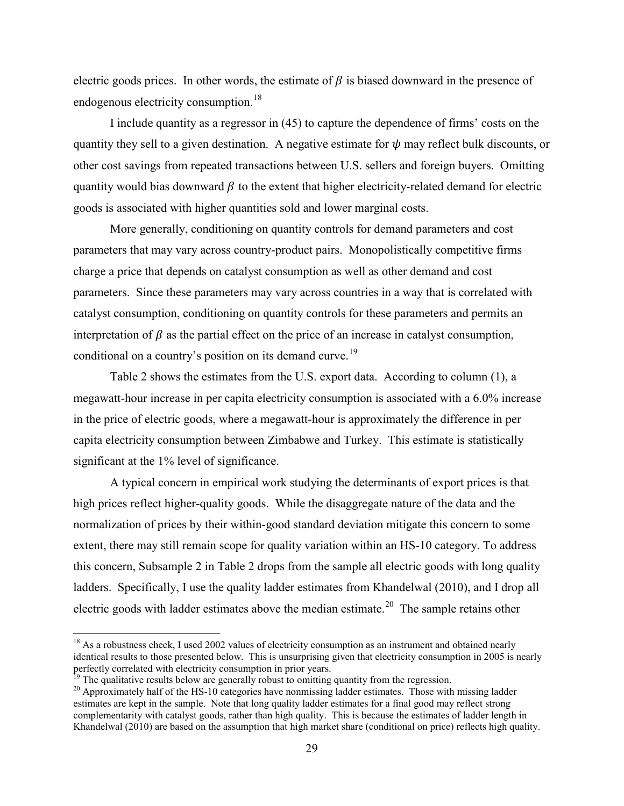electric goods prices. In other words, the estimate of  $\beta$  is biased downward in the presence of endogenous electricity consumption.<sup>[18](#page-30-0)</sup>

I include quantity as a regressor in [\(45\)](#page-29-2) to capture the dependence of firms' costs on the quantity they sell to a given destination. A negative estimate for  $\psi$  may reflect bulk discounts, or other cost savings from repeated transactions between U.S. sellers and foreign buyers. Omitting quantity would bias downward  $\beta$  to the extent that higher electricity-related demand for electric goods is associated with higher quantities sold and lower marginal costs.

More generally, conditioning on quantity controls for demand parameters and cost parameters that may vary across country-product pairs. Monopolistically competitive firms charge a price that depends on catalyst consumption as well as other demand and cost parameters. Since these parameters may vary across countries in a way that is correlated with catalyst consumption, conditioning on quantity controls for these parameters and permits an interpretation of  $\beta$  as the partial effect on the price of an increase in catalyst consumption, conditional on a country's position on its demand curve.<sup>[19](#page-30-1)</sup>

Table 2 shows the estimates from the U.S. export data. According to column (1), a megawatt-hour increase in per capita electricity consumption is associated with a 6.0% increase in the price of electric goods, where a megawatt-hour is approximately the difference in per capita electricity consumption between Zimbabwe and Turkey. This estimate is statistically significant at the 1% level of significance.

A typical concern in empirical work studying the determinants of export prices is that high prices reflect higher-quality goods. While the disaggregate nature of the data and the normalization of prices by their within-good standard deviation mitigate this concern to some extent, there may still remain scope for quality variation within an HS-10 category. To address this concern, Subsample 2 in Table 2 drops from the sample all electric goods with long quality ladders. Specifically, I use the quality ladder estimates from Khandelwal (2010), and I drop all electric goods with ladder estimates above the median estimate.<sup>[20](#page-30-2)</sup> The sample retains other

<span id="page-30-0"></span> $18$  As a robustness check, I used 2002 values of electricity consumption as an instrument and obtained nearly identical results to those presented below. This is unsurprising given that electricity consumption in 2005 is nearly perfectly correlated with electricity consumption in prior years.<br><sup>19</sup> The qualitative results below are generally robust to omitting quantity from the regression.

<span id="page-30-1"></span>

<span id="page-30-2"></span> $^{20}$  Approximately half of the HS-10 categories have nonmissing ladder estimates. Those with missing ladder estimates are kept in the sample. Note that long quality ladder estimates for a final good may reflect strong complementarity with catalyst goods, rather than high quality. This is because the estimates of ladder length in Khandelwal (2010) are based on the assumption that high market share (conditional on price) reflects high quality.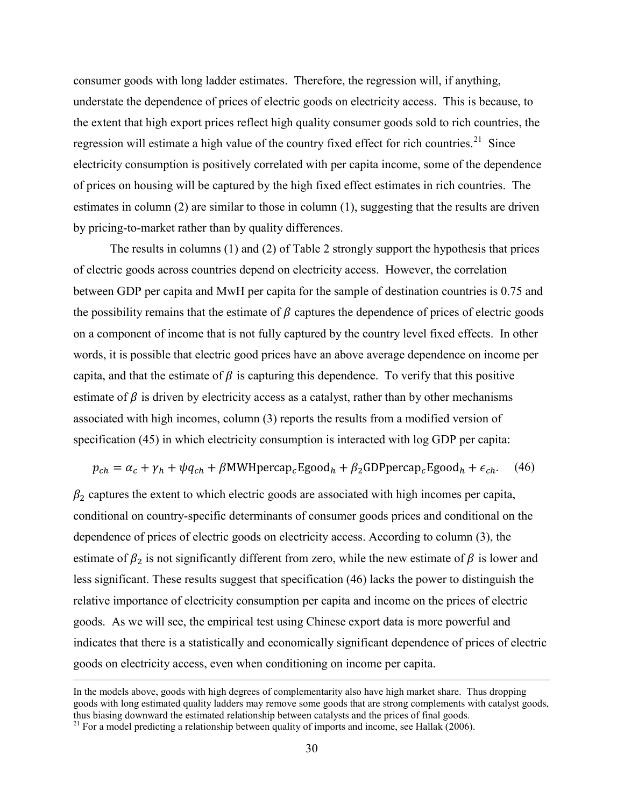consumer goods with long ladder estimates. Therefore, the regression will, if anything, understate the dependence of prices of electric goods on electricity access. This is because, to the extent that high export prices reflect high quality consumer goods sold to rich countries, the regression will estimate a high value of the country fixed effect for rich countries.<sup>[21](#page-31-1)</sup> Since electricity consumption is positively correlated with per capita income, some of the dependence of prices on housing will be captured by the high fixed effect estimates in rich countries. The estimates in column (2) are similar to those in column (1), suggesting that the results are driven by pricing-to-market rather than by quality differences.

The results in columns (1) and (2) of Table 2 strongly support the hypothesis that prices of electric goods across countries depend on electricity access. However, the correlation between GDP per capita and MwH per capita for the sample of destination countries is 0.75 and the possibility remains that the estimate of  $\beta$  captures the dependence of prices of electric goods on a component of income that is not fully captured by the country level fixed effects. In other words, it is possible that electric good prices have an above average dependence on income per capita, and that the estimate of  $\beta$  is capturing this dependence. To verify that this positive estimate of  $\beta$  is driven by electricity access as a catalyst, rather than by other mechanisms associated with high incomes, column (3) reports the results from a modified version of specification [\(45\)](#page-29-2) in which electricity consumption is interacted with log GDP per capita:

<span id="page-31-0"></span>
$$
p_{ch} = \alpha_c + \gamma_h + \psi q_{ch} + \beta \text{MWHpercap}_c \text{Egood}_h + \beta_2 \text{GDPpercap}_c \text{Egood}_h + \epsilon_{ch}. \tag{46}
$$

 $\beta_2$  captures the extent to which electric goods are associated with high incomes per capita, conditional on country-specific determinants of consumer goods prices and conditional on the dependence of prices of electric goods on electricity access. According to column (3), the estimate of  $\beta_2$  is not significantly different from zero, while the new estimate of  $\beta$  is lower and less significant. These results suggest that specification [\(46\)](#page-31-0) lacks the power to distinguish the relative importance of electricity consumption per capita and income on the prices of electric goods. As we will see, the empirical test using Chinese export data is more powerful and indicates that there is a statistically and economically significant dependence of prices of electric goods on electricity access, even when conditioning on income per capita.

 $\overline{a}$ 

In the models above, goods with high degrees of complementarity also have high market share. Thus dropping goods with long estimated quality ladders may remove some goods that are strong complements with catalyst goods, thus biasing downward the estimated relationship between catalysts and the prices of final goods.

<span id="page-31-1"></span><sup>&</sup>lt;sup>21</sup> For a model predicting a relationship between quality of imports and income, see Hallak (2006).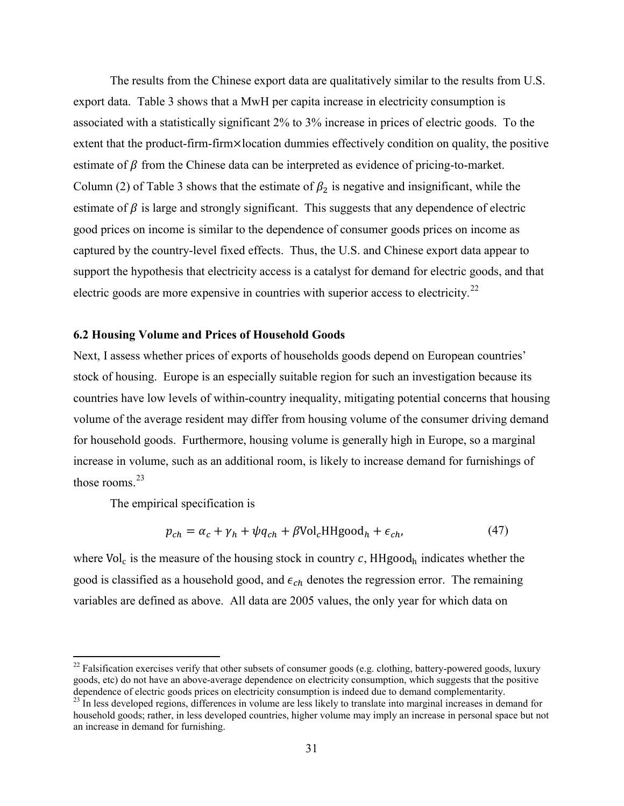The results from the Chinese export data are qualitatively similar to the results from U.S. export data. Table 3 shows that a MwH per capita increase in electricity consumption is associated with a statistically significant 2% to 3% increase in prices of electric goods. To the extent that the product-firm-firm×location dummies effectively condition on quality, the positive estimate of  $\beta$  from the Chinese data can be interpreted as evidence of pricing-to-market. Column (2) of Table 3 shows that the estimate of  $\beta_2$  is negative and insignificant, while the estimate of  $\beta$  is large and strongly significant. This suggests that any dependence of electric good prices on income is similar to the dependence of consumer goods prices on income as captured by the country-level fixed effects. Thus, the U.S. and Chinese export data appear to support the hypothesis that electricity access is a catalyst for demand for electric goods, and that electric goods are more expensive in countries with superior access to electricity.<sup>[22](#page-32-0)</sup>

#### **6.2 Housing Volume and Prices of Household Goods**

Next, I assess whether prices of exports of households goods depend on European countries' stock of housing. Europe is an especially suitable region for such an investigation because its countries have low levels of within-country inequality, mitigating potential concerns that housing volume of the average resident may differ from housing volume of the consumer driving demand for household goods. Furthermore, housing volume is generally high in Europe, so a marginal increase in volume, such as an additional room, is likely to increase demand for furnishings of those rooms. $^{23}$  $^{23}$  $^{23}$ 

The empirical specification is

<span id="page-32-2"></span>
$$
p_{ch} = \alpha_c + \gamma_h + \psi q_{ch} + \beta \text{Vol}_c \text{HHgood}_h + \epsilon_{ch}, \tag{47}
$$

where  $Vol_c$  is the measure of the housing stock in country c, HHgood<sub>h</sub> indicates whether the good is classified as a household good, and  $\epsilon_{ch}$  denotes the regression error. The remaining variables are defined as above. All data are 2005 values, the only year for which data on

<span id="page-32-0"></span> $^{22}$  Falsification exercises verify that other subsets of consumer goods (e.g. clothing, battery-powered goods, luxury goods, etc) do not have an above-average dependence on electricity consumption, which suggests that the positive dependence of electric goods prices on electricity consumption is indeed due to demand complementarity.

<span id="page-32-1"></span> $23$  In less developed regions, differences in volume are less likely to translate into marginal increases in demand for household goods; rather, in less developed countries, higher volume may imply an increase in personal space but not an increase in demand for furnishing.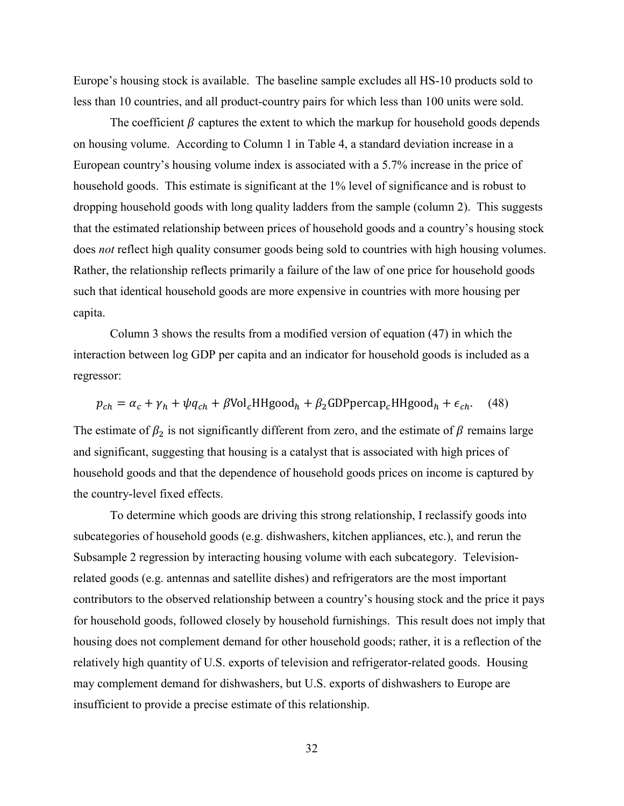Europe's housing stock is available. The baseline sample excludes all HS-10 products sold to less than 10 countries, and all product-country pairs for which less than 100 units were sold.

The coefficient  $\beta$  captures the extent to which the markup for household goods depends on housing volume. According to Column 1 in Table 4, a standard deviation increase in a European country's housing volume index is associated with a 5.7% increase in the price of household goods. This estimate is significant at the 1% level of significance and is robust to dropping household goods with long quality ladders from the sample (column 2). This suggests that the estimated relationship between prices of household goods and a country's housing stock does *not* reflect high quality consumer goods being sold to countries with high housing volumes. Rather, the relationship reflects primarily a failure of the law of one price for household goods such that identical household goods are more expensive in countries with more housing per capita.

Column 3 shows the results from a modified version of equation [\(47\)](#page-32-2) in which the interaction between log GDP per capita and an indicator for household goods is included as a regressor:

$$
p_{ch} = \alpha_c + \gamma_h + \psi q_{ch} + \beta \text{Vol}_c \text{HHgood}_h + \beta_2 \text{GDPpercap}_c \text{HHgood}_h + \epsilon_{ch}. \tag{48}
$$

The estimate of  $\beta_2$  is not significantly different from zero, and the estimate of  $\beta$  remains large and significant, suggesting that housing is a catalyst that is associated with high prices of household goods and that the dependence of household goods prices on income is captured by the country-level fixed effects.

To determine which goods are driving this strong relationship, I reclassify goods into subcategories of household goods (e.g. dishwashers, kitchen appliances, etc.), and rerun the Subsample 2 regression by interacting housing volume with each subcategory. Televisionrelated goods (e.g. antennas and satellite dishes) and refrigerators are the most important contributors to the observed relationship between a country's housing stock and the price it pays for household goods, followed closely by household furnishings. This result does not imply that housing does not complement demand for other household goods; rather, it is a reflection of the relatively high quantity of U.S. exports of television and refrigerator-related goods. Housing may complement demand for dishwashers, but U.S. exports of dishwashers to Europe are insufficient to provide a precise estimate of this relationship.

<span id="page-33-0"></span>32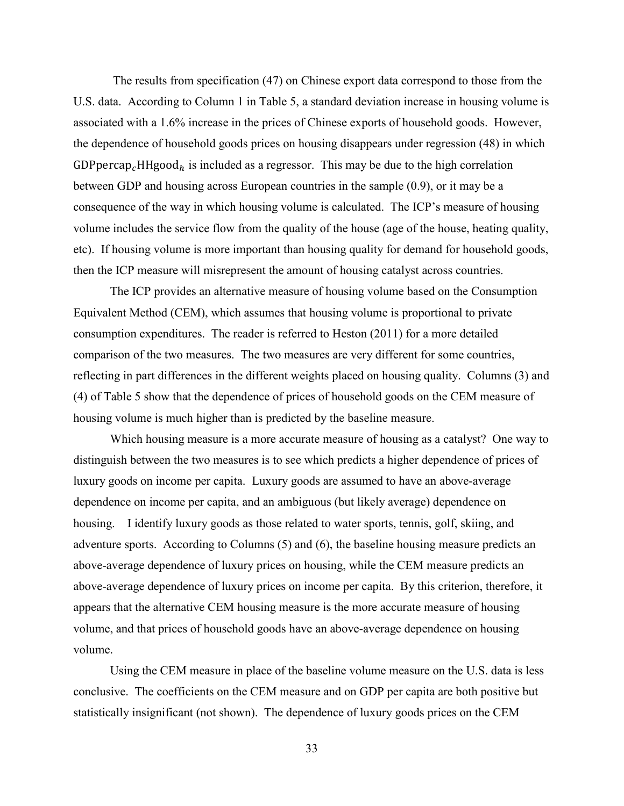The results from specification [\(47\)](#page-32-2) on Chinese export data correspond to those from the U.S. data. According to Column 1 in Table 5, a standard deviation increase in housing volume is associated with a 1.6% increase in the prices of Chinese exports of household goods. However, the dependence of household goods prices on housing disappears under regression [\(48\)](#page-33-0) in which  $GDPpercap<sub>c</sub>HHgood<sub>h</sub>$  is included as a regressor. This may be due to the high correlation between GDP and housing across European countries in the sample (0.9), or it may be a consequence of the way in which housing volume is calculated. The ICP's measure of housing volume includes the service flow from the quality of the house (age of the house, heating quality, etc). If housing volume is more important than housing quality for demand for household goods, then the ICP measure will misrepresent the amount of housing catalyst across countries.

The ICP provides an alternative measure of housing volume based on the Consumption Equivalent Method (CEM), which assumes that housing volume is proportional to private consumption expenditures. The reader is referred to Heston (2011) for a more detailed comparison of the two measures. The two measures are very different for some countries, reflecting in part differences in the different weights placed on housing quality. Columns (3) and (4) of Table 5 show that the dependence of prices of household goods on the CEM measure of housing volume is much higher than is predicted by the baseline measure.

Which housing measure is a more accurate measure of housing as a catalyst? One way to distinguish between the two measures is to see which predicts a higher dependence of prices of luxury goods on income per capita. Luxury goods are assumed to have an above-average dependence on income per capita, and an ambiguous (but likely average) dependence on housing. I identify luxury goods as those related to water sports, tennis, golf, skiing, and adventure sports. According to Columns (5) and (6), the baseline housing measure predicts an above-average dependence of luxury prices on housing, while the CEM measure predicts an above-average dependence of luxury prices on income per capita. By this criterion, therefore, it appears that the alternative CEM housing measure is the more accurate measure of housing volume, and that prices of household goods have an above-average dependence on housing volume.

Using the CEM measure in place of the baseline volume measure on the U.S. data is less conclusive. The coefficients on the CEM measure and on GDP per capita are both positive but statistically insignificant (not shown). The dependence of luxury goods prices on the CEM

33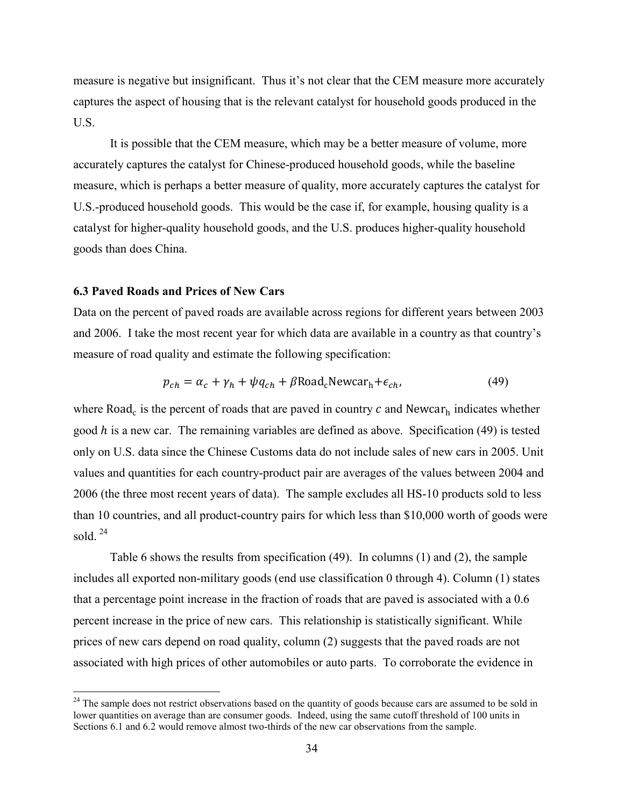measure is negative but insignificant. Thus it's not clear that the CEM measure more accurately captures the aspect of housing that is the relevant catalyst for household goods produced in the U.S.

It is possible that the CEM measure, which may be a better measure of volume, more accurately captures the catalyst for Chinese-produced household goods, while the baseline measure, which is perhaps a better measure of quality, more accurately captures the catalyst for U.S.-produced household goods. This would be the case if, for example, housing quality is a catalyst for higher-quality household goods, and the U.S. produces higher-quality household goods than does China.

#### **6.3 Paved Roads and Prices of New Cars**

Data on the percent of paved roads are available across regions for different years between 2003 and 2006. I take the most recent year for which data are available in a country as that country's measure of road quality and estimate the following specification:

<span id="page-35-0"></span>
$$
p_{ch} = \alpha_c + \gamma_h + \psi q_{ch} + \beta \text{Road}_c \text{Newcar}_h + \epsilon_{ch},\tag{49}
$$

where Road<sub>c</sub> is the percent of roads that are paved in country  $c$  and Newcar<sub>h</sub> indicates whether good  $h$  is a new car. The remaining variables are defined as above. Specification  $(49)$  is tested only on U.S. data since the Chinese Customs data do not include sales of new cars in 2005. Unit values and quantities for each country-product pair are averages of the values between 2004 and 2006 (the three most recent years of data). The sample excludes all HS-10 products sold to less than 10 countries, and all product-country pairs for which less than \$10,000 worth of goods were sold.  $24$ 

Table 6 shows the results from specification [\(49\).](#page-35-0) In columns (1) and (2), the sample includes all exported non-military goods (end use classification 0 through 4). Column (1) states that a percentage point increase in the fraction of roads that are paved is associated with a 0.6 percent increase in the price of new cars. This relationship is statistically significant. While prices of new cars depend on road quality, column (2) suggests that the paved roads are not associated with high prices of other automobiles or auto parts. To corroborate the evidence in

<span id="page-35-1"></span><sup>&</sup>lt;sup>24</sup> The sample does not restrict observations based on the quantity of goods because cars are assumed to be sold in lower quantities on average than are consumer goods. Indeed, using the same cutoff threshold of 100 units in Sections 6.1 and 6.2 would remove almost two-thirds of the new car observations from the sample.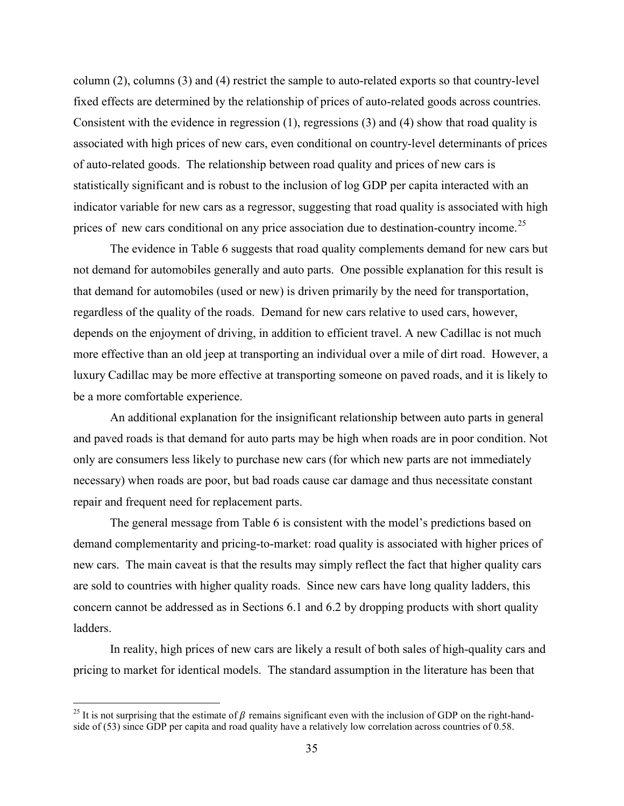column (2), columns (3) and (4) restrict the sample to auto-related exports so that country-level fixed effects are determined by the relationship of prices of auto-related goods across countries. Consistent with the evidence in regression (1), regressions (3) and (4) show that road quality is associated with high prices of new cars, even conditional on country-level determinants of prices of auto-related goods. The relationship between road quality and prices of new cars is statistically significant and is robust to the inclusion of log GDP per capita interacted with an indicator variable for new cars as a regressor, suggesting that road quality is associated with high prices of new cars conditional on any price association due to destination-country income.<sup>[25](#page-36-0)</sup>

The evidence in Table 6 suggests that road quality complements demand for new cars but not demand for automobiles generally and auto parts. One possible explanation for this result is that demand for automobiles (used or new) is driven primarily by the need for transportation, regardless of the quality of the roads. Demand for new cars relative to used cars, however, depends on the enjoyment of driving, in addition to efficient travel. A new Cadillac is not much more effective than an old jeep at transporting an individual over a mile of dirt road. However, a luxury Cadillac may be more effective at transporting someone on paved roads, and it is likely to be a more comfortable experience.

An additional explanation for the insignificant relationship between auto parts in general and paved roads is that demand for auto parts may be high when roads are in poor condition. Not only are consumers less likely to purchase new cars (for which new parts are not immediately necessary) when roads are poor, but bad roads cause car damage and thus necessitate constant repair and frequent need for replacement parts.

The general message from Table 6 is consistent with the model's predictions based on demand complementarity and pricing-to-market: road quality is associated with higher prices of new cars. The main caveat is that the results may simply reflect the fact that higher quality cars are sold to countries with higher quality roads. Since new cars have long quality ladders, this concern cannot be addressed as in Sections 6.1 and 6.2 by dropping products with short quality ladders.

In reality, high prices of new cars are likely a result of both sales of high-quality cars and pricing to market for identical models. The standard assumption in the literature has been that

<span id="page-36-0"></span><sup>&</sup>lt;sup>25</sup> It is not surprising that the estimate of  $\beta$  remains significant even with the inclusion of GDP on the right-handside of [\(53\)](#page-35-0) since GDP per capita and road quality have a relatively low correlation across countries of 0.58.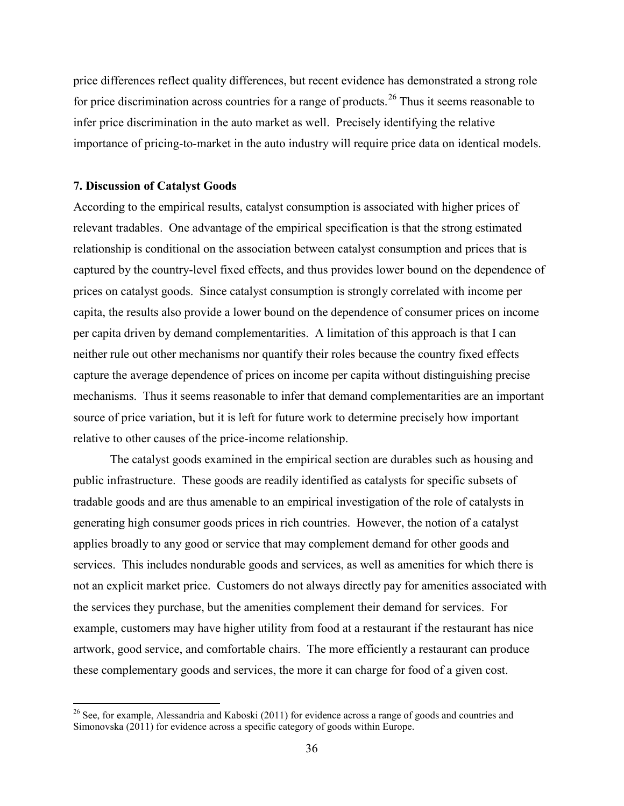price differences reflect quality differences, but recent evidence has demonstrated a strong role for price discrimination across countries for a range of products.<sup>[26](#page-37-0)</sup> Thus it seems reasonable to infer price discrimination in the auto market as well. Precisely identifying the relative importance of pricing-to-market in the auto industry will require price data on identical models.

#### **7. Discussion of Catalyst Goods**

According to the empirical results, catalyst consumption is associated with higher prices of relevant tradables. One advantage of the empirical specification is that the strong estimated relationship is conditional on the association between catalyst consumption and prices that is captured by the country-level fixed effects, and thus provides lower bound on the dependence of prices on catalyst goods. Since catalyst consumption is strongly correlated with income per capita, the results also provide a lower bound on the dependence of consumer prices on income per capita driven by demand complementarities. A limitation of this approach is that I can neither rule out other mechanisms nor quantify their roles because the country fixed effects capture the average dependence of prices on income per capita without distinguishing precise mechanisms. Thus it seems reasonable to infer that demand complementarities are an important source of price variation, but it is left for future work to determine precisely how important relative to other causes of the price-income relationship.

The catalyst goods examined in the empirical section are durables such as housing and public infrastructure. These goods are readily identified as catalysts for specific subsets of tradable goods and are thus amenable to an empirical investigation of the role of catalysts in generating high consumer goods prices in rich countries. However, the notion of a catalyst applies broadly to any good or service that may complement demand for other goods and services. This includes nondurable goods and services, as well as amenities for which there is not an explicit market price. Customers do not always directly pay for amenities associated with the services they purchase, but the amenities complement their demand for services. For example, customers may have higher utility from food at a restaurant if the restaurant has nice artwork, good service, and comfortable chairs. The more efficiently a restaurant can produce these complementary goods and services, the more it can charge for food of a given cost.

<span id="page-37-0"></span><sup>&</sup>lt;sup>26</sup> See, for example, Alessandria and Kaboski (2011) for evidence across a range of goods and countries and Simonovska (2011) for evidence across a specific category of goods within Europe.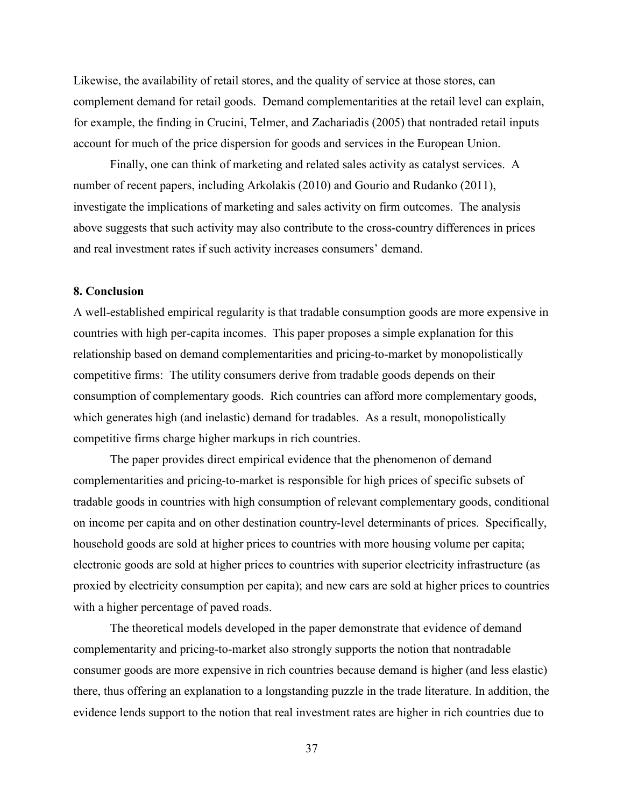Likewise, the availability of retail stores, and the quality of service at those stores, can complement demand for retail goods. Demand complementarities at the retail level can explain, for example, the finding in Crucini, Telmer, and Zachariadis (2005) that nontraded retail inputs account for much of the price dispersion for goods and services in the European Union.

Finally, one can think of marketing and related sales activity as catalyst services. A number of recent papers, including Arkolakis (2010) and Gourio and Rudanko (2011), investigate the implications of marketing and sales activity on firm outcomes. The analysis above suggests that such activity may also contribute to the cross-country differences in prices and real investment rates if such activity increases consumers' demand.

#### **8. Conclusion**

A well-established empirical regularity is that tradable consumption goods are more expensive in countries with high per-capita incomes. This paper proposes a simple explanation for this relationship based on demand complementarities and pricing-to-market by monopolistically competitive firms: The utility consumers derive from tradable goods depends on their consumption of complementary goods. Rich countries can afford more complementary goods, which generates high (and inelastic) demand for tradables. As a result, monopolistically competitive firms charge higher markups in rich countries.

The paper provides direct empirical evidence that the phenomenon of demand complementarities and pricing-to-market is responsible for high prices of specific subsets of tradable goods in countries with high consumption of relevant complementary goods, conditional on income per capita and on other destination country-level determinants of prices. Specifically, household goods are sold at higher prices to countries with more housing volume per capita; electronic goods are sold at higher prices to countries with superior electricity infrastructure (as proxied by electricity consumption per capita); and new cars are sold at higher prices to countries with a higher percentage of paved roads.

The theoretical models developed in the paper demonstrate that evidence of demand complementarity and pricing-to-market also strongly supports the notion that nontradable consumer goods are more expensive in rich countries because demand is higher (and less elastic) there, thus offering an explanation to a longstanding puzzle in the trade literature. In addition, the evidence lends support to the notion that real investment rates are higher in rich countries due to

37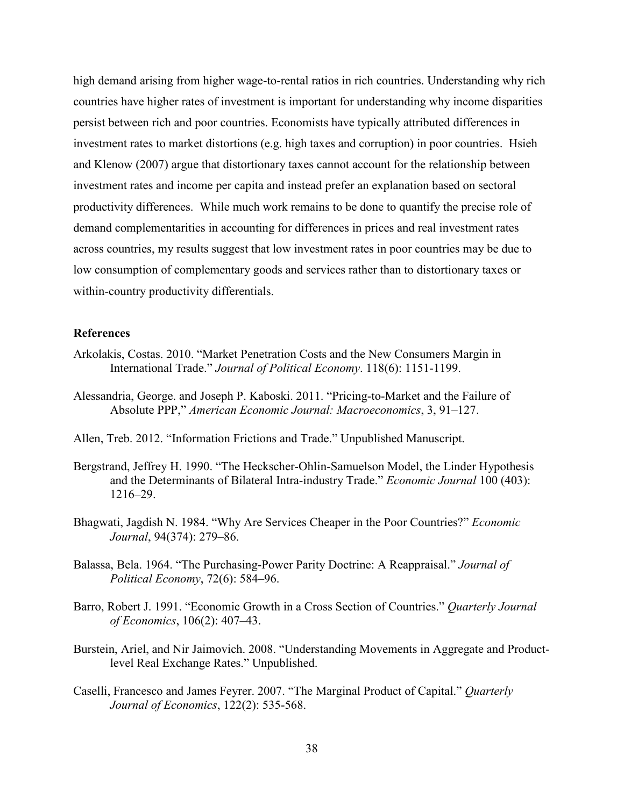high demand arising from higher wage-to-rental ratios in rich countries. Understanding why rich countries have higher rates of investment is important for understanding why income disparities persist between rich and poor countries. Economists have typically attributed differences in investment rates to market distortions (e.g. high taxes and corruption) in poor countries. Hsieh and Klenow (2007) argue that distortionary taxes cannot account for the relationship between investment rates and income per capita and instead prefer an explanation based on sectoral productivity differences. While much work remains to be done to quantify the precise role of demand complementarities in accounting for differences in prices and real investment rates across countries, my results suggest that low investment rates in poor countries may be due to low consumption of complementary goods and services rather than to distortionary taxes or within-country productivity differentials.

#### **References**

- Arkolakis, Costas. 2010. "Market Penetration Costs and the New Consumers Margin in International Trade." *Journal of Political Economy*. 118(6): 1151-1199.
- Alessandria, George. and Joseph P. Kaboski. 2011. "Pricing-to-Market and the Failure of Absolute PPP," *American Economic Journal: Macroeconomics*, 3, 91–127.
- Allen, Treb. 2012. "Information Frictions and Trade." Unpublished Manuscript.
- Bergstrand, Jeffrey H. 1990. "The Heckscher-Ohlin-Samuelson Model, the Linder Hypothesis and the Determinants of Bilateral Intra-industry Trade." *Economic Journal* 100 (403): 1216–29.
- Bhagwati, Jagdish N. 1984. "Why Are Services Cheaper in the Poor Countries?" *Economic Journal*, 94(374): 279–86.
- Balassa, Bela. 1964. "The Purchasing-Power Parity Doctrine: A Reappraisal." *Journal of Political Economy*, 72(6): 584–96.
- Barro, Robert J. 1991. "Economic Growth in a Cross Section of Countries." *Quarterly Journal of Economics*, 106(2): 407–43.
- Burstein, Ariel, and Nir Jaimovich. 2008. "Understanding Movements in Aggregate and Productlevel Real Exchange Rates." Unpublished.
- Caselli, Francesco and James Feyrer. 2007. "The Marginal Product of Capital." *Quarterly Journal of Economics*, 122(2): 535-568.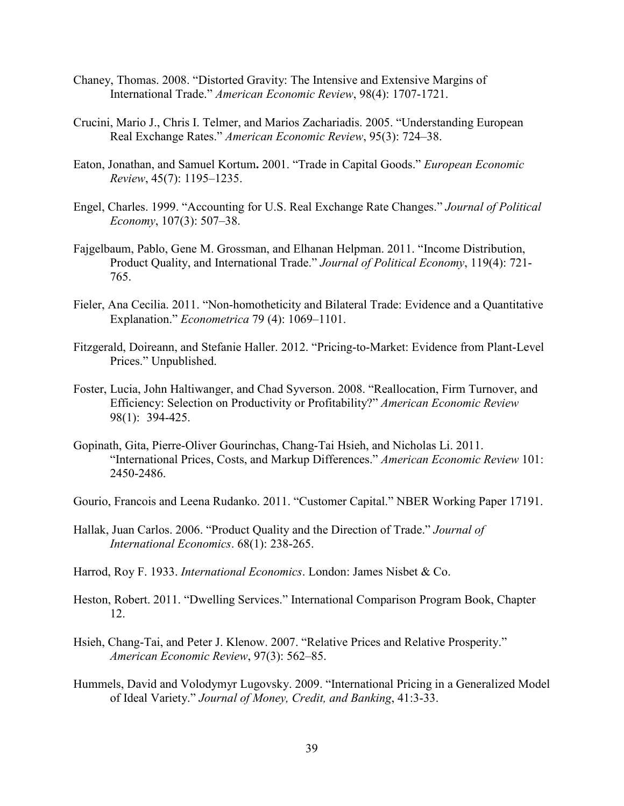- Chaney, Thomas. 2008. "Distorted Gravity: The Intensive and Extensive Margins of International Trade." *American Economic Review*, 98(4): 1707-1721.
- Crucini, Mario J., Chris I. Telmer, and Marios Zachariadis. 2005. "Understanding European Real Exchange Rates." *American Economic Review*, 95(3): 724–38.
- Eaton, Jonathan, and Samuel Kortum**.** 2001. "Trade in Capital Goods." *European Economic Review*, 45(7): 1195–1235.
- Engel, Charles. 1999. "Accounting for U.S. Real Exchange Rate Changes." *Journal of Political Economy*, 107(3): 507–38.
- Fajgelbaum, Pablo, Gene M. Grossman, and Elhanan Helpman. 2011. "Income Distribution, Product Quality, and International Trade." *Journal of Political Economy*, 119(4): 721- 765.
- Fieler, Ana Cecilia. 2011. "Non-homotheticity and Bilateral Trade: Evidence and a Quantitative Explanation." *Econometrica* 79 (4): 1069–1101.
- Fitzgerald, Doireann, and Stefanie Haller. 2012. "Pricing-to-Market: Evidence from Plant-Level Prices." Unpublished.
- Foster, Lucia, John Haltiwanger, and Chad Syverson. 2008. "Reallocation, Firm Turnover, and Efficiency: Selection on Productivity or Profitability?" *American Economic Review*  98(1): 394-425.
- Gopinath, Gita, Pierre-Oliver Gourinchas, Chang-Tai Hsieh, and Nicholas Li. 2011. "International Prices, Costs, and Markup Differences." *American Economic Review* 101: 2450-2486.
- Gourio, Francois and Leena Rudanko. 2011. "Customer Capital." NBER Working Paper 17191.
- Hallak, Juan Carlos. 2006. "Product Quality and the Direction of Trade." *Journal of International Economics*. 68(1): 238-265.
- Harrod, Roy F. 1933. *International Economics*. London: James Nisbet & Co.
- Heston, Robert. 2011. "Dwelling Services." International Comparison Program Book, Chapter 12.
- Hsieh, Chang-Tai, and Peter J. Klenow. 2007. "Relative Prices and Relative Prosperity." *American Economic Review*, 97(3): 562–85.
- Hummels, David and Volodymyr Lugovsky. 2009. "International Pricing in a Generalized Model of Ideal Variety." *Journal of Money, Credit, and Banking*, 41:3-33.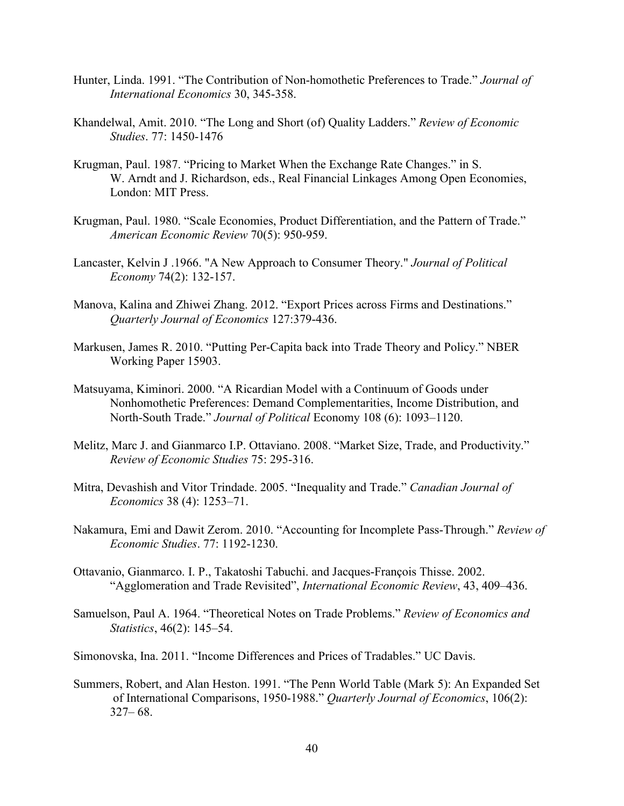- Hunter, Linda. 1991. "The Contribution of Non-homothetic Preferences to Trade." *Journal of International Economics* 30, 345-358.
- Khandelwal, Amit. 2010. "The Long and Short (of) Quality Ladders." *Review of Economic Studies*. 77: 1450-1476
- Krugman, Paul. 1987. "Pricing to Market When the Exchange Rate Changes." in S. W. Arndt and J. Richardson, eds., Real Financial Linkages Among Open Economies, London: MIT Press.
- Krugman, Paul. 1980. "Scale Economies, Product Differentiation, and the Pattern of Trade." *American Economic Review* 70(5): 950-959.
- Lancaster, Kelvin J .1966. "A New Approach to Consumer Theory." *Journal of Political Economy* 74(2): 132-157.
- Manova, Kalina and Zhiwei Zhang. 2012. "Export Prices across Firms and Destinations." *Quarterly Journal of Economics* 127:379-436.
- Markusen, James R. 2010. "Putting Per-Capita back into Trade Theory and Policy." NBER Working Paper 15903.
- Matsuyama, Kiminori. 2000. "A Ricardian Model with a Continuum of Goods under Nonhomothetic Preferences: Demand Complementarities, Income Distribution, and North-South Trade." *Journal of Political* Economy 108 (6): 1093–1120.
- Melitz, Marc J. and Gianmarco I.P. Ottaviano. 2008. "Market Size, Trade, and Productivity." *Review of Economic Studies* 75: 295-316.
- Mitra, Devashish and Vitor Trindade. 2005. "Inequality and Trade." *Canadian Journal of Economics* 38 (4): 1253–71.
- Nakamura, Emi and Dawit Zerom. 2010. "Accounting for Incomplete Pass-Through." *Review of Economic Studies*. 77: 1192-1230.
- Ottavanio, Gianmarco. I. P., Takatoshi Tabuchi. and Jacques-François Thisse. 2002. "Agglomeration and Trade Revisited", *International Economic Review*, 43, 409–436.
- Samuelson, Paul A. 1964. "Theoretical Notes on Trade Problems." *Review of Economics and Statistics*, 46(2): 145–54.
- Simonovska, Ina. 2011. "Income Differences and Prices of Tradables." UC Davis.
- Summers, Robert, and Alan Heston. 1991. "The Penn World Table (Mark 5): An Expanded Set of International Comparisons, 1950-1988." *Quarterly Journal of Economics*, 106(2):  $327 - 68$ .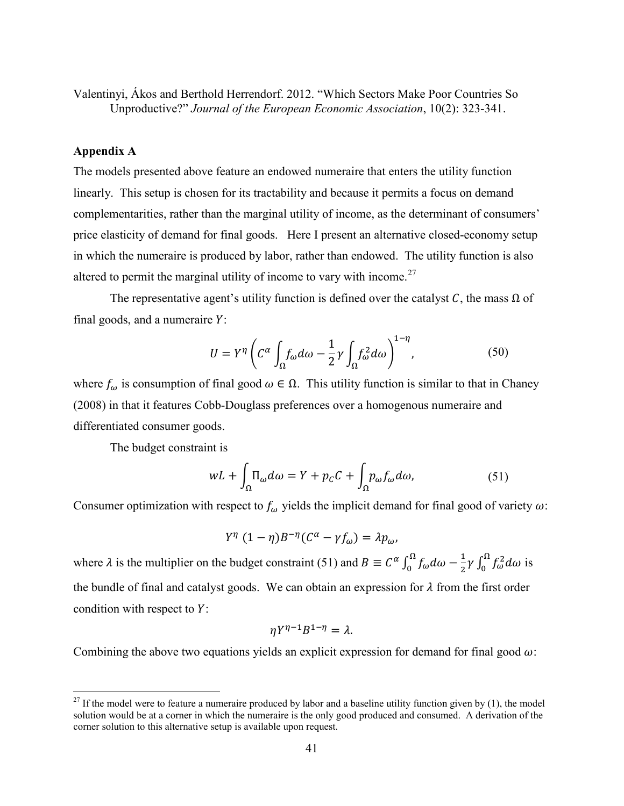Valentinyi, Ákos and Berthold Herrendorf. 2012. "Which Sectors Make Poor Countries So Unproductive?" *Journal of the European Economic Association*, 10(2): 323-341.

#### **Appendix A**

The models presented above feature an endowed numeraire that enters the utility function linearly. This setup is chosen for its tractability and because it permits a focus on demand complementarities, rather than the marginal utility of income, as the determinant of consumers' price elasticity of demand for final goods. Here I present an alternative closed-economy setup in which the numeraire is produced by labor, rather than endowed. The utility function is also altered to permit the marginal utility of income to vary with income.<sup>[27](#page-42-1)</sup>

The representative agent's utility function is defined over the catalyst C, the mass  $\Omega$  of final goods, and a numeraire  $Y$ :

$$
U = Y^{\eta} \left( C^{\alpha} \int_{\Omega} f_{\omega} d\omega - \frac{1}{2} \gamma \int_{\Omega} f_{\omega}^{2} d\omega \right)^{1-\eta}, \qquad (50)
$$

where  $f_{\omega}$  is consumption of final good  $\omega \in \Omega$ . This utility function is similar to that in Chaney (2008) in that it features Cobb-Douglass preferences over a homogenous numeraire and differentiated consumer goods.

The budget constraint is

$$
wL + \int_{\Omega} \Pi_{\omega} d\omega = Y + p_{C}C + \int_{\Omega} p_{\omega} f_{\omega} d\omega, \qquad (51)
$$

Consumer optimization with respect to  $f_{\omega}$  yields the implicit demand for final good of variety  $\omega$ :

$$
Y^{\eta}(1-\eta)B^{-\eta}(C^{\alpha}-\gamma f_{\omega})=\lambda p_{\omega},
$$

where  $\lambda$  is the multiplier on the budget constraint [\(51\)](#page-42-0) and  $B = C^{\alpha} \int_0^{\Omega} f_{\omega} d\omega - \frac{1}{2} \gamma \int_0^{\Omega} f_{\omega}^2 d\omega$  is the bundle of final and catalyst goods. We can obtain an expression for  $\lambda$  from the first order condition with respect to  $Y$ :

<span id="page-42-0"></span>
$$
\eta Y^{\eta-1} B^{1-\eta} = \lambda.
$$

Combining the above two equations yields an explicit expression for demand for final good  $\omega$ :

<span id="page-42-1"></span> $27$  If the model were to feature a numeraire produced by labor and a baseline utility function given b[y \(1\),](#page-7-0) the model solution would be at a corner in which the numeraire is the only good produced and consumed. A derivation of the corner solution to this alternative setup is available upon request.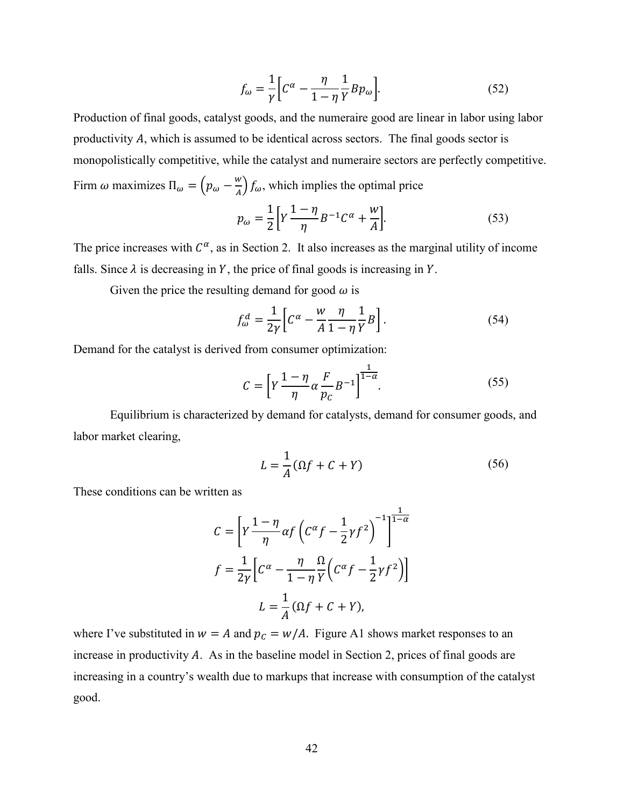$$
f_{\omega} = \frac{1}{\gamma} \left[ C^{\alpha} - \frac{\eta}{1 - \eta} \frac{1}{Y} B p_{\omega} \right].
$$
 (52)

Production of final goods, catalyst goods, and the numeraire good are linear in labor using labor productivity  $A$ , which is assumed to be identical across sectors. The final goods sector is monopolistically competitive, while the catalyst and numeraire sectors are perfectly competitive. Firm  $\omega$  maximizes  $\Pi_{\omega} = \left(p_{\omega} - \frac{w}{A}\right) f_{\omega}$ , which implies the optimal price

$$
p_{\omega} = \frac{1}{2} \left[ Y \frac{1 - \eta}{\eta} B^{-1} C^{\alpha} + \frac{w}{A} \right].
$$
 (53)

The price increases with  $C^{\alpha}$ , as in Section 2. It also increases as the marginal utility of income falls. Since  $\lambda$  is decreasing in Y, the price of final goods is increasing in Y.

Given the price the resulting demand for good  $\omega$  is

$$
f_{\omega}^d = \frac{1}{2\gamma} \left[ C^{\alpha} - \frac{w}{A} \frac{\eta}{1 - \eta} \frac{1}{Y} B \right].
$$
 (54)

Demand for the catalyst is derived from consumer optimization:

$$
C = \left[ Y \frac{1 - \eta}{\eta} \alpha \frac{F}{p_c} B^{-1} \right]^{\frac{1}{1 - \alpha}}.
$$
 (55)

Equilibrium is characterized by demand for catalysts, demand for consumer goods, and labor market clearing,

$$
L = \frac{1}{A}(\Omega f + C + Y) \tag{56}
$$

These conditions can be written as

$$
C = \left[ Y \frac{1 - \eta}{\eta} \alpha f \left( C^{\alpha} f - \frac{1}{2} \gamma f^2 \right)^{-1} \right]^{\frac{1}{1 - \alpha}}
$$

$$
f = \frac{1}{2\gamma} \left[ C^{\alpha} - \frac{\eta}{1 - \eta} \frac{\Omega}{Y} \left( C^{\alpha} f - \frac{1}{2} \gamma f^2 \right) \right]
$$

$$
L = \frac{1}{A} (\Omega f + C + Y),
$$

where I've substituted in  $w = A$  and  $p_C = w/A$ . Figure A1 shows market responses to an increase in productivity  $A$ . As in the baseline model in Section 2, prices of final goods are increasing in a country's wealth due to markups that increase with consumption of the catalyst good.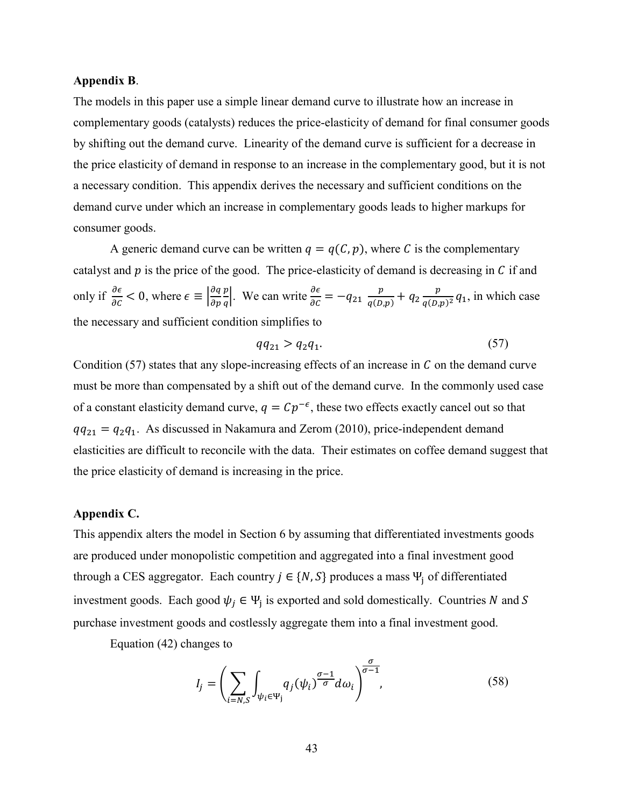#### **Appendix B**.

The models in this paper use a simple linear demand curve to illustrate how an increase in complementary goods (catalysts) reduces the price-elasticity of demand for final consumer goods by shifting out the demand curve. Linearity of the demand curve is sufficient for a decrease in the price elasticity of demand in response to an increase in the complementary good, but it is not a necessary condition. This appendix derives the necessary and sufficient conditions on the demand curve under which an increase in complementary goods leads to higher markups for consumer goods.

A generic demand curve can be written  $q = q(C, p)$ , where C is the complementary catalyst and  $p$  is the price of the good. The price-elasticity of demand is decreasing in  $C$  if and only if  $\frac{\partial \epsilon}{\partial c} < 0$ , where  $\epsilon \equiv \left| \frac{\partial q}{\partial p} \right|$ дp  $\boldsymbol{p}$  $\frac{p}{q}$ . We can write  $\frac{\partial \epsilon}{\partial c} = -q_{21} \frac{p}{q(D,p)} + q_2 \frac{p}{q(D,p)^2} q_1$ , in which case the necessary and sufficient condition simplifies to

<span id="page-44-0"></span>
$$
qq_{21} > q_2 q_1. \tag{57}
$$

Condition [\(57\)](#page-44-0) states that any slope-increasing effects of an increase in  $C$  on the demand curve must be more than compensated by a shift out of the demand curve. In the commonly used case of a constant elasticity demand curve,  $q = Cp^{-\epsilon}$ , these two effects exactly cancel out so that  $qq_{21} = q_2q_1$ . As discussed in Nakamura and Zerom (2010), price-independent demand elasticities are difficult to reconcile with the data. Their estimates on coffee demand suggest that the price elasticity of demand is increasing in the price.

#### **Appendix C.**

This appendix alters the model in Section 6 by assuming that differentiated investments goods are produced under monopolistic competition and aggregated into a final investment good through a CES aggregator. Each country  $j \in \{N, S\}$  produces a mass  $\Psi_i$  of differentiated investment goods. Each good  $\psi_j \in \Psi_j$  is exported and sold domestically. Countries N and S purchase investment goods and costlessly aggregate them into a final investment good.

Equation [\(42\)](#page-23-1) changes to

<span id="page-44-1"></span>
$$
I_j = \left(\sum_{i=N,S} \int_{\psi_i \in \Psi_j} q_j(\psi_i) \frac{\sigma - 1}{\sigma} d\omega_i\right)^{\frac{\sigma}{\sigma - 1}},\tag{58}
$$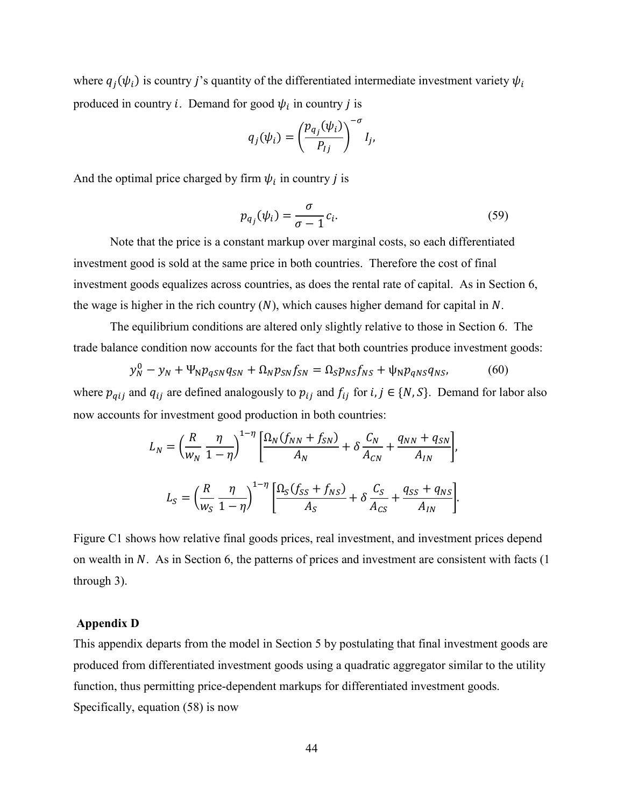where  $q_i(\psi_i)$  is country j's quantity of the differentiated intermediate investment variety  $\psi_i$ produced in country *i*. Demand for good  $\psi_i$  in country *j* is

$$
q_j(\psi_i) = \left(\frac{p_{q_j}(\psi_i)}{P_{lj}}\right)^{-\sigma} I_j,
$$

And the optimal price charged by firm  $\psi_i$  in country *j* is

$$
p_{q_j}(\psi_i) = \frac{\sigma}{\sigma - 1} c_i.
$$
\n(59)

Note that the price is a constant markup over marginal costs, so each differentiated investment good is sold at the same price in both countries. Therefore the cost of final investment goods equalizes across countries, as does the rental rate of capital. As in Section 6, the wage is higher in the rich country  $(N)$ , which causes higher demand for capital in N.

The equilibrium conditions are altered only slightly relative to those in Section 6. The trade balance condition now accounts for the fact that both countries produce investment goods:

$$
y_N^0 - y_N + \Psi_N p_{qSN} q_{SN} + \Omega_N p_{SN} f_{SN} = \Omega_S p_{NS} f_{NS} + \Psi_N p_{qNS} q_{NS}, \qquad (60)
$$

where  $p_{qij}$  and  $q_{ij}$  are defined analogously to  $p_{ij}$  and  $f_{ij}$  for  $i, j \in \{N, S\}$ . Demand for labor also now accounts for investment good production in both countries:

$$
L_N = \left(\frac{R}{w_N} \frac{\eta}{1-\eta}\right)^{1-\eta} \left[\frac{\Omega_N(f_{NN} + f_{SN})}{A_N} + \delta \frac{C_N}{A_{CN}} + \frac{q_{NN} + q_{SN}}{A_{IN}}\right],
$$
  

$$
L_S = \left(\frac{R}{w_S} \frac{\eta}{1-\eta}\right)^{1-\eta} \left[\frac{\Omega_S(f_{SS} + f_{NS})}{A_S} + \delta \frac{C_S}{A_{CS}} + \frac{q_{SS} + q_{NS}}{A_{IN}}\right].
$$

Figure C1 shows how relative final goods prices, real investment, and investment prices depend on wealth in  $N$ . As in Section 6, the patterns of prices and investment are consistent with facts  $(1)$ through 3).

#### **Appendix D**

This appendix departs from the model in Section 5 by postulating that final investment goods are produced from differentiated investment goods using a quadratic aggregator similar to the utility function, thus permitting price-dependent markups for differentiated investment goods. Specifically, equation [\(58\)](#page-44-1) is now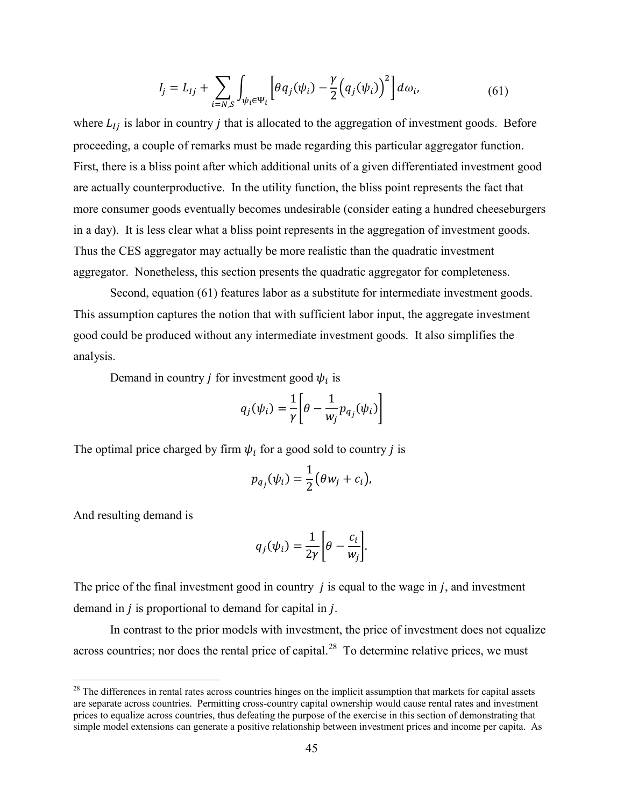<span id="page-46-0"></span>
$$
I_j = L_{Ij} + \sum_{i=N,S} \int_{\psi_i \in \Psi_i} \left[ \theta q_j(\psi_i) - \frac{\gamma}{2} \left( q_j(\psi_i) \right)^2 \right] d\omega_i, \tag{61}
$$

where  $L_{1i}$  is labor in country *j* that is allocated to the aggregation of investment goods. Before proceeding, a couple of remarks must be made regarding this particular aggregator function. First, there is a bliss point after which additional units of a given differentiated investment good are actually counterproductive. In the utility function, the bliss point represents the fact that more consumer goods eventually becomes undesirable (consider eating a hundred cheeseburgers in a day). It is less clear what a bliss point represents in the aggregation of investment goods. Thus the CES aggregator may actually be more realistic than the quadratic investment aggregator. Nonetheless, this section presents the quadratic aggregator for completeness.

Second, equation [\(61\)](#page-46-0) features labor as a substitute for intermediate investment goods. This assumption captures the notion that with sufficient labor input, the aggregate investment good could be produced without any intermediate investment goods. It also simplifies the analysis.

Demand in country *j* for investment good  $\psi_i$  is

$$
q_j(\psi_i) = \frac{1}{\gamma} \left[ \theta - \frac{1}{w_j} p_{q_j}(\psi_i) \right]
$$

The optimal price charged by firm  $\psi_i$  for a good sold to country *j* is

$$
p_{q_j}(\psi_i) = \frac{1}{2}(\theta w_j + c_i),
$$

And resulting demand is

$$
q_j(\psi_i) = \frac{1}{2\gamma} \bigg[ \theta - \frac{c_i}{w_j} \bigg].
$$

The price of the final investment good in country  $j$  is equal to the wage in  $j$ , and investment demand in  $j$  is proportional to demand for capital in  $j$ .

In contrast to the prior models with investment, the price of investment does not equalize across countries; nor does the rental price of capital.<sup>[28](#page-46-1)</sup> To determine relative prices, we must

<span id="page-46-1"></span> $28$  The differences in rental rates across countries hinges on the implicit assumption that markets for capital assets are separate across countries. Permitting cross-country capital ownership would cause rental rates and investment prices to equalize across countries, thus defeating the purpose of the exercise in this section of demonstrating that simple model extensions can generate a positive relationship between investment prices and income per capita. As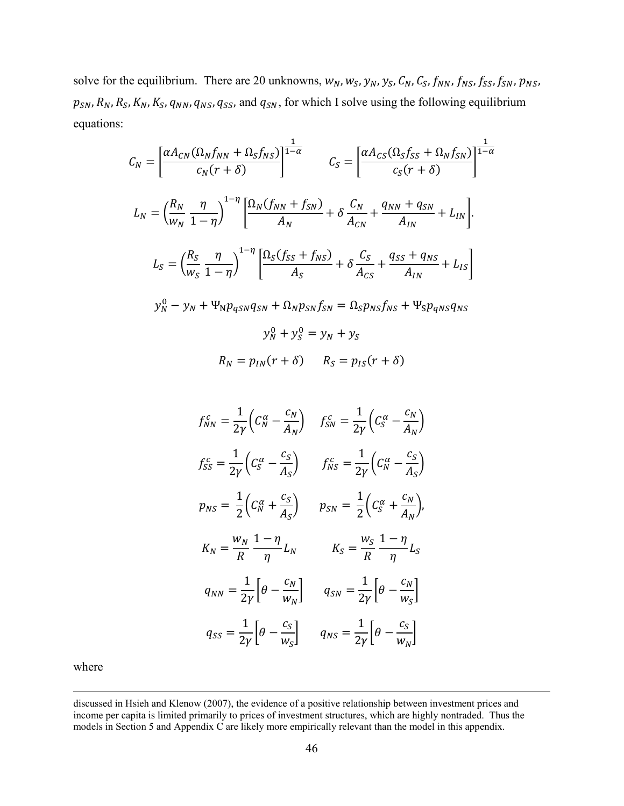solve for the equilibrium. There are 20 unknowns,  $w_N$ ,  $w_S$ ,  $y_N$ ,  $y_S$ ,  $C_N$ ,  $C_S$ ,  $f_{NN}$ ,  $f_{NS}$ ,  $f_{SN}$ ,  $p_{NS}$ ,  $p_{SN}, R_N, R_S, K_N, K_S, q_{NN}, q_{NS}, q_{SS}$ , and  $q_{SN}$ , for which I solve using the following equilibrium equations:

$$
C_N = \left[\frac{\alpha A_{CN}(\Omega_N f_{NN} + \Omega_S f_{NS})}{c_N(r+\delta)}\right]^{\frac{1}{1-\alpha}} \qquad C_S = \left[\frac{\alpha A_{CS}(\Omega_S f_{SS} + \Omega_N f_{SN})}{c_S(r+\delta)}\right]^{\frac{1}{1-\alpha}}
$$

$$
L_N = \left(\frac{R_N}{w_N}\frac{\eta}{1-\eta}\right)^{1-\eta} \left[\frac{\Omega_N(f_{NN} + f_{SN})}{A_N} + \delta \frac{C_N}{A_{CN}} + \frac{q_{NN} + q_{SN}}{A_{IN}} + L_{IN}\right].
$$

$$
L_S = \left(\frac{R_S}{w_S}\frac{\eta}{1-\eta}\right)^{1-\eta} \left[\frac{\Omega_S(f_{SS} + f_{NS})}{A_S} + \delta \frac{C_S}{A_{CS}} + \frac{q_{SS} + q_{NS}}{A_{IN}} + L_{IS}\right]
$$

$$
y_N^0 - y_N + \Psi_N p_{qSN} q_{SN} + \Omega_N p_{SN} f_{SN} = \Omega_S p_{NS} f_{NS} + \Psi_S p_{qNS} q_{NS}
$$

$$
y_N^0 + y_S^0 = y_N + y_S
$$
  

$$
R_N = p_{IN}(r + \delta) \qquad R_S = p_{IS}(r + \delta)
$$

$$
f_{NN}^c = \frac{1}{2\gamma} \left( C_N^\alpha - \frac{c_N}{A_N} \right) \quad f_{SN}^c = \frac{1}{2\gamma} \left( C_S^\alpha - \frac{c_N}{A_N} \right)
$$
  
\n
$$
f_{SS}^c = \frac{1}{2\gamma} \left( C_S^\alpha - \frac{c_S}{A_S} \right) \quad f_{NS}^c = \frac{1}{2\gamma} \left( C_N^\alpha - \frac{c_S}{A_S} \right)
$$
  
\n
$$
p_{NS} = \frac{1}{2} \left( C_N^\alpha + \frac{c_S}{A_S} \right) \quad p_{SN} = \frac{1}{2} \left( C_S^\alpha + \frac{c_N}{A_N} \right),
$$
  
\n
$$
K_N = \frac{w_N}{R} \frac{1 - \eta}{\eta} L_N \quad K_S = \frac{w_S}{R} \frac{1 - \eta}{\eta} L_S
$$
  
\n
$$
q_{NN} = \frac{1}{2\gamma} \left[ \theta - \frac{c_N}{w_N} \right] \quad q_{SN} = \frac{1}{2\gamma} \left[ \theta - \frac{c_N}{w_S} \right]
$$
  
\n
$$
q_{SS} = \frac{1}{2\gamma} \left[ \theta - \frac{c_S}{w_S} \right] \quad q_{NS} = \frac{1}{2\gamma} \left[ \theta - \frac{c_S}{w_N} \right]
$$

where

discussed in Hsieh and Klenow (2007), the evidence of a positive relationship between investment prices and income per capita is limited primarily to prices of investment structures, which are highly nontraded. Thus the models in Section 5 and Appendix C are likely more empirically relevant than the model in this appendix.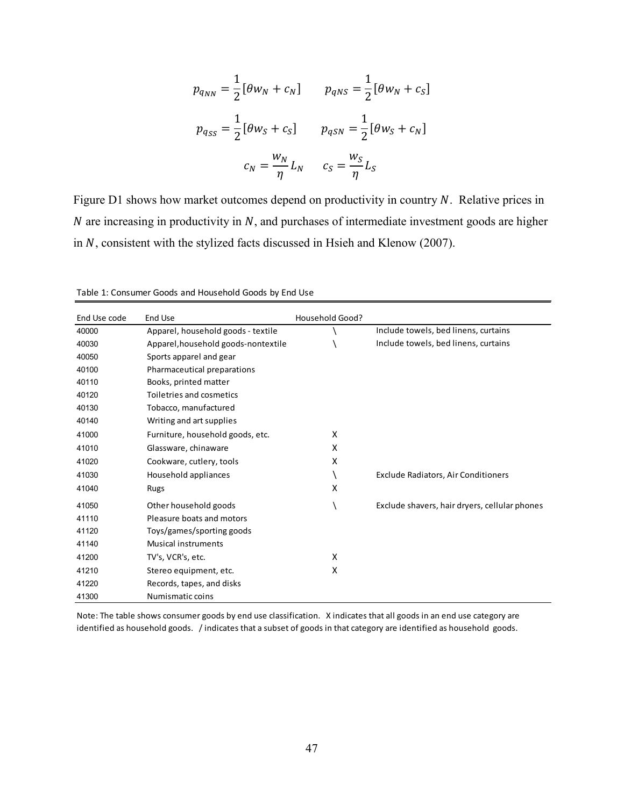$$
p_{q_{NN}} = \frac{1}{2} [\theta w_N + c_N] \qquad p_{qNS} = \frac{1}{2} [\theta w_N + c_S]
$$
  

$$
p_{q_{SS}} = \frac{1}{2} [\theta w_S + c_S] \qquad p_{qSN} = \frac{1}{2} [\theta w_S + c_N]
$$
  

$$
c_N = \frac{w_N}{\eta} L_N \qquad c_S = \frac{w_S}{\eta} L_S
$$

Figure D1 shows how market outcomes depend on productivity in country  $N$ . Relative prices in  $N$  are increasing in productivity in  $N$ , and purchases of intermediate investment goods are higher in  $N$ , consistent with the stylized facts discussed in Hsieh and Klenow (2007).

| End Use code | End Use                              | Household Good? |                                               |
|--------------|--------------------------------------|-----------------|-----------------------------------------------|
| 40000        | Apparel, household goods - textile   |                 | Include towels, bed linens, curtains          |
| 40030        | Apparel, house hold goods-nontextile |                 | Include towels, bed linens, curtains          |
| 40050        | Sports apparel and gear              |                 |                                               |
| 40100        | Pharmaceutical preparations          |                 |                                               |
| 40110        | Books, printed matter                |                 |                                               |
| 40120        | Toiletries and cosmetics             |                 |                                               |
| 40130        | Tobacco, manufactured                |                 |                                               |
| 40140        | Writing and art supplies             |                 |                                               |
| 41000        | Furniture, household goods, etc.     | X               |                                               |
| 41010        | Glassware, chinaware                 | X               |                                               |
| 41020        | Cookware, cutlery, tools             | X               |                                               |
| 41030        | Household appliances                 |                 | Exclude Radiators, Air Conditioners           |
| 41040        | Rugs                                 | X               |                                               |
| 41050        | Other household goods                |                 | Exclude shavers, hair dryers, cellular phones |
| 41110        | Pleasure boats and motors            |                 |                                               |
| 41120        | Toys/games/sporting goods            |                 |                                               |
| 41140        | <b>Musical instruments</b>           |                 |                                               |
| 41200        | TV's, VCR's, etc.                    | X               |                                               |
| 41210        | Stereo equipment, etc.               | X               |                                               |
| 41220        | Records, tapes, and disks            |                 |                                               |
| 41300        | Numismatic coins                     |                 |                                               |

Table 1: Consumer Goods and Household Goods by End Use

Note: The table shows consumer goods by end use classification. X indicates that all goods in an end use category are identified as household goods. / indicates that a subset of goods in that category are identified as household goods.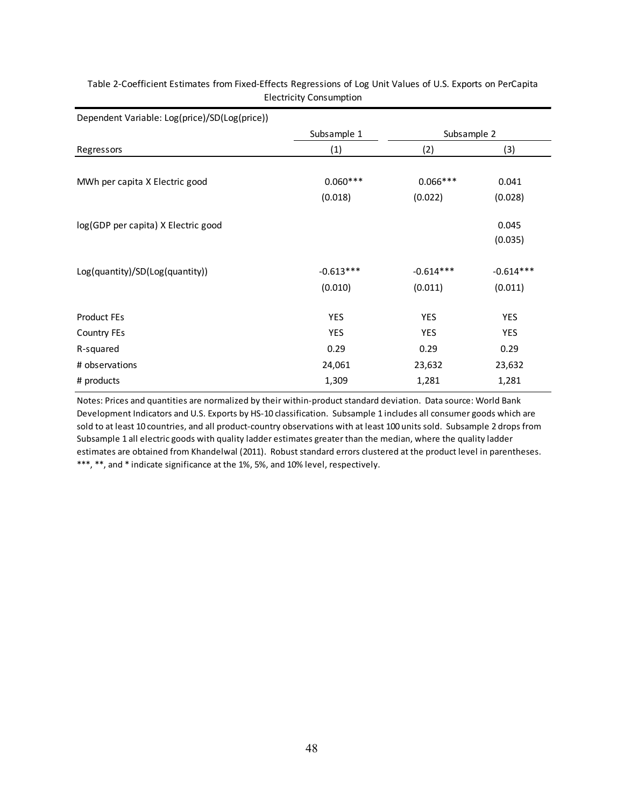| Dependent Variable: Log(price)/SD(Log(price)) |             |             |             |  |
|-----------------------------------------------|-------------|-------------|-------------|--|
|                                               | Subsample 1 | Subsample 2 |             |  |
| Regressors                                    | (1)         | (2)         | (3)         |  |
|                                               |             |             |             |  |
| MWh per capita X Electric good                | $0.060***$  | $0.066***$  | 0.041       |  |
|                                               | (0.018)     | (0.022)     | (0.028)     |  |
| log(GDP per capita) X Electric good           |             |             | 0.045       |  |
|                                               |             |             | (0.035)     |  |
| Log(quantity)/SD(Log(quantity))               | $-0.613***$ | $-0.614***$ | $-0.614***$ |  |
|                                               | (0.010)     | (0.011)     | (0.011)     |  |
| <b>Product FEs</b>                            | <b>YES</b>  | <b>YES</b>  | YES         |  |
| <b>Country FEs</b>                            | YES         | YES         | YES         |  |
| R-squared                                     | 0.29        | 0.29        | 0.29        |  |
| # observations                                | 24,061      | 23,632      | 23,632      |  |
| # products                                    | 1,309       | 1,281       | 1,281       |  |

Table 2-Coefficient Estimates from Fixed-Effects Regressions of Log Unit Values of U.S. Exports on PerCapita Electricity Consumption

Notes: Prices and quantities are normalized by their within-product standard deviation. Data source: World Bank Development Indicators and U.S. Exports by HS-10 classification. Subsample 1 includes all consumer goods which are sold to at least 10 countries, and all product-country observations with at least 100 units sold. Subsample 2 drops from Subsample 1 all electric goods with quality ladder estimates greater than the median, where the quality ladder estimates are obtained from Khandelwal (2011). Robust standard errors clustered at the product level in parentheses. \*\*\*, \*\*, and \* indicate significance at the 1%, 5%, and 10% level, respectively.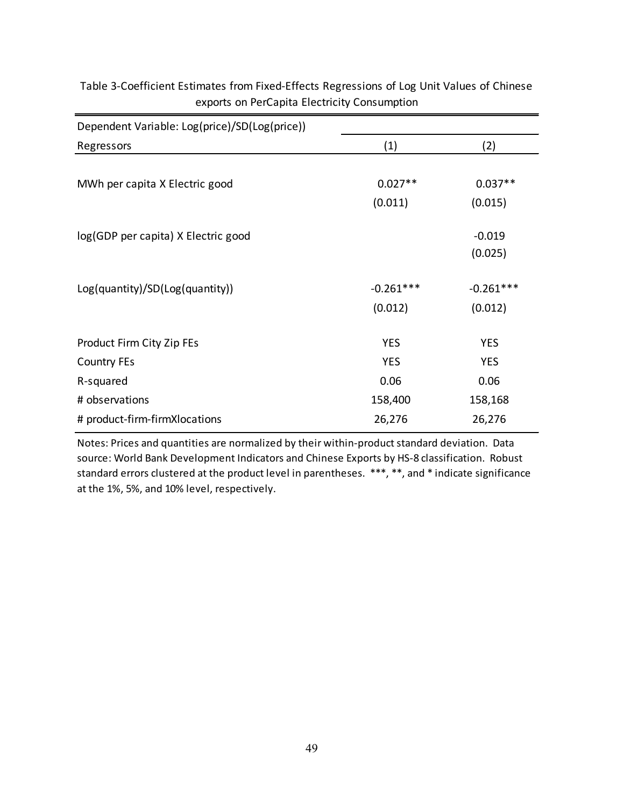| Dependent Variable: Log(price)/SD(Log(price)) |             |                     |
|-----------------------------------------------|-------------|---------------------|
| Regressors                                    | (1)         | (2)                 |
|                                               |             |                     |
| MWh per capita X Electric good                | $0.027**$   | $0.037**$           |
|                                               | (0.011)     | (0.015)             |
| log(GDP per capita) X Electric good           |             | $-0.019$<br>(0.025) |
| Log(quantity)/SD(Log(quantity))               | $-0.261***$ | $-0.261***$         |
|                                               | (0.012)     | (0.012)             |
|                                               |             |                     |
| Product Firm City Zip FEs                     | <b>YES</b>  | <b>YES</b>          |
| <b>Country FEs</b>                            | <b>YES</b>  | <b>YES</b>          |
| R-squared                                     | 0.06        | 0.06                |
| # observations                                | 158,400     | 158,168             |
| # product-firm-firmXlocations                 | 26,276      | 26,276              |

Table 3-Coefficient Estimates from Fixed-Effects Regressions of Log Unit Values of Chinese exports on PerCapita Electricity Consumption

Notes: Prices and quantities are normalized by their within-product standard deviation. Data source: World Bank Development Indicators and Chinese Exports by HS-8 classification. Robust standard errors clustered at the product level in parentheses. \*\*\*, \*\*, and \* indicate significance at the 1%, 5%, and 10% level, respectively.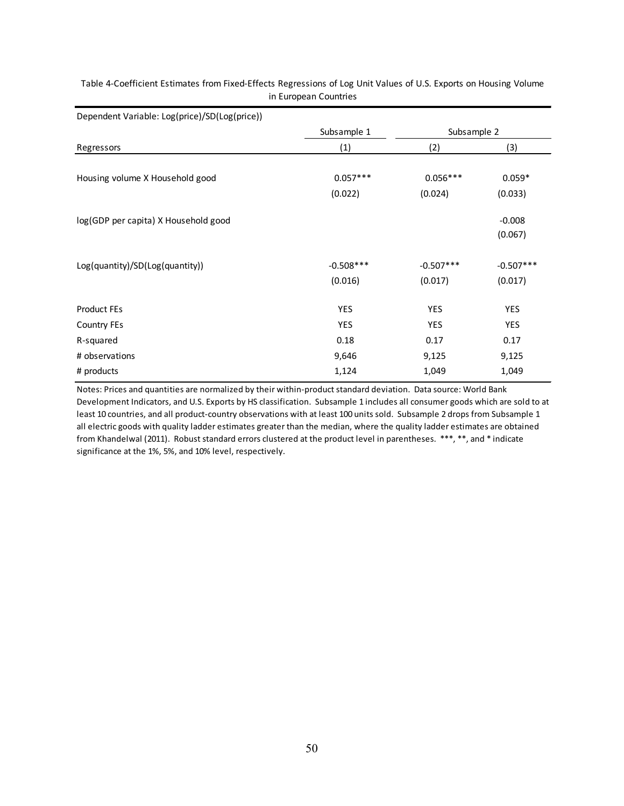| Dependent Variable: Log(price)/SD(Log(price)) |              |             |             |
|-----------------------------------------------|--------------|-------------|-------------|
|                                               | Subsample 1  | Subsample 2 |             |
| Regressors                                    | (1)          | (2)         | (3)         |
|                                               |              |             |             |
| Housing volume X Household good               | $0.057***$   | $0.056***$  | $0.059*$    |
|                                               | (0.022)      | (0.024)     | (0.033)     |
| log(GDP per capita) X Household good          |              |             | $-0.008$    |
|                                               |              |             | (0.067)     |
| Log(quantity)/SD(Log(quantity))               | $-0.508$ *** | $-0.507***$ | $-0.507***$ |
|                                               | (0.016)      | (0.017)     | (0.017)     |
| Product FEs                                   | YES          | YES         | YES         |
| Country FEs                                   | YES          | YES         | YES         |
| R-squared                                     | 0.18         | 0.17        | 0.17        |
| # observations                                | 9,646        | 9,125       | 9,125       |
| # products                                    | 1,124        | 1,049       | 1,049       |

Table 4-Coefficient Estimates from Fixed-Effects Regressions of Log Unit Values of U.S. Exports on Housing Volume in European Countries

Notes: Prices and quantities are normalized by their within-product standard deviation. Data source: World Bank Development Indicators, and U.S. Exports by HS classification. Subsample 1 includes all consumer goods which are sold to at least 10 countries, and all product-country observations with at least 100 units sold. Subsample 2 drops from Subsample 1 all electric goods with quality ladder estimates greater than the median, where the quality ladder estimates are obtained from Khandelwal (2011). Robust standard errors clustered at the product level in parentheses. \*\*\*, \*\*, and \* indicate significance at the 1%, 5%, and 10% level, respectively.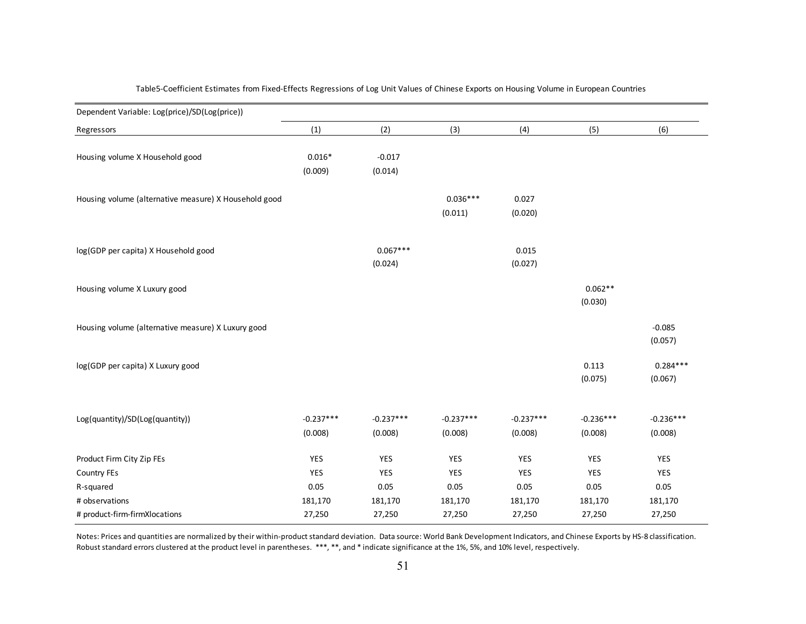| Dependent Variable: Log(price)/SD(Log(price))         |                        |                        |                        |                        |                        |                        |
|-------------------------------------------------------|------------------------|------------------------|------------------------|------------------------|------------------------|------------------------|
| Regressors                                            | (1)                    | (2)                    | (3)                    | (4)                    | (5)                    | (6)                    |
| Housing volume X Household good                       | $0.016*$<br>(0.009)    | $-0.017$<br>(0.014)    |                        |                        |                        |                        |
| Housing volume (alternative measure) X Household good |                        |                        | $0.036***$<br>(0.011)  | 0.027<br>(0.020)       |                        |                        |
| log(GDP per capita) X Household good                  |                        | $0.067***$<br>(0.024)  |                        | 0.015<br>(0.027)       |                        |                        |
| Housing volume X Luxury good                          |                        |                        |                        |                        | $0.062**$<br>(0.030)   |                        |
| Housing volume (alternative measure) X Luxury good    |                        |                        |                        |                        |                        | $-0.085$<br>(0.057)    |
| log(GDP per capita) X Luxury good                     |                        |                        |                        |                        | 0.113<br>(0.075)       | $0.284***$<br>(0.067)  |
| Log(quantity)/SD(Log(quantity))                       | $-0.237***$<br>(0.008) | $-0.237***$<br>(0.008) | $-0.237***$<br>(0.008) | $-0.237***$<br>(0.008) | $-0.236***$<br>(0.008) | $-0.236***$<br>(0.008) |
| Product Firm City Zip FEs                             | YES                    | YES                    | YES                    | YES                    | YES                    | YES                    |
| <b>Country FEs</b>                                    | YES                    | YES                    | YES                    | YES                    | YES                    | YES                    |
| R-squared                                             | 0.05                   | 0.05                   | 0.05                   | 0.05                   | 0.05                   | 0.05                   |
| # observations                                        | 181,170                | 181,170                | 181,170                | 181,170                | 181,170                | 181,170                |
| # product-firm-firmXlocations                         | 27,250                 | 27,250                 | 27,250                 | 27,250                 | 27,250                 | 27,250                 |

#### Table5-Coefficient Estimates from Fixed-Effects Regressions of Log Unit Values of Chinese Exports on Housing Volume in European Countries

Notes: Prices and quantities are normalized by their within-product standard deviation. Data source: World Bank Development Indicators, and Chinese Exports by HS-8 classification. Robust standard errors clustered at the product level in parentheses. \*\*\*, \*\*, and \* indicate significance at the 1%, 5%, and 10% level, respectively.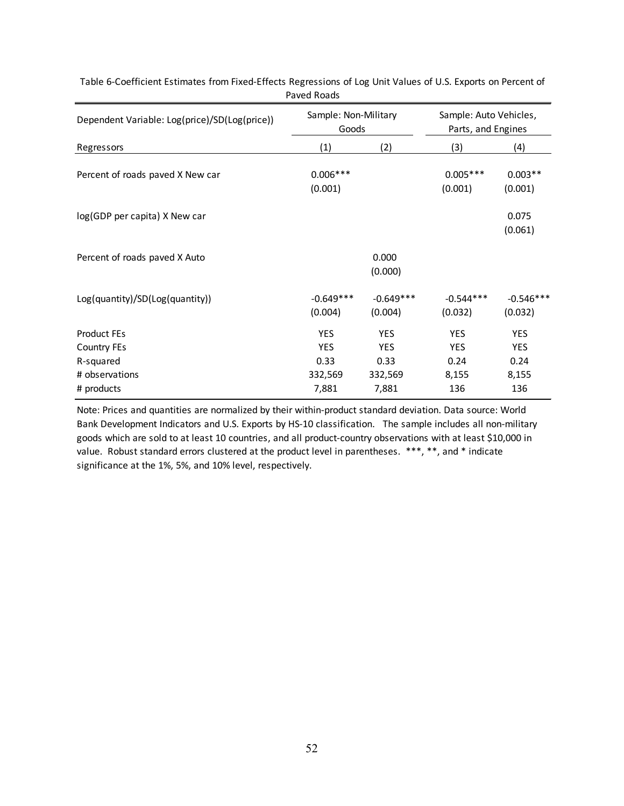| Dependent Variable: Log(price)/SD(Log(price))                                         | Sample: Non-Military<br>Goods                        |                                                      | Sample: Auto Vehicles,<br>Parts, and Engines     |                                                  |
|---------------------------------------------------------------------------------------|------------------------------------------------------|------------------------------------------------------|--------------------------------------------------|--------------------------------------------------|
| Regressors                                                                            | (1)                                                  | (2)                                                  | (3)                                              | (4)                                              |
| Percent of roads paved X New car                                                      | $0.006***$<br>(0.001)                                |                                                      | $0.005***$<br>(0.001)                            | $0.003**$<br>(0.001)                             |
| log(GDP per capita) X New car                                                         |                                                      |                                                      |                                                  | 0.075<br>(0.061)                                 |
| Percent of roads paved X Auto                                                         |                                                      | 0.000<br>(0.000)                                     |                                                  |                                                  |
| Log(quantity)/SD(Log(quantity))                                                       | $-0.649***$<br>(0.004)                               | $-0.649***$<br>(0.004)                               | $-0.544***$<br>(0.032)                           | $-0.546***$<br>(0.032)                           |
| <b>Product FEs</b><br><b>Country FEs</b><br>R-squared<br># observations<br># products | <b>YES</b><br><b>YES</b><br>0.33<br>332,569<br>7,881 | <b>YES</b><br><b>YES</b><br>0.33<br>332,569<br>7,881 | <b>YES</b><br><b>YES</b><br>0.24<br>8,155<br>136 | <b>YES</b><br><b>YES</b><br>0.24<br>8,155<br>136 |

Table 6-Coefficient Estimates from Fixed-Effects Regressions of Log Unit Values of U.S. Exports on Percent of Paved Roads

Note: Prices and quantities are normalized by their within-product standard deviation. Data source: World Bank Development Indicators and U.S. Exports by HS-10 classification. The sample includes all non-military goods which are sold to at least 10 countries, and all product-country observations with at least \$10,000 in value. Robust standard errors clustered at the product level in parentheses. \*\*\*, \*\*, and \* indicate significance at the 1%, 5%, and 10% level, respectively.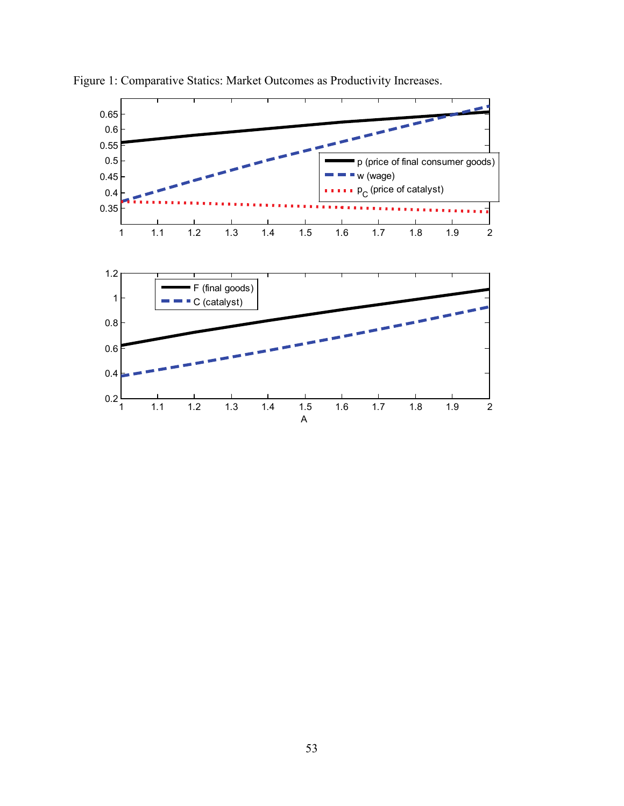

Figure 1: Comparative Statics: Market Outcomes as Productivity Increases.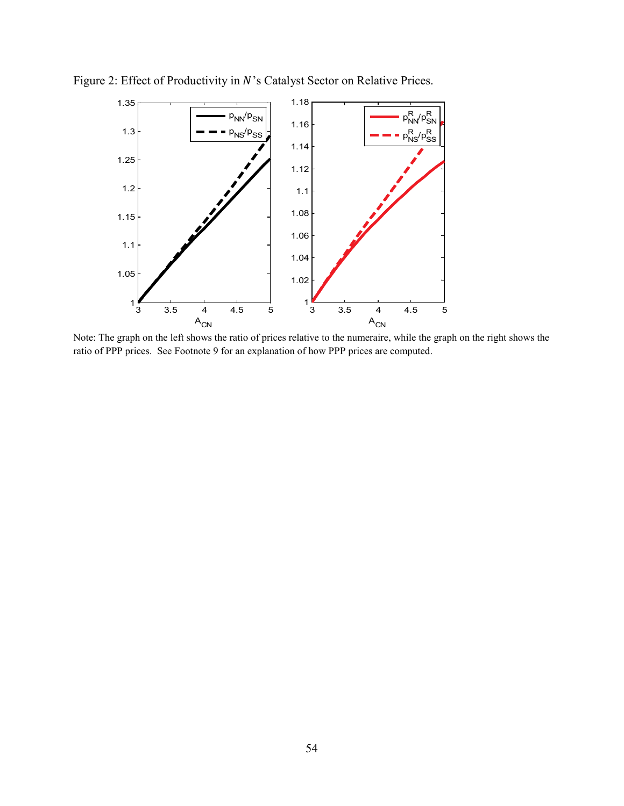

Figure 2: Effect of Productivity in  $N$ 's Catalyst Sector on Relative Prices.

Note: The graph on the left shows the ratio of prices relative to the numeraire, while the graph on the right shows the ratio of PPP prices. See Footnote 9 for an explanation of how PPP prices are computed.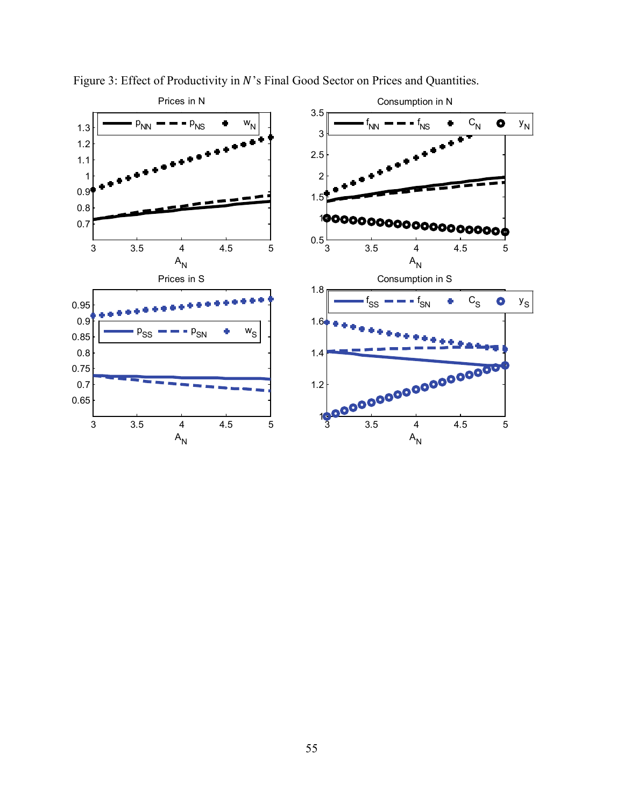

Figure 3: Effect of Productivity in  $N$ 's Final Good Sector on Prices and Quantities.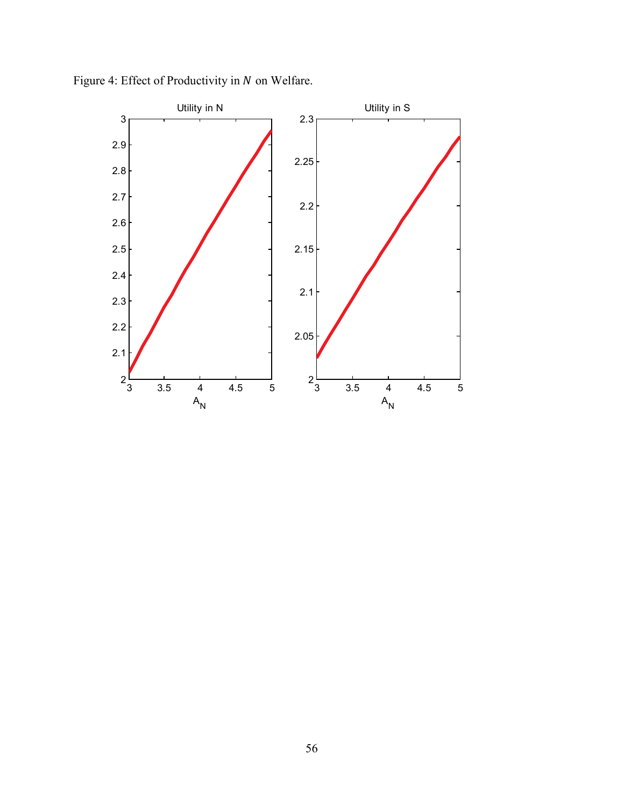

Figure 4: Effect of Productivity in  $N$  on Welfare.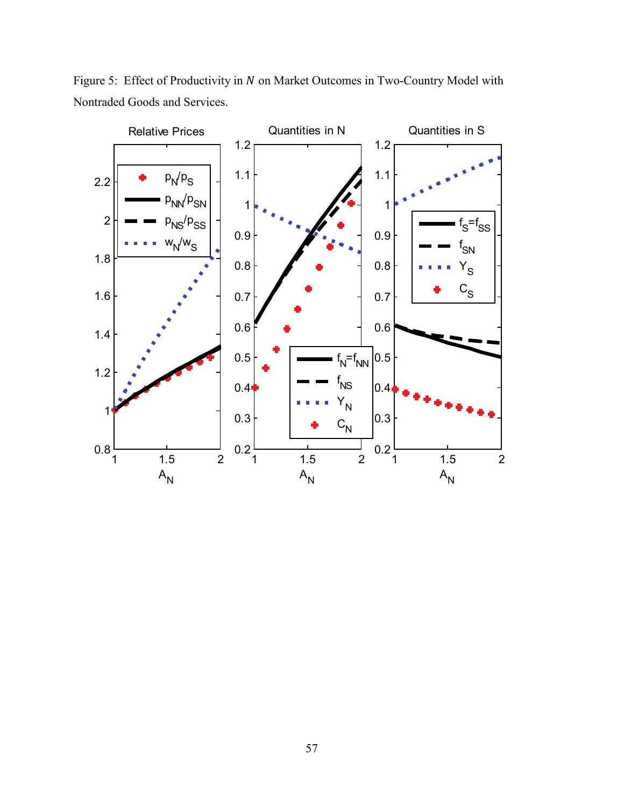

Figure 5: Effect of Productivity in  $N$  on Market Outcomes in Two-Country Model with Nontraded Goods and Services.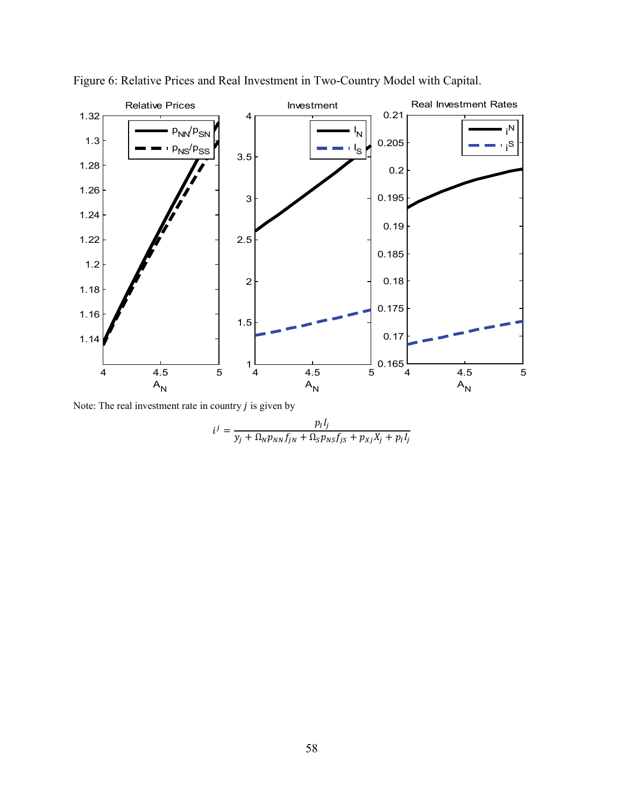

Figure 6: Relative Prices and Real Investment in Two-Country Model with Capital.

Note: The real investment rate in country  $j$  is given by

$$
i^{j} = \frac{p_{I}l_{j}}{y_{j} + \Omega_{N}p_{NN}f_{jN} + \Omega_{S}p_{NS}f_{jS} + p_{Xj}X_{j} + p_{I}l_{j}}
$$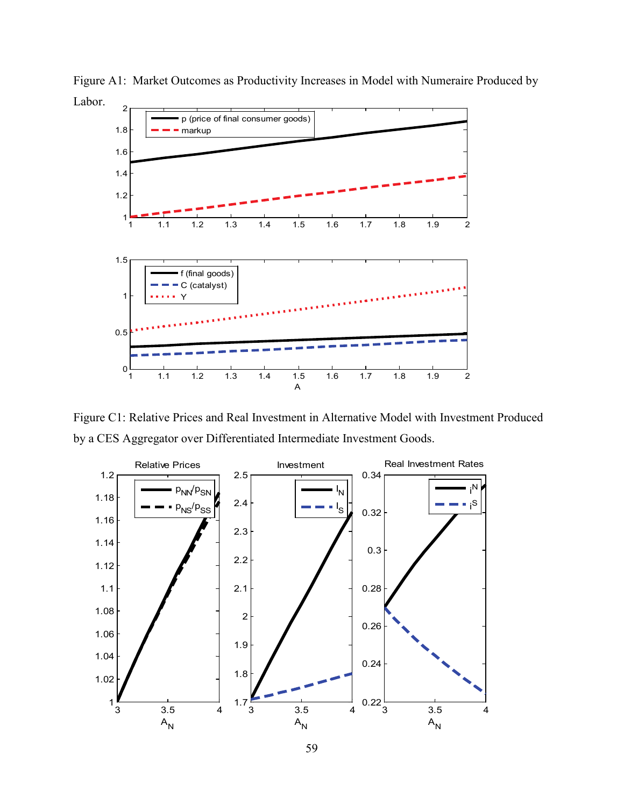

Figure A1: Market Outcomes as Productivity Increases in Model with Numeraire Produced by Labor.

Figure C1: Relative Prices and Real Investment in Alternative Model with Investment Produced by a CES Aggregator over Differentiated Intermediate Investment Goods.